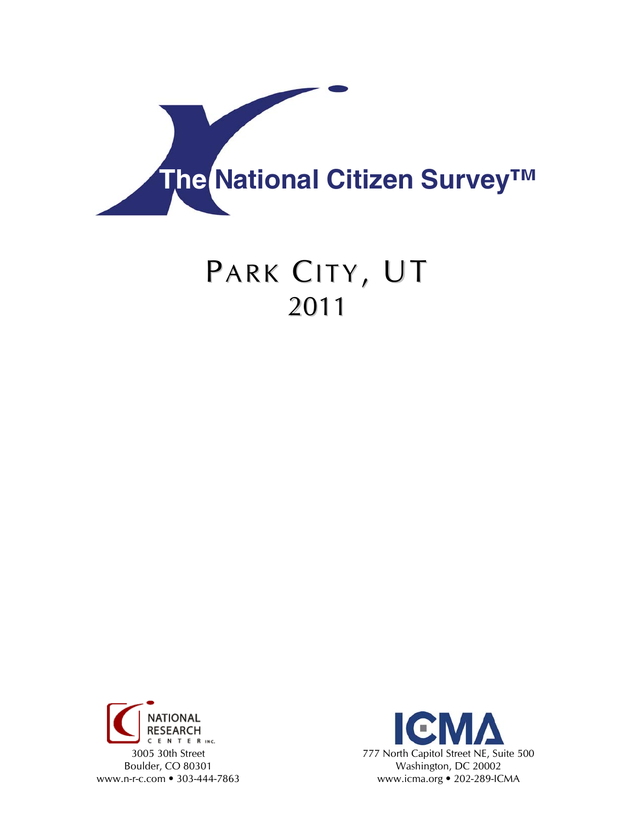

# PARK CITY, UT 2011



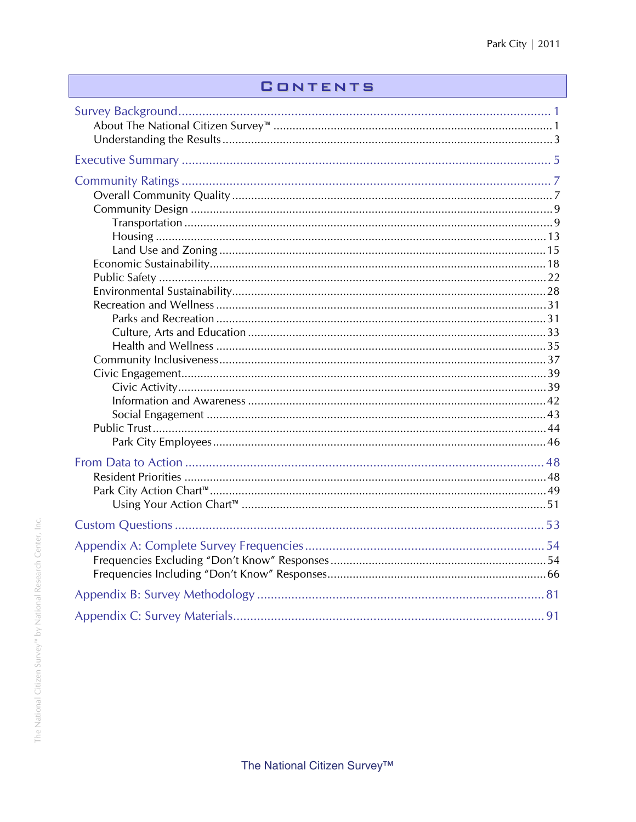# **CONTENTS**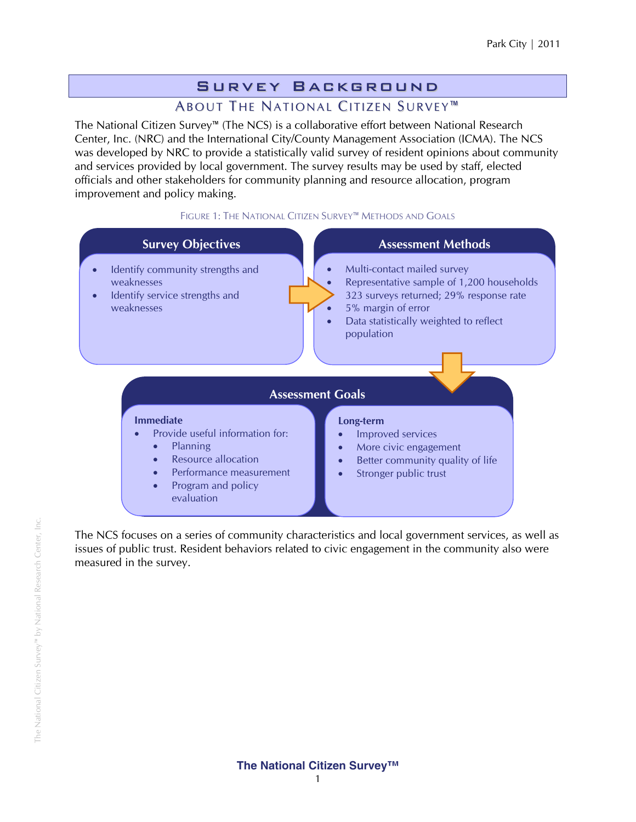# Survey Background

# ABOUT THE NATIONAL CITIZEN SURVEY<sup>™</sup>

The National Citizen Survey™ (The NCS) is a collaborative effort between National Research Center, Inc. (NRC) and the International City/County Management Association (ICMA). The NCS was developed by NRC to provide a statistically valid survey of resident opinions about community and services provided by local government. The survey results may be used by staff, elected officials and other stakeholders for community planning and resource allocation, program improvement and policy making.

#### FIGURE 1: THE NATIONAL CITIZEN SURVEY™ METHODS AND GOALS



The NCS focuses on a series of community characteristics and local government services, as well as issues of public trust. Resident behaviors related to civic engagement in the community also were measured in the survey.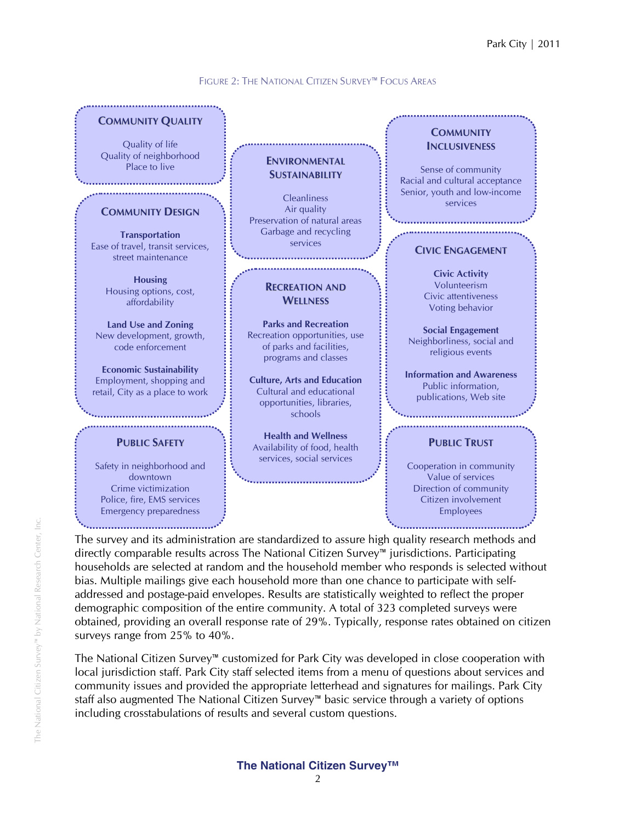#### FIGURE 2: THE NATIONAL CITIZEN SURVEY™ FOCUS AREAS



The survey and its administration are standardized to assure high quality research methods and directly comparable results across The National Citizen Survey™ jurisdictions. Participating households are selected at random and the household member who responds is selected without bias. Multiple mailings give each household more than one chance to participate with selfaddressed and postage-paid envelopes. Results are statistically weighted to reflect the proper demographic composition of the entire community. A total of 323 completed surveys were obtained, providing an overall response rate of 29%. Typically, response rates obtained on citizen surveys range from 25% to 40%.

The National Citizen Survey™ customized for Park City was developed in close cooperation with local jurisdiction staff. Park City staff selected items from a menu of questions about services and community issues and provided the appropriate letterhead and signatures for mailings. Park City staff also augmented The National Citizen Survey™ basic service through a variety of options including crosstabulations of results and several custom questions.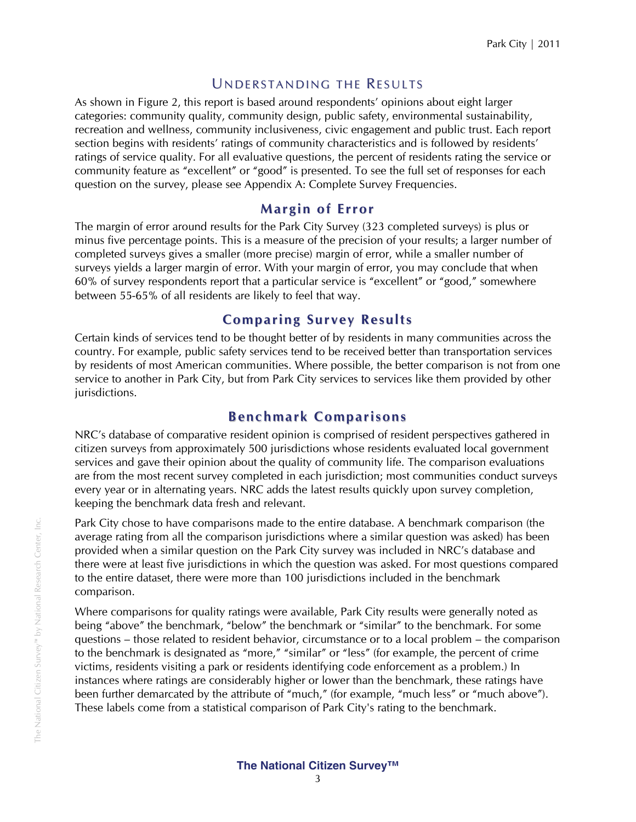### UNDERSTANDING THE RESULTS

As shown in Figure 2, this report is based around respondents' opinions about eight larger categories: community quality, community design, public safety, environmental sustainability, recreation and wellness, community inclusiveness, civic engagement and public trust. Each report section begins with residents' ratings of community characteristics and is followed by residents' ratings of service quality. For all evaluative questions, the percent of residents rating the service or community feature as "excellent" or "good" is presented. To see the full set of responses for each question on the survey, please see Appendix A: Complete Survey Frequencies.

### **Margin of Error**

The margin of error around results for the Park City Survey (323 completed surveys) is plus or minus five percentage points. This is a measure of the precision of your results; a larger number of completed surveys gives a smaller (more precise) margin of error, while a smaller number of surveys yields a larger margin of error. With your margin of error, you may conclude that when 60% of survey respondents report that a particular service is "excellent" or "good," somewhere between 55-65% of all residents are likely to feel that way.

### **Co mparing Survey Results**

Certain kinds of services tend to be thought better of by residents in many communities across the country. For example, public safety services tend to be received better than transportation services by residents of most American communities. Where possible, the better comparison is not from one service to another in Park City, but from Park City services to services like them provided by other jurisdictions.

# **Benchmark Comparisons**

NRC's database of comparative resident opinion is comprised of resident perspectives gathered in citizen surveys from approximately 500 jurisdictions whose residents evaluated local government services and gave their opinion about the quality of community life. The comparison evaluations are from the most recent survey completed in each jurisdiction; most communities conduct surveys every year or in alternating years. NRC adds the latest results quickly upon survey completion, keeping the benchmark data fresh and relevant.

Park City chose to have comparisons made to the entire database. A benchmark comparison (the average rating from all the comparison jurisdictions where a similar question was asked) has been provided when a similar question on the Park City survey was included in NRC's database and there were at least five jurisdictions in which the question was asked. For most questions compared to the entire dataset, there were more than 100 jurisdictions included in the benchmark comparison.

Where comparisons for quality ratings were available, Park City results were generally noted as being "above" the benchmark, "below" the benchmark or "similar" to the benchmark. For some questions – those related to resident behavior, circumstance or to a local problem – the comparison to the benchmark is designated as "more," "similar" or "less" (for example, the percent of crime victims, residents visiting a park or residents identifying code enforcement as a problem.) In instances where ratings are considerably higher or lower than the benchmark, these ratings have been further demarcated by the attribute of "much," (for example, "much less" or "much above"). These labels come from a statistical comparison of Park City's rating to the benchmark.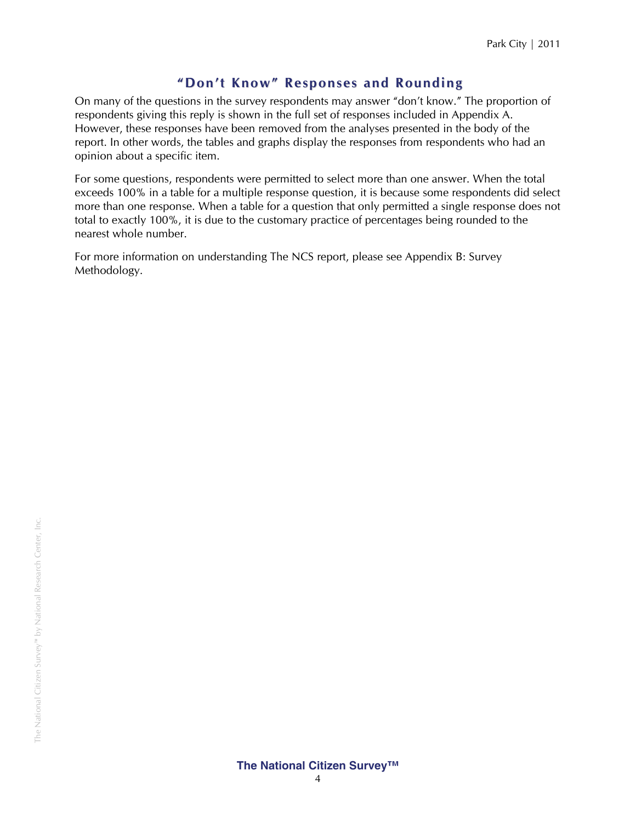# **" Don't Kno w" Responses and Rounding**

On many of the questions in the survey respondents may answer "don't know." The proportion of respondents giving this reply is shown in the full set of responses included in Appendix A. However, these responses have been removed from the analyses presented in the body of the report. In other words, the tables and graphs display the responses from respondents who had an opinion about a specific item.

For some questions, respondents were permitted to select more than one answer. When the total exceeds 100% in a table for a multiple response question, it is because some respondents did select more than one response. When a table for a question that only permitted a single response does not total to exactly 100%, it is due to the customary practice of percentages being rounded to the nearest whole number.

For more information on understanding The NCS report, please see Appendix B: Survey Methodology.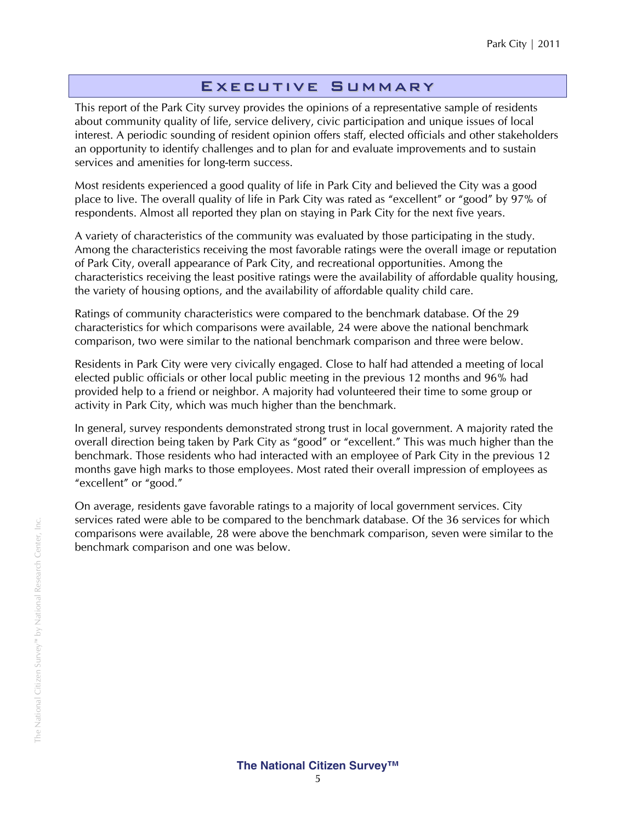### Executive Summary

This report of the Park City survey provides the opinions of a representative sample of residents about community quality of life, service delivery, civic participation and unique issues of local interest. A periodic sounding of resident opinion offers staff, elected officials and other stakeholders an opportunity to identify challenges and to plan for and evaluate improvements and to sustain services and amenities for long-term success.

Most residents experienced a good quality of life in Park City and believed the City was a good place to live. The overall quality of life in Park City was rated as "excellent" or "good" by 97% of respondents. Almost all reported they plan on staying in Park City for the next five years.

A variety of characteristics of the community was evaluated by those participating in the study. Among the characteristics receiving the most favorable ratings were the overall image or reputation of Park City, overall appearance of Park City, and recreational opportunities. Among the characteristics receiving the least positive ratings were the availability of affordable quality housing, the variety of housing options, and the availability of affordable quality child care.

Ratings of community characteristics were compared to the benchmark database. Of the 29 characteristics for which comparisons were available, 24 were above the national benchmark comparison, two were similar to the national benchmark comparison and three were below.

Residents in Park City were very civically engaged. Close to half had attended a meeting of local elected public officials or other local public meeting in the previous 12 months and 96% had provided help to a friend or neighbor. A majority had volunteered their time to some group or activity in Park City, which was much higher than the benchmark.

In general, survey respondents demonstrated strong trust in local government. A majority rated the overall direction being taken by Park City as "good" or "excellent." This was much higher than the benchmark. Those residents who had interacted with an employee of Park City in the previous 12 months gave high marks to those employees. Most rated their overall impression of employees as "excellent" or "good."

On average, residents gave favorable ratings to a majority of local government services. City services rated were able to be compared to the benchmark database. Of the 36 services for which comparisons were available, 28 were above the benchmark comparison, seven were similar to the benchmark comparison and one was below.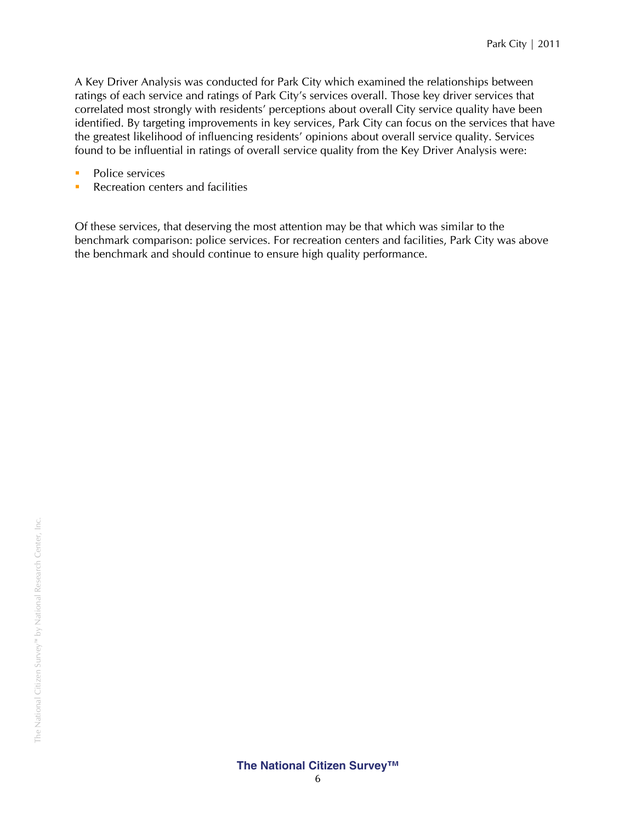A Key Driver Analysis was conducted for Park City which examined the relationships between ratings of each service and ratings of Park City's services overall. Those key driver services that correlated most strongly with residents' perceptions about overall City service quality have been identified. By targeting improvements in key services, Park City can focus on the services that have the greatest likelihood of influencing residents' opinions about overall service quality. Services found to be influential in ratings of overall service quality from the Key Driver Analysis were:

- Police services
- **Recreation centers and facilities**

Of these services, that deserving the most attention may be that which was similar to the benchmark comparison: police services. For recreation centers and facilities, Park City was above the benchmark and should continue to ensure high quality performance.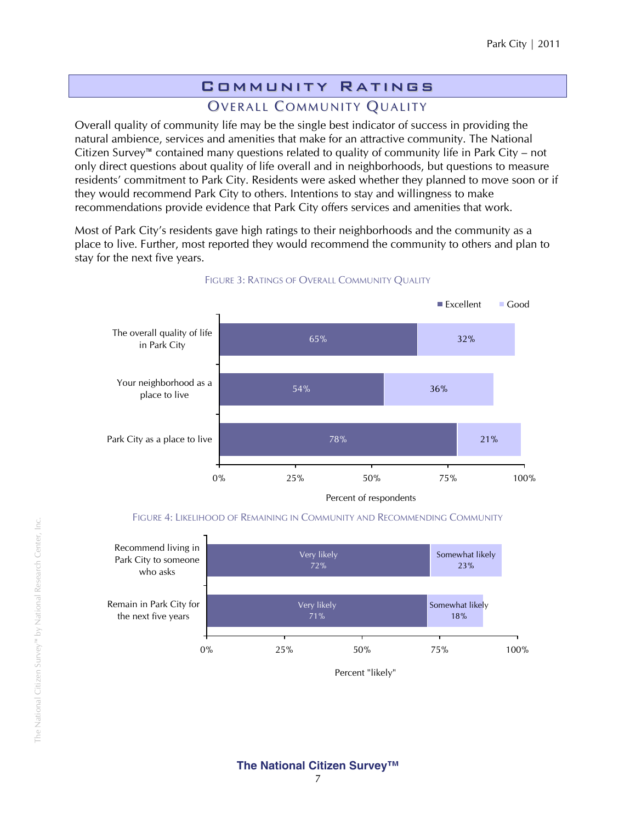# Community Ratings

# OVERALL COMMUNITY QUALITY

Overall quality of community life may be the single best indicator of success in providing the natural ambience, services and amenities that make for an attractive community. The National Citizen Survey™ contained many questions related to quality of community life in Park City – not only direct questions about quality of life overall and in neighborhoods, but questions to measure residents' commitment to Park City. Residents were asked whether they planned to move soon or if they would recommend Park City to others. Intentions to stay and willingness to make recommendations provide evidence that Park City offers services and amenities that work.

Most of Park City's residents gave high ratings to their neighborhoods and the community as a place to live. Further, most reported they would recommend the community to others and plan to stay for the next five years.



#### FIGURE 3: RATINGS OF OVERALL COMMUNITY QUALITY

FIGURE 4: LIKELIHOOD OF REMAINING IN COMMUNITY AND RECOMMENDING COMMUNITY



Percent "likely"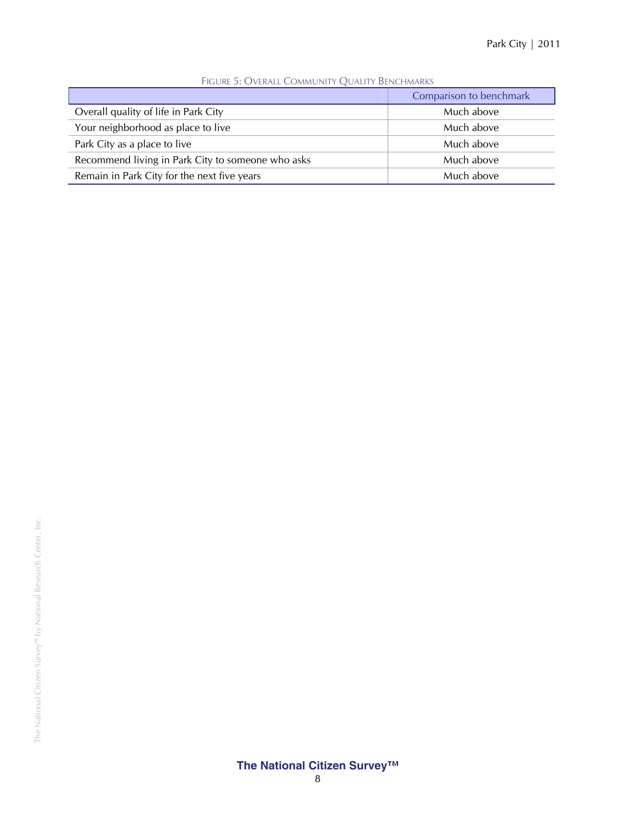|                                                   | Comparison to benchmark |
|---------------------------------------------------|-------------------------|
| Overall quality of life in Park City              | Much above              |
| Your neighborhood as place to live                | Much above              |
| Park City as a place to live                      | Much above              |
| Recommend living in Park City to someone who asks | Much above              |
| Remain in Park City for the next five years       | Much above              |

#### FIGURE 5: OVERALL COMMUNITY QUALITY BENCHMARKS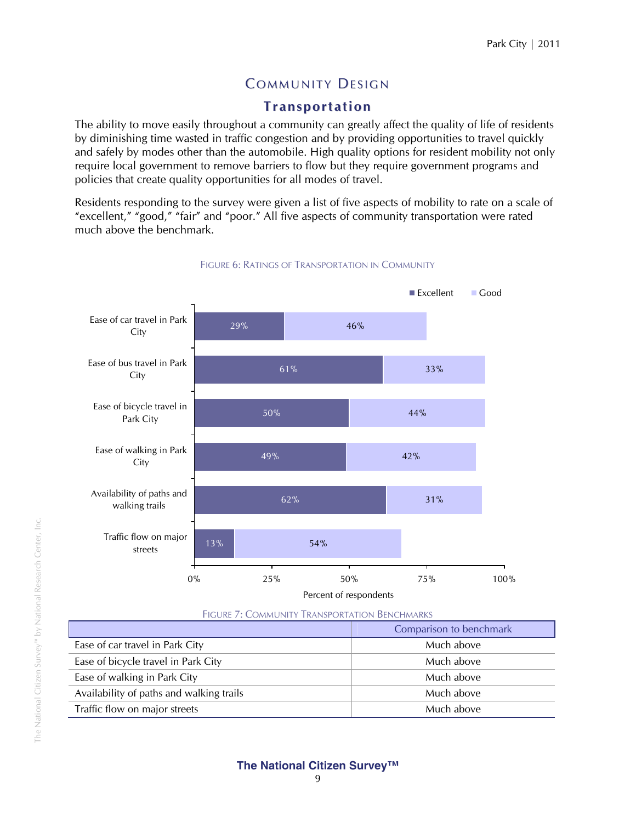# **COMMUNITY DESIGN**

# **Transportation**

The ability to move easily throughout a community can greatly affect the quality of life of residents by diminishing time wasted in traffic congestion and by providing opportunities to travel quickly and safely by modes other than the automobile. High quality options for resident mobility not only require local government to remove barriers to flow but they require government programs and policies that create quality opportunities for all modes of travel.

Residents responding to the survey were given a list of five aspects of mobility to rate on a scale of "excellent," "good," "fair" and "poor." All five aspects of community transportation were rated much above the benchmark.



#### FIGURE 6: RATINGS OF TRANSPORTATION IN COMMUNITY

FIGURE 7: COMMUNITY TRANSPORTATION BENCHMARKS

|                                          | Comparison to benchmark |
|------------------------------------------|-------------------------|
| Ease of car travel in Park City          | Much above              |
| Ease of bicycle travel in Park City      | Much above              |
| Ease of walking in Park City             | Much above              |
| Availability of paths and walking trails | Much above              |
| Traffic flow on major streets            | Much above              |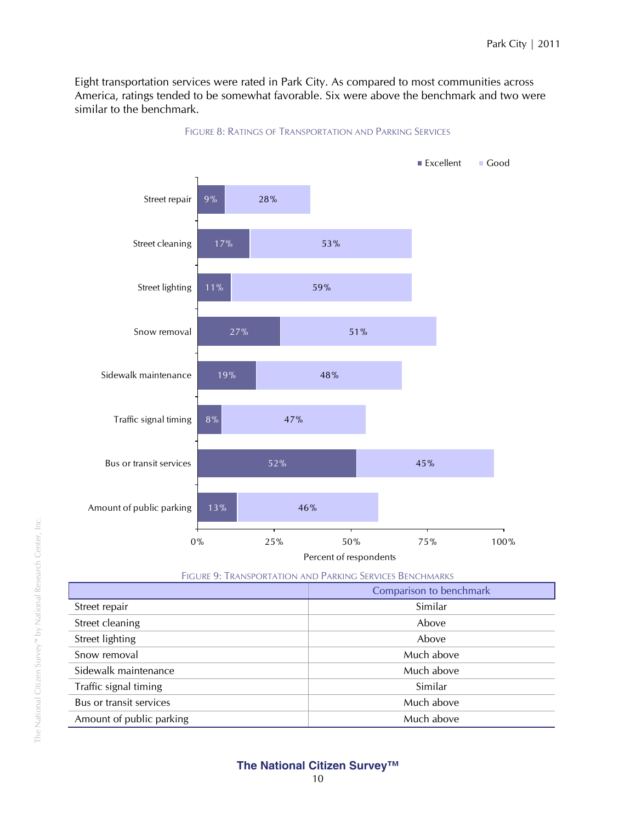Eight transportation services were rated in Park City. As compared to most communities across America, ratings tended to be somewhat favorable. Six were above the benchmark and two were similar to the benchmark.



#### FIGURE 8: RATINGS OF TRANSPORTATION AND PARKING SERVICES

FIGURE 9: TRANSPORTATION AND PARKING SERVICES BENCHMARKS

|                          | Comparison to benchmark |
|--------------------------|-------------------------|
| Street repair            | Similar                 |
| Street cleaning          | Above                   |
| Street lighting          | Above                   |
| Snow removal             | Much above              |
| Sidewalk maintenance     | Much above              |
| Traffic signal timing    | Similar                 |
| Bus or transit services  | Much above              |
| Amount of public parking | Much above              |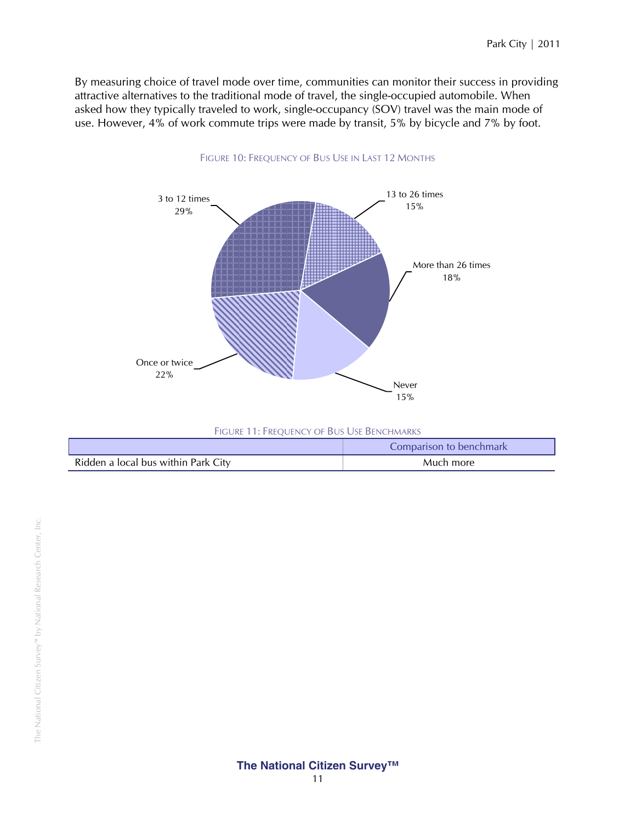By measuring choice of travel mode over time, communities can monitor their success in providing attractive alternatives to the traditional mode of travel, the single-occupied automobile. When asked how they typically traveled to work, single-occupancy (SOV) travel was the main mode of use. However, 4% of work commute trips were made by transit, 5% by bicycle and 7% by foot.



| FIGURE 11: FREQUENCY OF BUS USE BENCHMARKS |                         |
|--------------------------------------------|-------------------------|
|                                            | Comparison to benchmark |
| Ridden a local bus within Park City        | Much more               |

#### FIGURE 10: FREQUENCY OF BUS USE IN LAST 12 MONTHS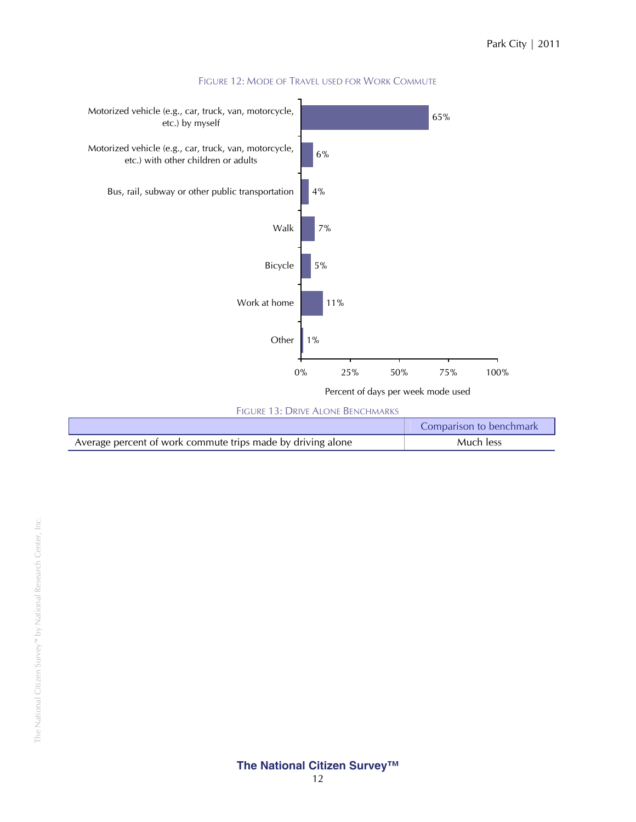

#### FIGURE 12: MODE OF TRAVEL USED FOR WORK COMMUTE

FIGURE 13: DRIVE ALONE BENCHMARKS

|                                                             | Comparison to benchmark |
|-------------------------------------------------------------|-------------------------|
| Average percent of work commute trips made by driving alone | Much less               |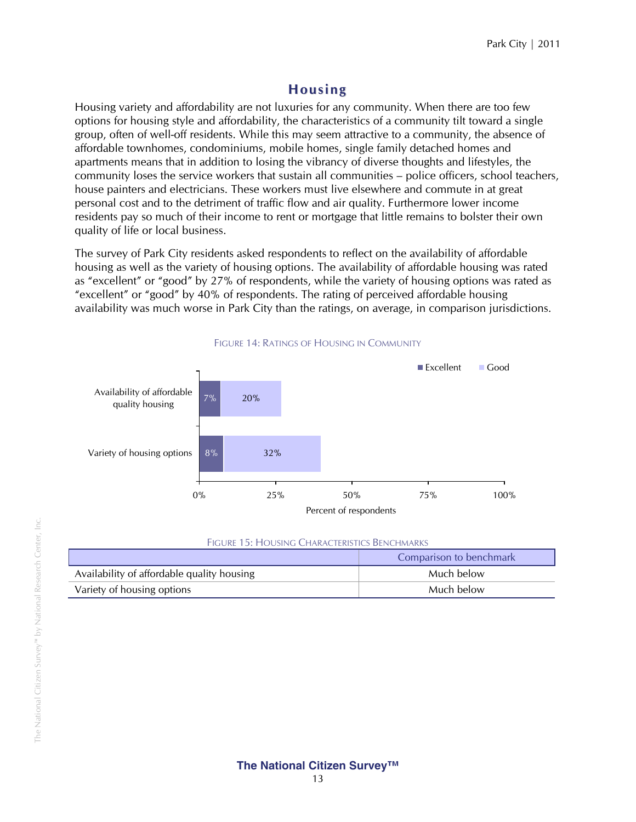# **Housing**

Housing variety and affordability are not luxuries for any community. When there are too few options for housing style and affordability, the characteristics of a community tilt toward a single group, often of well-off residents. While this may seem attractive to a community, the absence of affordable townhomes, condominiums, mobile homes, single family detached homes and apartments means that in addition to losing the vibrancy of diverse thoughts and lifestyles, the community loses the service workers that sustain all communities – police officers, school teachers, house painters and electricians. These workers must live elsewhere and commute in at great personal cost and to the detriment of traffic flow and air quality. Furthermore lower income residents pay so much of their income to rent or mortgage that little remains to bolster their own quality of life or local business.

The survey of Park City residents asked respondents to reflect on the availability of affordable housing as well as the variety of housing options. The availability of affordable housing was rated as "excellent" or "good" by 27% of respondents, while the variety of housing options was rated as "excellent" or "good" by 40% of respondents. The rating of perceived affordable housing availability was much worse in Park City than the ratings, on average, in comparison jurisdictions.



#### FIGURE 14: RATINGS OF HOUSING IN COMMUNITY

#### FIGURE 15: HOUSING CHARACTERISTICS BENCHMARKS

|                                            | Comparison to benchmark |
|--------------------------------------------|-------------------------|
| Availability of affordable quality housing | Much below              |
| Variety of housing options                 | Much below              |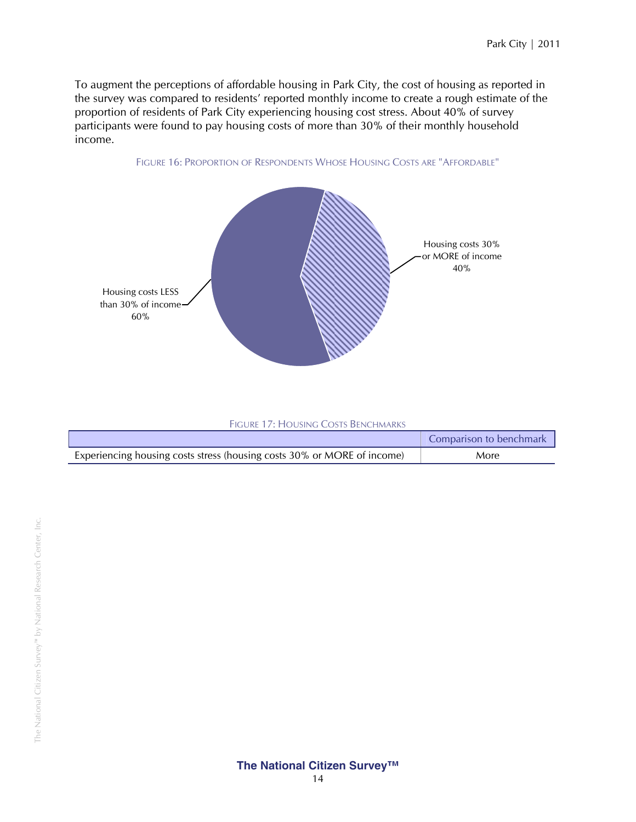To augment the perceptions of affordable housing in Park City, the cost of housing as reported in the survey was compared to residents' reported monthly income to create a rough estimate of the proportion of residents of Park City experiencing housing cost stress. About 40% of survey participants were found to pay housing costs of more than 30% of their monthly household income.





|                                                                         | Comparison to benchmark |
|-------------------------------------------------------------------------|-------------------------|
| Experiencing housing costs stress (housing costs 30% or MORE of income) | More                    |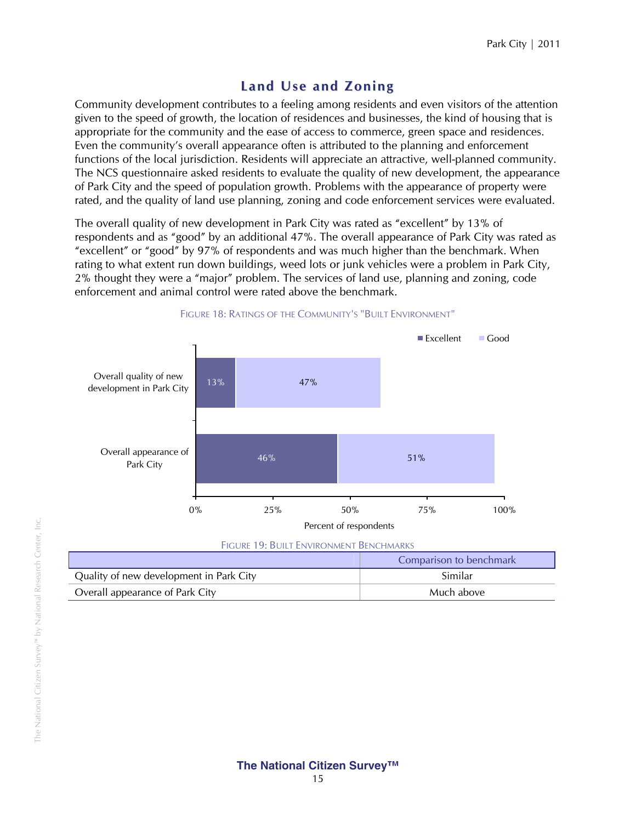# **Land Use and Zoning**

Community development contributes to a feeling among residents and even visitors of the attention given to the speed of growth, the location of residences and businesses, the kind of housing that is appropriate for the community and the ease of access to commerce, green space and residences. Even the community's overall appearance often is attributed to the planning and enforcement functions of the local jurisdiction. Residents will appreciate an attractive, well-planned community. The NCS questionnaire asked residents to evaluate the quality of new development, the appearance of Park City and the speed of population growth. Problems with the appearance of property were rated, and the quality of land use planning, zoning and code enforcement services were evaluated.

The overall quality of new development in Park City was rated as "excellent" by 13% of respondents and as "good" by an additional 47%. The overall appearance of Park City was rated as "excellent" or "good" by 97% of respondents and was much higher than the benchmark. When rating to what extent run down buildings, weed lots or junk vehicles were a problem in Park City, 2% thought they were a "major" problem. The services of land use, planning and zoning, code enforcement and animal control were rated above the benchmark.



FIGURE 19: BUILT ENVIRONMENT BENCHMARKS

|                                         | Comparison to benchmark |
|-----------------------------------------|-------------------------|
| Quality of new development in Park City | Similar                 |
| Overall appearance of Park City         | Much above              |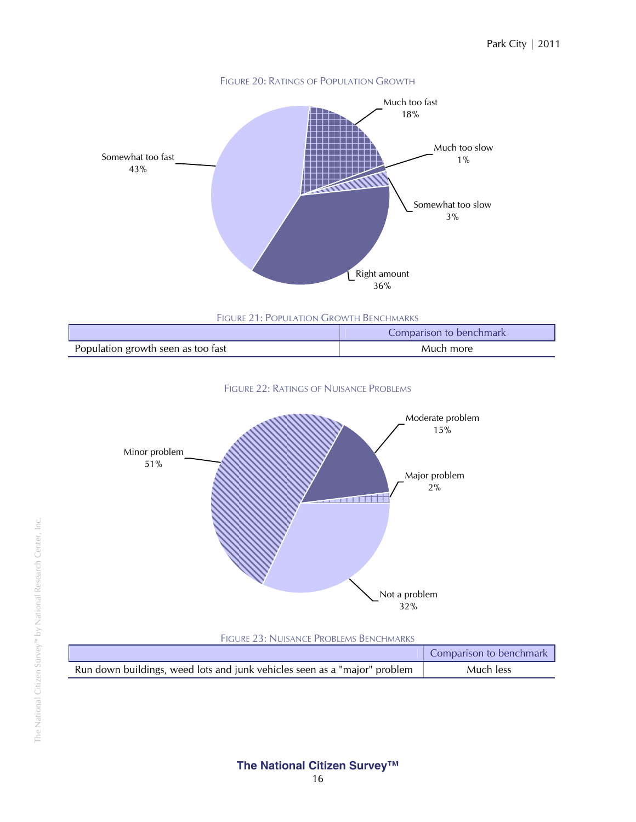

FIGURE 21: POPULATION GROWTH BENCHMARKS

|                                    | Comparison to benchmark |
|------------------------------------|-------------------------|
| Population growth seen as too fast | Much more               |





FIGURE 23: NUISANCE PROBLEMS BENCHMARKS

|                                                                           | Comparison to benchmark |
|---------------------------------------------------------------------------|-------------------------|
| Run down buildings, weed lots and junk vehicles seen as a "major" problem | Much less               |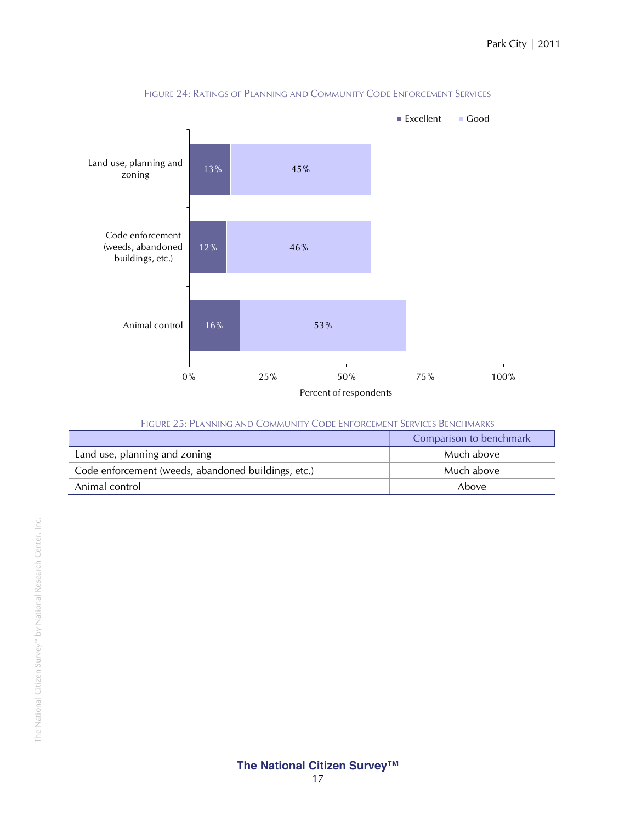

#### FIGURE 24: RATINGS OF PLANNING AND COMMUNITY CODE ENFORCEMENT SERVICES

| <b>FIGURE 25: PLANNING AND COMMUNITY CODE ENFORCEMENT SERVICES BENCHMARKS</b> |  |
|-------------------------------------------------------------------------------|--|
|-------------------------------------------------------------------------------|--|

| Comparison to benchmark                             |            |
|-----------------------------------------------------|------------|
| Land use, planning and zoning                       | Much above |
| Code enforcement (weeds, abandoned buildings, etc.) | Much above |
| Animal control                                      | Above      |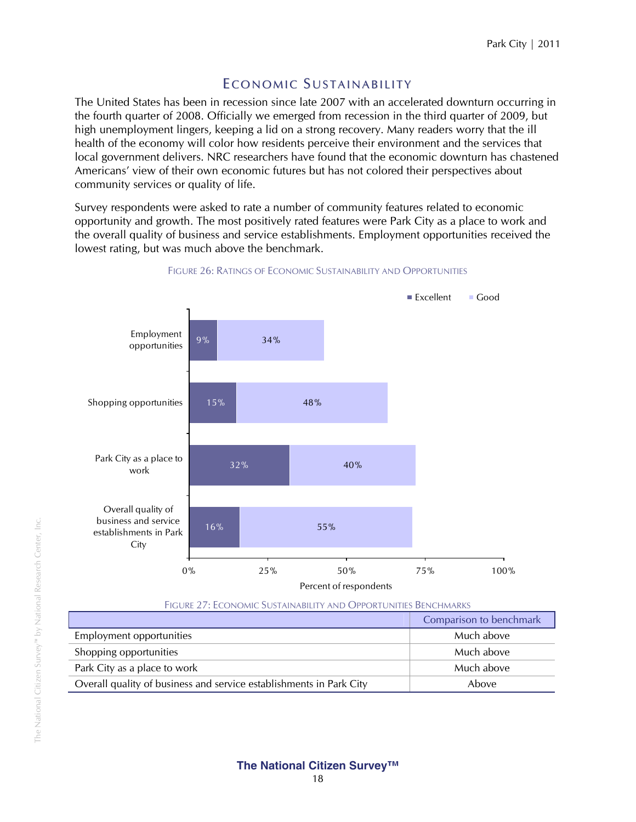# E CONOMIC SUSTAINABILITY

The United States has been in recession since late 2007 with an accelerated downturn occurring in the fourth quarter of 2008. Officially we emerged from recession in the third quarter of 2009, but high unemployment lingers, keeping a lid on a strong recovery. Many readers worry that the ill health of the economy will color how residents perceive their environment and the services that local government delivers. NRC researchers have found that the economic downturn has chastened Americans' view of their own economic futures but has not colored their perspectives about community services or quality of life.

Survey respondents were asked to rate a number of community features related to economic opportunity and growth. The most positively rated features were Park City as a place to work and the overall quality of business and service establishments. Employment opportunities received the lowest rating, but was much above the benchmark.



#### FIGURE 26: RATINGS OF ECONOMIC SUSTAINABILITY AND OPPORTUNITIES

| FIGURE 27: ECONOMIC SUSTAINABILITY AND OPPORTUNITIES BENCHMARKS     |            |  |
|---------------------------------------------------------------------|------------|--|
| Comparison to benchmark                                             |            |  |
| Employment opportunities                                            | Much above |  |
| Shopping opportunities                                              | Much above |  |
| Park City as a place to work                                        | Much above |  |
| Overall quality of business and service establishments in Park City | Above      |  |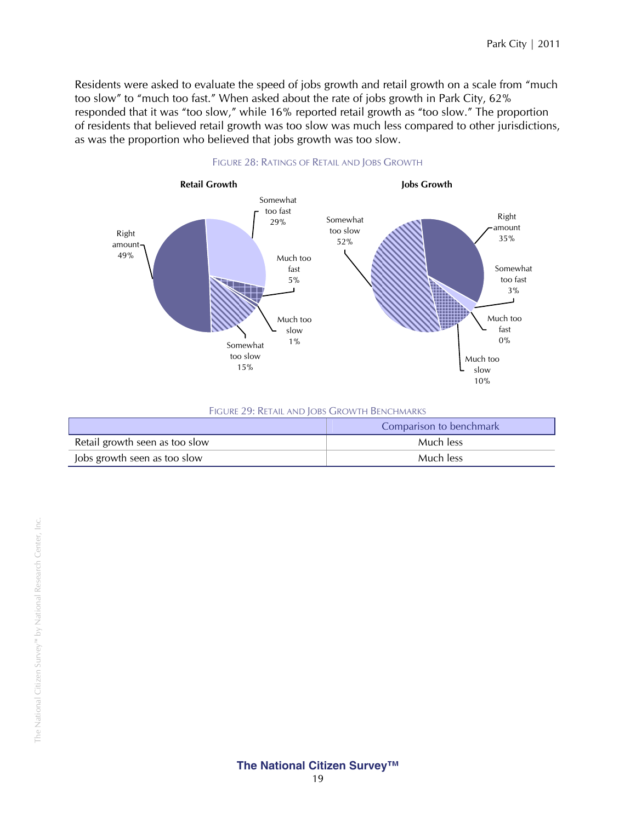Residents were asked to evaluate the speed of jobs growth and retail growth on a scale from "much too slow" to "much too fast." When asked about the rate of jobs growth in Park City, 62% responded that it was "too slow," while 16% reported retail growth as "too slow." The proportion of residents that believed retail growth was too slow was much less compared to other jurisdictions, as was the proportion who believed that jobs growth was too slow.



#### FIGURE 28: RATINGS OF RETAIL AND JOBS GROWTH

|  |  | FIGURE 29: RETAIL AND JOBS GROWTH BENCHMARKS |  |
|--|--|----------------------------------------------|--|
|--|--|----------------------------------------------|--|

|                                | Comparison to benchmark |
|--------------------------------|-------------------------|
| Retail growth seen as too slow | Much less               |
| Jobs growth seen as too slow   | Much less               |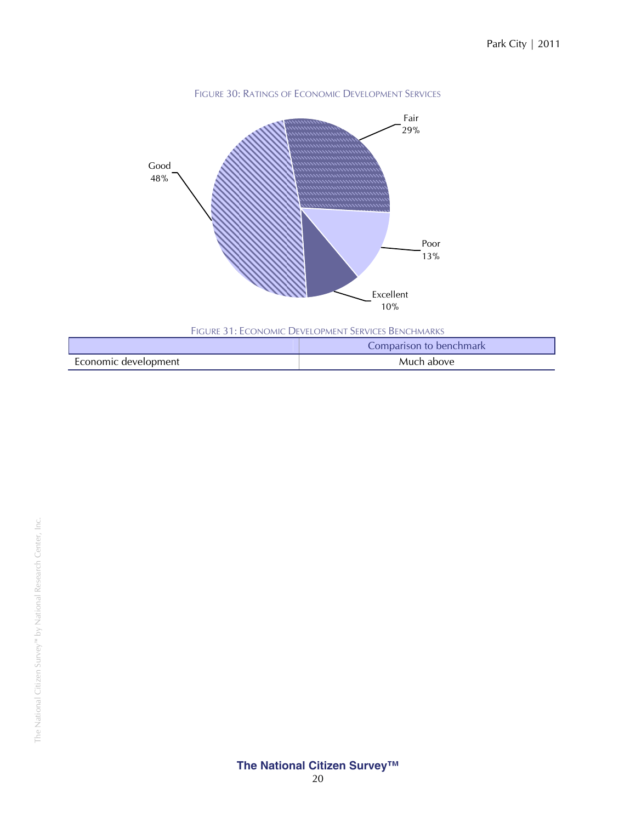

|                      | Comparison to benchmark |  |
|----------------------|-------------------------|--|
| Economic development | Much above              |  |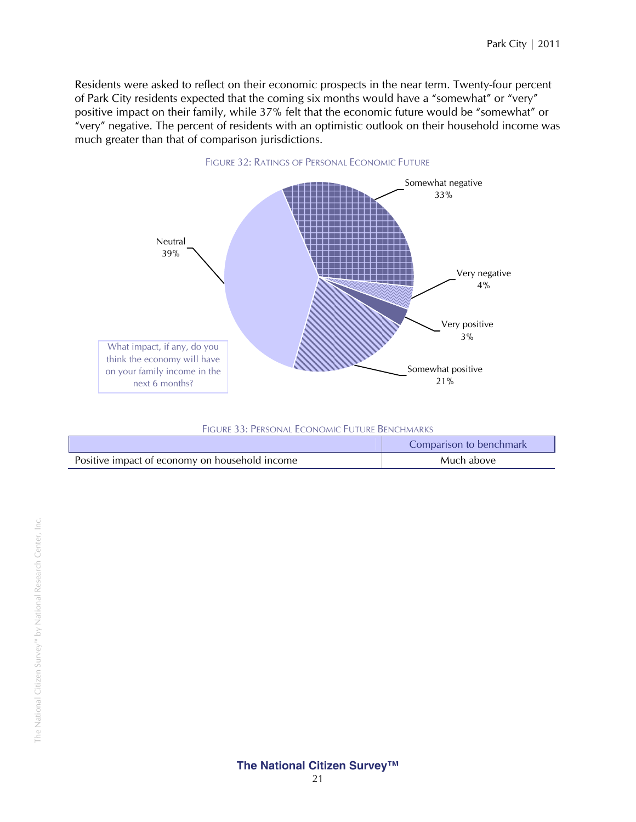Residents were asked to reflect on their economic prospects in the near term. Twenty-four percent of Park City residents expected that the coming six months would have a "somewhat" or "very" positive impact on their family, while 37% felt that the economic future would be "somewhat" or "very" negative. The percent of residents with an optimistic outlook on their household income was much greater than that of comparison jurisdictions.



| FIGURE 33: PERSONAL ECONOMIC FUTURE BENCHMARKS |                         |  |
|------------------------------------------------|-------------------------|--|
|                                                | Comparison to benchmark |  |
| Positive impact of economy on household income | Much above              |  |
|                                                |                         |  |

L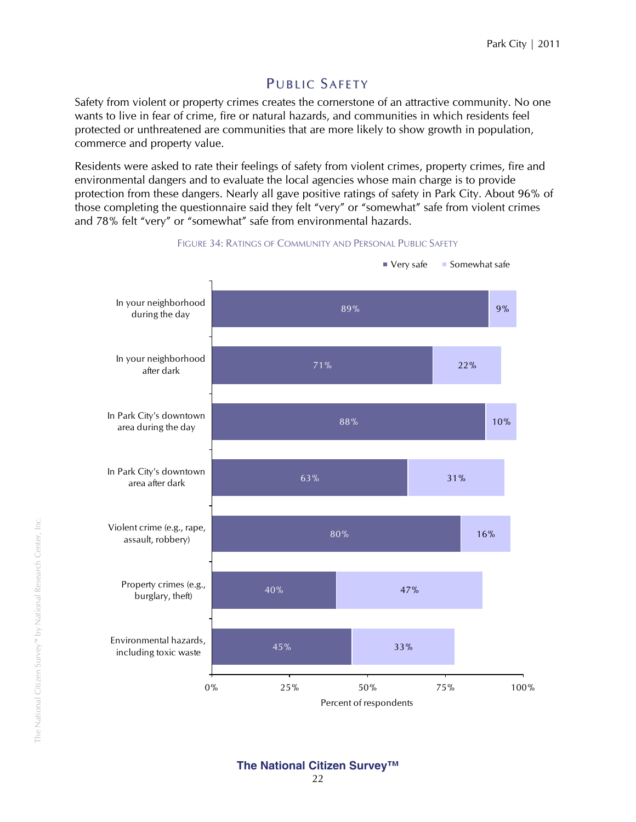# PUBLIC SAFETY

Safety from violent or property crimes creates the cornerstone of an attractive community. No one wants to live in fear of crime, fire or natural hazards, and communities in which residents feel protected or unthreatened are communities that are more likely to show growth in population, commerce and property value.

Residents were asked to rate their feelings of safety from violent crimes, property crimes, fire and environmental dangers and to evaluate the local agencies whose main charge is to provide protection from these dangers. Nearly all gave positive ratings of safety in Park City. About 96% of those completing the questionnaire said they felt "very" or "somewhat" safe from violent crimes and 78% felt "very" or "somewhat" safe from environmental hazards.



FIGURE 34: RATINGS OF COMMUNITY AND PERSONAL PUBLIC SAFETY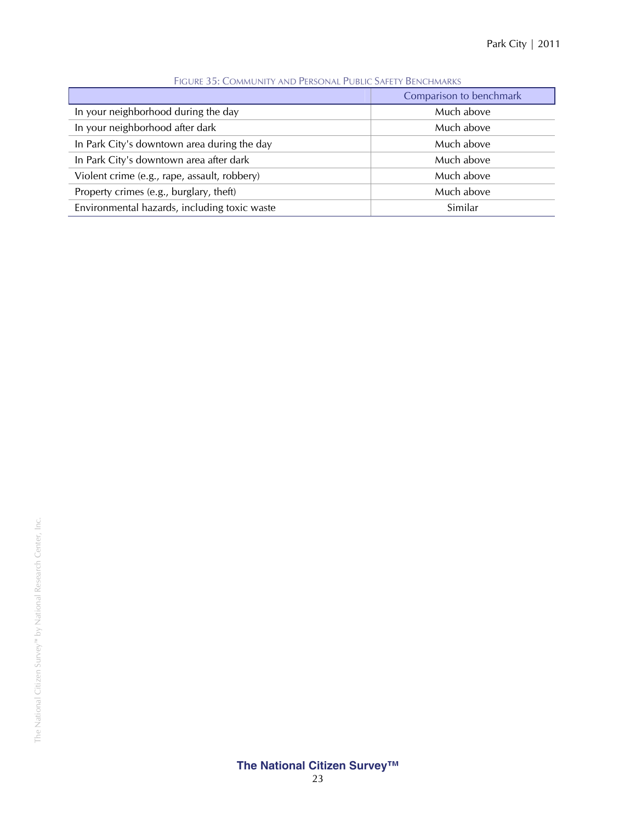| TIQUINE JJ. COMMONITI ANNO LEINJONNET UDEIC JAN ETT DEI NOTIMANNJ |            |  |
|-------------------------------------------------------------------|------------|--|
| Comparison to benchmark                                           |            |  |
| In your neighborhood during the day                               | Much above |  |
| In your neighborhood after dark                                   | Much above |  |
| In Park City's downtown area during the day                       | Much above |  |
| In Park City's downtown area after dark                           | Much above |  |
| Violent crime (e.g., rape, assault, robbery)                      | Much above |  |
| Property crimes (e.g., burglary, theft)                           | Much above |  |
| Environmental hazards, including toxic waste                      | Similar    |  |

FIGURE 35: COMMUNITY AND PERSONAL PUBLIC SAFETY BENCHMARKS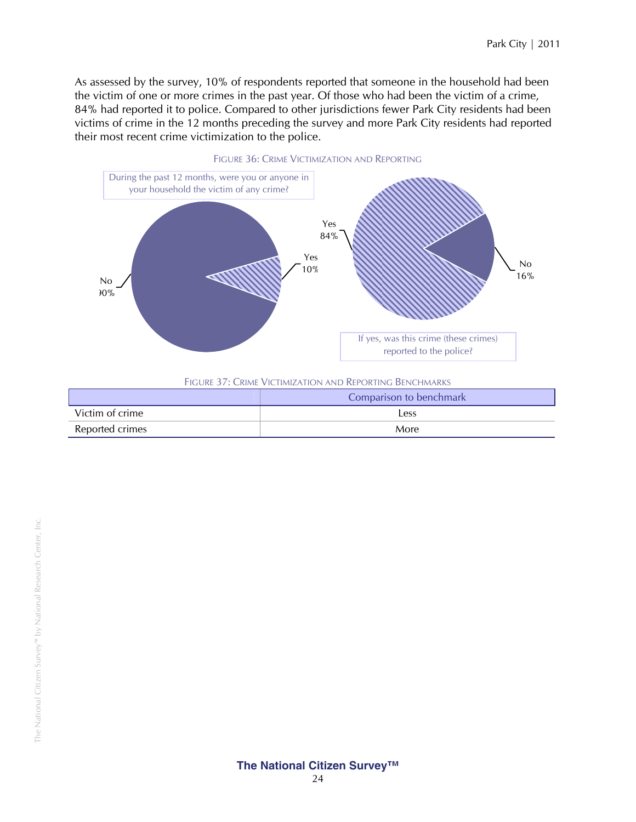As assessed by the survey, 10% of respondents reported that someone in the household had been the victim of one or more crimes in the past year. Of those who had been the victim of a crime, 84% had reported it to police. Compared to other jurisdictions fewer Park City residents had been victims of crime in the 12 months preceding the survey and more Park City residents had reported their most recent crime victimization to the police.



#### FIGURE 37: CRIME VICTIMIZATION AND REPORTING BENCHMARKS

|                 | Comparison to benchmark |  |
|-----------------|-------------------------|--|
| Victim of crime | Less                    |  |
| Reported crimes | More                    |  |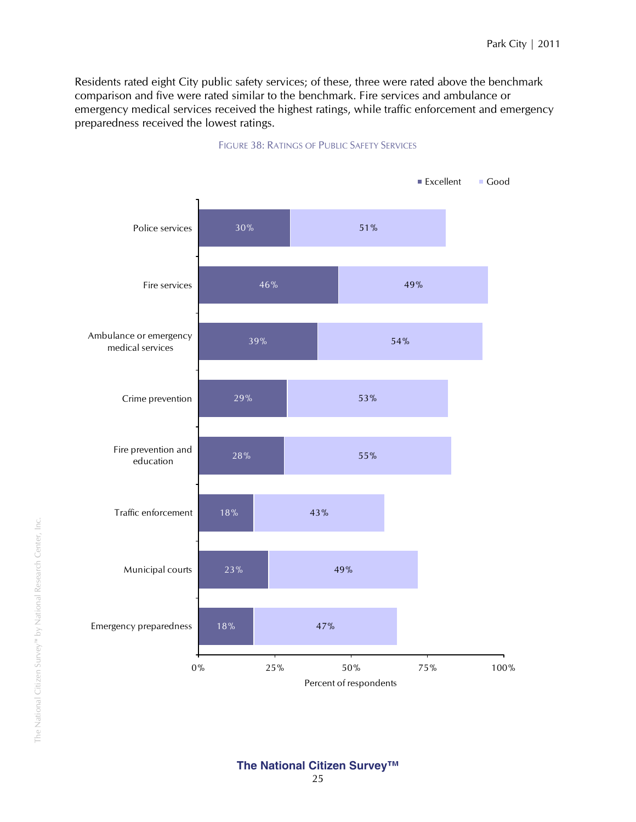Residents rated eight City public safety services; of these, three were rated above the benchmark comparison and five were rated similar to the benchmark. Fire services and ambulance or emergency medical services received the highest ratings, while traffic enforcement and emergency preparedness received the lowest ratings.



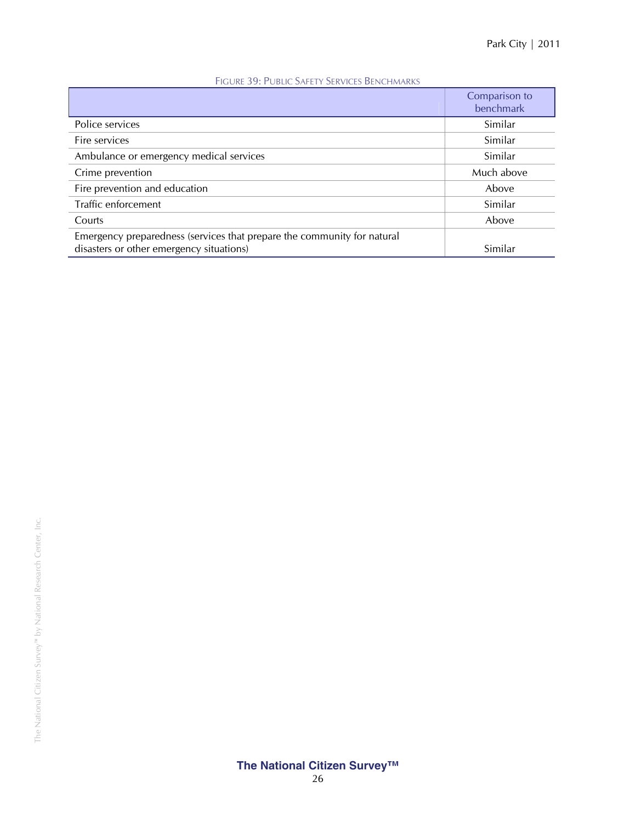|                                                                                                                     | Comparison to<br>benchmark |
|---------------------------------------------------------------------------------------------------------------------|----------------------------|
| Police services                                                                                                     | Similar                    |
| Fire services                                                                                                       | Similar                    |
| Ambulance or emergency medical services                                                                             | Similar                    |
| Crime prevention                                                                                                    | Much above                 |
| Fire prevention and education                                                                                       | Above                      |
| Traffic enforcement                                                                                                 | Similar                    |
| Courts                                                                                                              | Above                      |
| Emergency preparedness (services that prepare the community for natural<br>disasters or other emergency situations) | Similar                    |

#### FIGURE 39: PUBLIC SAFETY SERVICES BENCHMARKS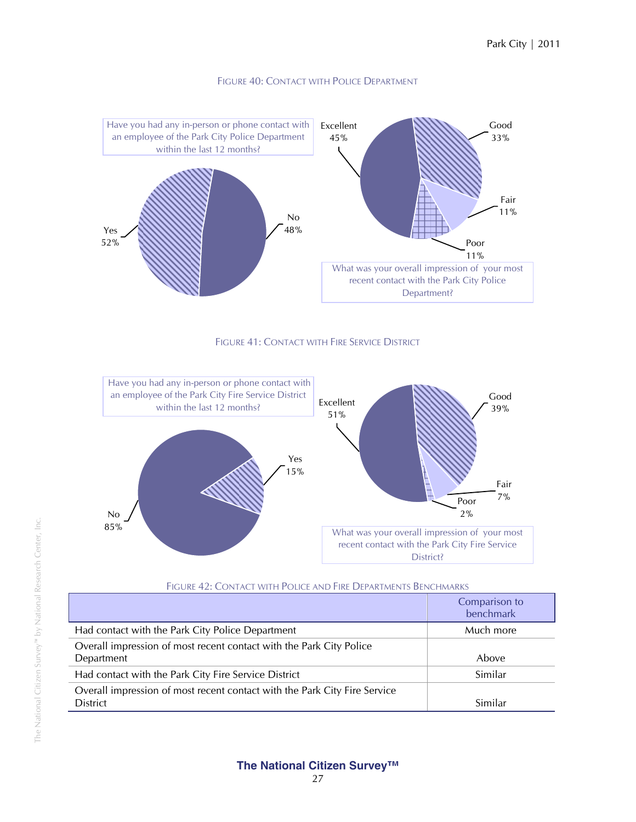

#### FIGURE 40: CONTACT WITH POLICE DEPARTMENT





| FIGURE 42: CONTACT WITH POLICE AND FIRE DEPARTMENTS BENCHMARKS |  |  |  |
|----------------------------------------------------------------|--|--|--|
|----------------------------------------------------------------|--|--|--|

|                                                                                              | Comparison to<br>benchmark |
|----------------------------------------------------------------------------------------------|----------------------------|
| Had contact with the Park City Police Department                                             | Much more                  |
| Overall impression of most recent contact with the Park City Police<br>Department            | Above                      |
| Had contact with the Park City Fire Service District                                         | Similar                    |
| Overall impression of most recent contact with the Park City Fire Service<br><b>District</b> | Similar                    |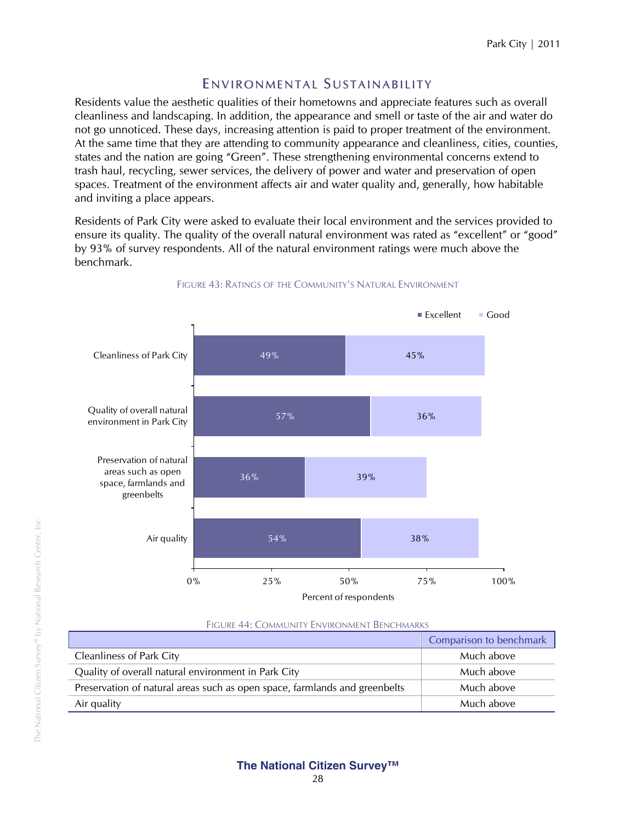# ENVIRONMENTAL SUSTAINABILITY

Residents value the aesthetic qualities of their hometowns and appreciate features such as overall cleanliness and landscaping. In addition, the appearance and smell or taste of the air and water do not go unnoticed. These days, increasing attention is paid to proper treatment of the environment. At the same time that they are attending to community appearance and cleanliness, cities, counties, states and the nation are going "Green". These strengthening environmental concerns extend to trash haul, recycling, sewer services, the delivery of power and water and preservation of open spaces. Treatment of the environment affects air and water quality and, generally, how habitable and inviting a place appears.

Residents of Park City were asked to evaluate their local environment and the services provided to ensure its quality. The quality of the overall natural environment was rated as "excellent" or "good" by 93% of survey respondents. All of the natural environment ratings were much above the benchmark.



#### FIGURE 43: RATINGS OF THE COMMUNITY'S NATURAL ENVIRONMENT

| FIGURE 44: COMMUNITY ENVIRONMENT BENCHMARKS |
|---------------------------------------------|
|---------------------------------------------|

|                                                                            | Comparison to benchmark |
|----------------------------------------------------------------------------|-------------------------|
| <b>Cleanliness of Park City</b>                                            | Much above              |
| Quality of overall natural environment in Park City                        | Much above              |
| Preservation of natural areas such as open space, farmlands and greenbelts | Much above              |
| Air quality                                                                | Much above              |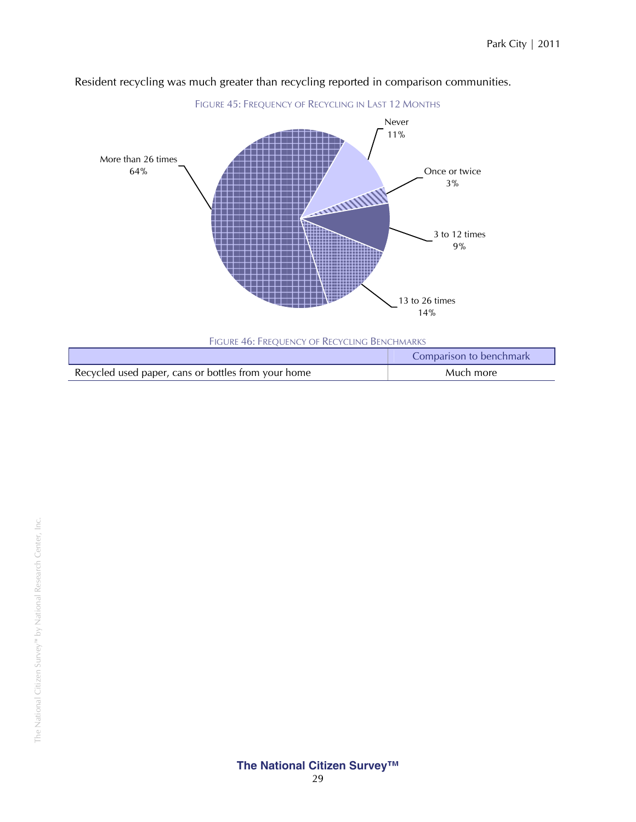

#### Resident recycling was much greater than recycling reported in comparison communities.

|                                                     | Comparison to benchmark |
|-----------------------------------------------------|-------------------------|
| Recycled used paper, cans or bottles from your home | Much more               |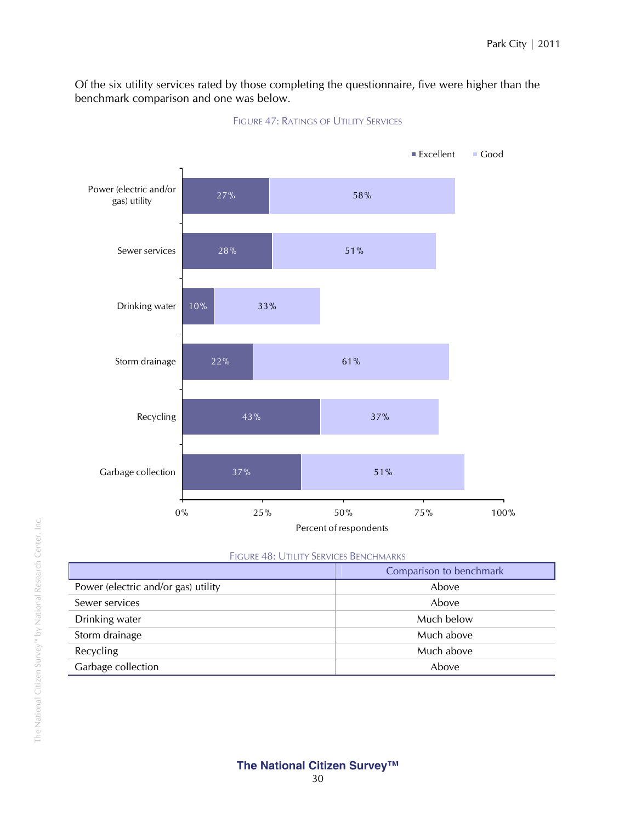Of the six utility services rated by those completing the questionnaire, five were higher than the benchmark comparison and one was below.



#### FIGURE 47: RATINGS OF UTILITY SERVICES

| FIGURE 48: UTILITY SERVICES BENCHMARKS |  |
|----------------------------------------|--|
|----------------------------------------|--|

|                                     | Comparison to benchmark |
|-------------------------------------|-------------------------|
| Power (electric and/or gas) utility | Above                   |
| Sewer services                      | Above                   |
| Drinking water                      | Much below              |
| Storm drainage                      | Much above              |
| Recycling                           | Much above              |
| Garbage collection                  | Above                   |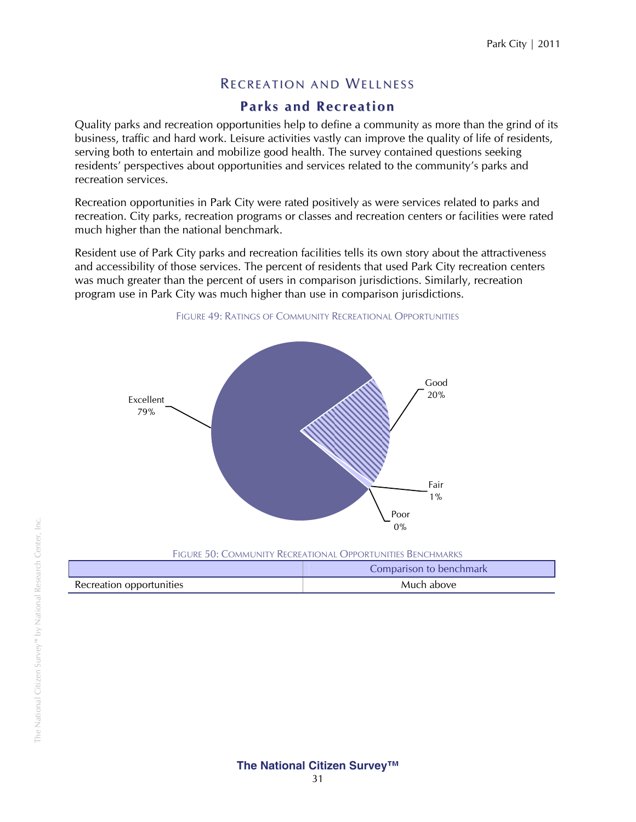# **RECREATION AND WELLNESS**

# **Parks and Recreation**

Quality parks and recreation opportunities help to define a community as more than the grind of its business, traffic and hard work. Leisure activities vastly can improve the quality of life of residents, serving both to entertain and mobilize good health. The survey contained questions seeking residents' perspectives about opportunities and services related to the community's parks and recreation services.

Recreation opportunities in Park City were rated positively as were services related to parks and recreation. City parks, recreation programs or classes and recreation centers or facilities were rated much higher than the national benchmark.

Resident use of Park City parks and recreation facilities tells its own story about the attractiveness and accessibility of those services. The percent of residents that used Park City recreation centers was much greater than the percent of users in comparison jurisdictions. Similarly, recreation program use in Park City was much higher than use in comparison jurisdictions.



FIGURE 49: RATINGS OF COMMUNITY RECREATIONAL OPPORTUNITIES

|                          | Comparison to benchmark |
|--------------------------|-------------------------|
| Recreation opportunities | Much above              |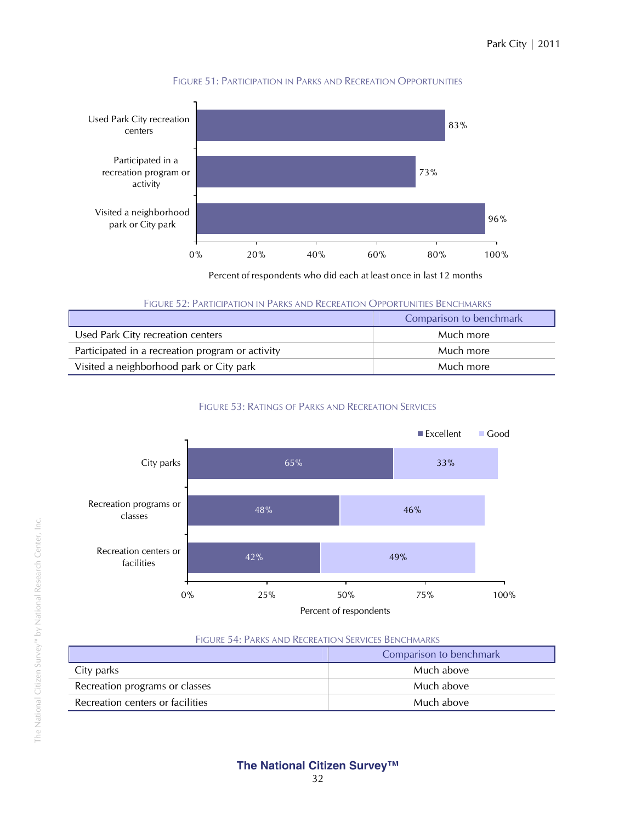

#### FIGURE 51: PARTICIPATION IN PARKS AND RECREATION OPPORTUNITIES

Percent of respondents who did each at least once in last 12 months

FIGURE 52: PARTICIPATION IN PARKS AND RECREATION OPPORTUNITIES BENCHMARKS

|                                                  | Comparison to benchmark |
|--------------------------------------------------|-------------------------|
| Used Park City recreation centers                | Much more               |
| Participated in a recreation program or activity | Much more               |
| Visited a neighborhood park or City park         | Much more               |

#### FIGURE 53: RATINGS OF PARKS AND RECREATION SERVICES



#### FIGURE 54: PARKS AND RECREATION SERVICES BENCHMARKS

|                                  | Comparison to benchmark |
|----------------------------------|-------------------------|
| City parks                       | Much above              |
| Recreation programs or classes   | Much above              |
| Recreation centers or facilities | Much above              |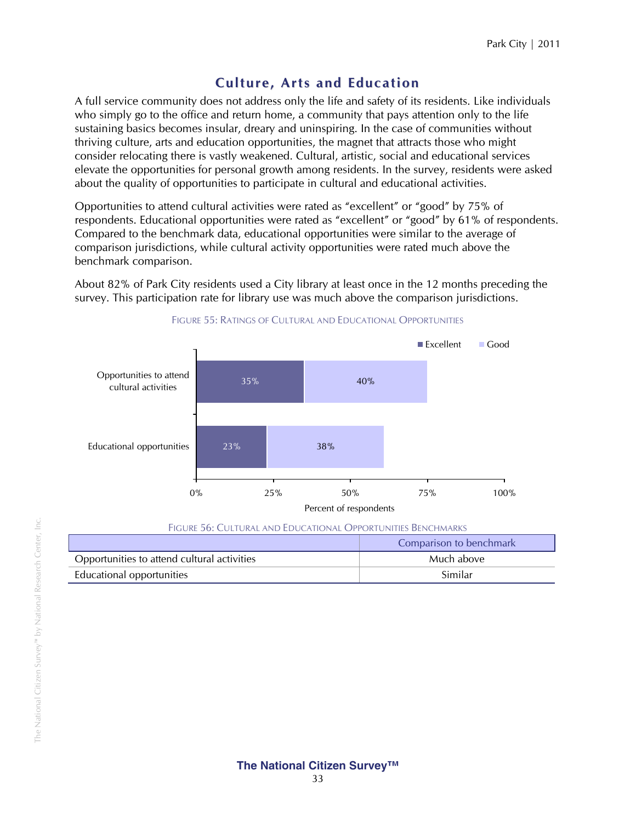# **Culture, Arts and Education**

A full service community does not address only the life and safety of its residents. Like individuals who simply go to the office and return home, a community that pays attention only to the life sustaining basics becomes insular, dreary and uninspiring. In the case of communities without thriving culture, arts and education opportunities, the magnet that attracts those who might consider relocating there is vastly weakened. Cultural, artistic, social and educational services elevate the opportunities for personal growth among residents. In the survey, residents were asked about the quality of opportunities to participate in cultural and educational activities.

Opportunities to attend cultural activities were rated as "excellent" or "good" by 75% of respondents. Educational opportunities were rated as "excellent" or "good" by 61% of respondents. Compared to the benchmark data, educational opportunities were similar to the average of comparison jurisdictions, while cultural activity opportunities were rated much above the benchmark comparison.

About 82% of Park City residents used a City library at least once in the 12 months preceding the survey. This participation rate for library use was much above the comparison jurisdictions.



#### FIGURE 55: RATINGS OF CULTURAL AND EDUCATIONAL OPPORTUNITIES

| FIGURE 56: CULTURAL AND EDUCATIONAL OPPORTUNITIES BENCHMARKS |                         |
|--------------------------------------------------------------|-------------------------|
|                                                              | Comparison to benchmark |
| Opportunities to attend cultural activities                  | Much above              |
| Educational opportunities                                    | Similar                 |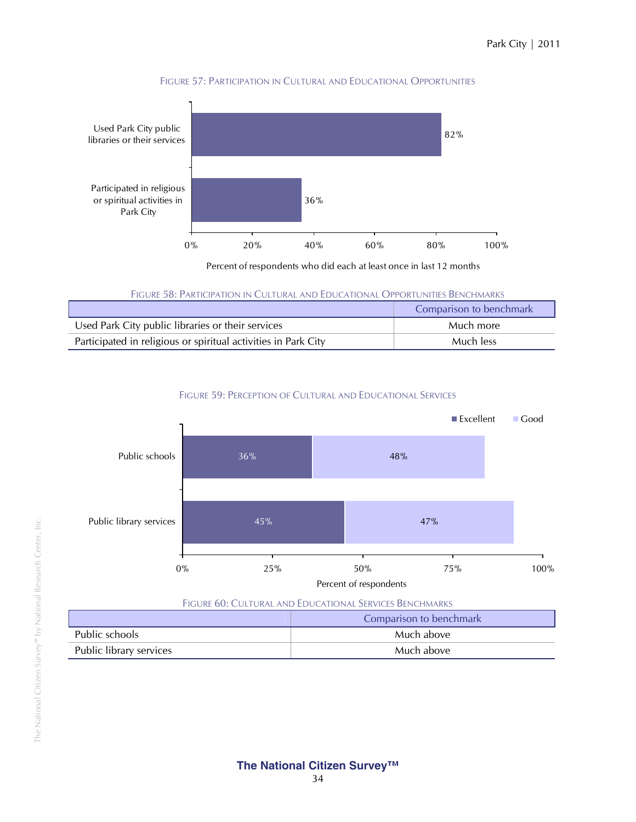

#### FIGURE 57: PARTICIPATION IN CULTURAL AND EDUCATIONAL OPPORTUNITIES

Percent of respondents who did each at least once in last 12 months

FIGURE 58: PARTICIPATION IN CULTURAL AND EDUCATIONAL OPPORTUNITIES BENCHMARKS

|                                                                | Comparison to benchmark |
|----------------------------------------------------------------|-------------------------|
| Used Park City public libraries or their services              | Much more               |
| Participated in religious or spiritual activities in Park City | Much less               |

#### FIGURE 59: PERCEPTION OF CULTURAL AND EDUCATIONAL SERVICES



|                         | Comparison to benchmark |
|-------------------------|-------------------------|
| Public schools          | Much above              |
| Public library services | Much above              |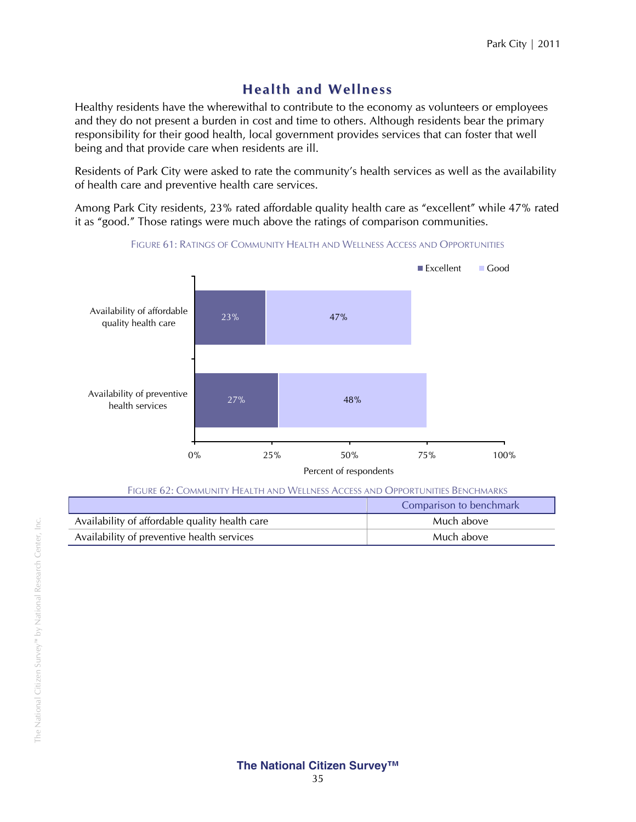## **Health and Wellness**

Healthy residents have the wherewithal to contribute to the economy as volunteers or employees and they do not present a burden in cost and time to others. Although residents bear the primary responsibility for their good health, local government provides services that can foster that well being and that provide care when residents are ill.

Residents of Park City were asked to rate the community's health services as well as the availability of health care and preventive health care services.

Among Park City residents, 23% rated affordable quality health care as "excellent" while 47% rated it as "good." Those ratings were much above the ratings of comparison communities.



Availability of preventive health services and the matter of the Much above Much above

FIGURE 61: RATINGS OF COMMUNITY HEALTH AND WELLNESS ACCESS AND OPPORTUNITIES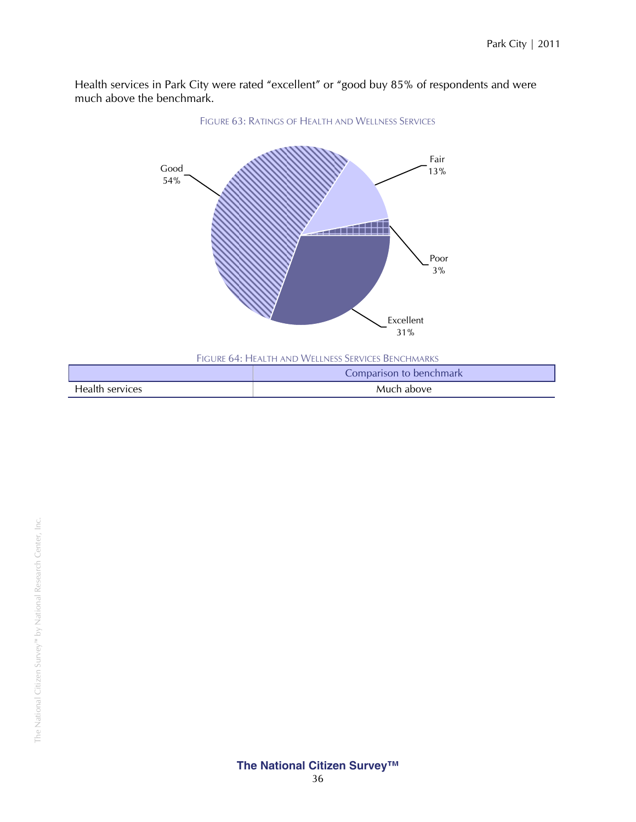Health services in Park City were rated "excellent" or "good buy 85% of respondents and were much above the benchmark.



FIGURE 64: HEALTH AND WELLNESS SERVICES BENCHMARKS

|                 | Comparison to benchmark |
|-----------------|-------------------------|
| Health services | Much above              |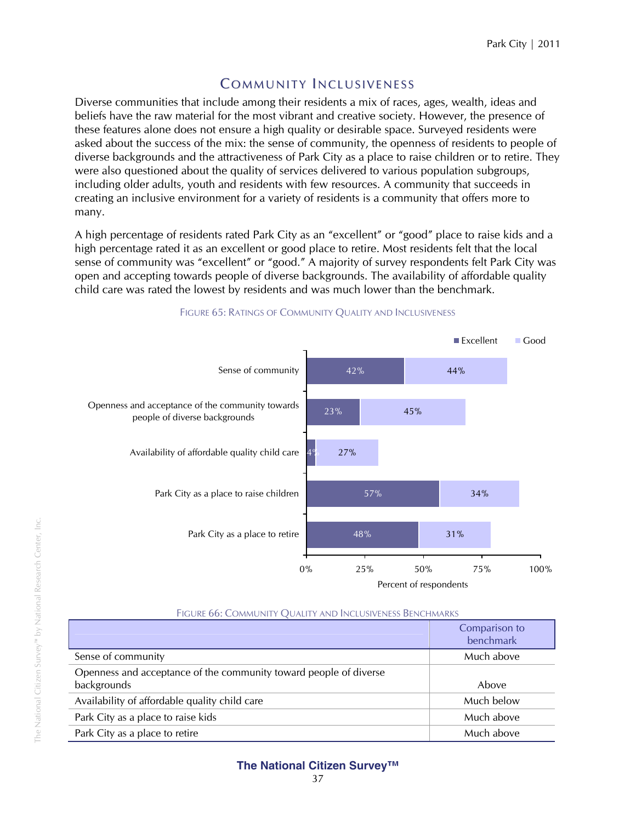## **COMMUNITY INCLUSIVENESS**

Diverse communities that include among their residents a mix of races, ages, wealth, ideas and beliefs have the raw material for the most vibrant and creative society. However, the presence of these features alone does not ensure a high quality or desirable space. Surveyed residents were asked about the success of the mix: the sense of community, the openness of residents to people of diverse backgrounds and the attractiveness of Park City as a place to raise children or to retire. They were also questioned about the quality of services delivered to various population subgroups, including older adults, youth and residents with few resources. A community that succeeds in creating an inclusive environment for a variety of residents is a community that offers more to many.

A high percentage of residents rated Park City as an "excellent" or "good" place to raise kids and a high percentage rated it as an excellent or good place to retire. Most residents felt that the local sense of community was "excellent" or "good." A majority of survey respondents felt Park City was open and accepting towards people of diverse backgrounds. The availability of affordable quality child care was rated the lowest by residents and was much lower than the benchmark.



#### FIGURE 65: RATINGS OF COMMUNITY QUALITY AND INCLUSIVENESS

|                                                                                  | Comparison to<br>benchmark |
|----------------------------------------------------------------------------------|----------------------------|
| Sense of community                                                               | Much above                 |
| Openness and acceptance of the community toward people of diverse<br>backgrounds | Above                      |
| Availability of affordable quality child care                                    | Much below                 |
| Park City as a place to raise kids                                               | Much above                 |
| Park City as a place to retire                                                   | Much above                 |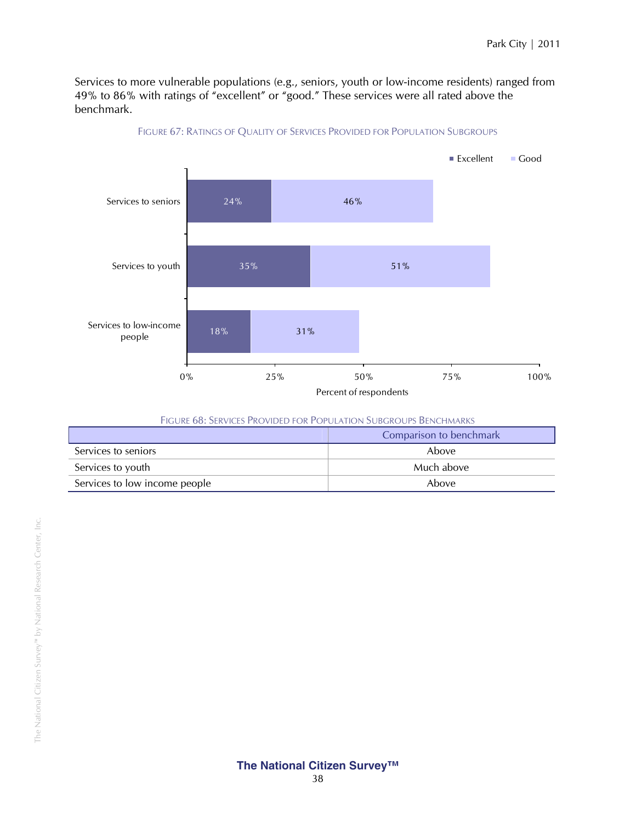Services to more vulnerable populations (e.g., seniors, youth or low-income residents) ranged from 49% to 86% with ratings of "excellent" or "good." These services were all rated above the benchmark.



#### FIGURE 67: RATINGS OF QUALITY OF SERVICES PROVIDED FOR POPULATION SUBGROUPS

| <b>FIGURE 68: SERVICES PROVIDED FOR POPULATION SUBGROUPS BENCHMARKS</b> |            |
|-------------------------------------------------------------------------|------------|
| Comparison to benchmark                                                 |            |
| Services to seniors                                                     | Above      |
| Services to youth                                                       | Much above |
| Services to low income people                                           | Above      |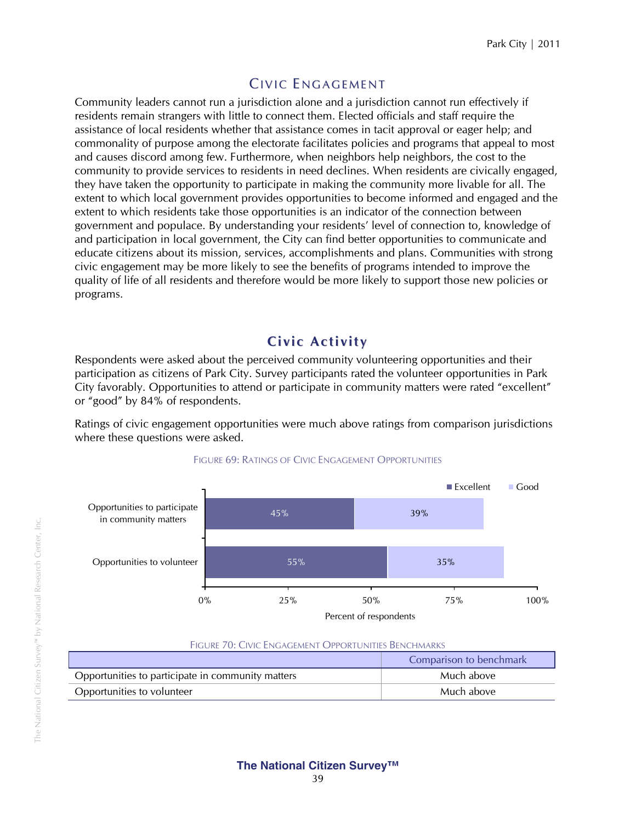## CIVIC ENGAGEMENT

Community leaders cannot run a jurisdiction alone and a jurisdiction cannot run effectively if residents remain strangers with little to connect them. Elected officials and staff require the assistance of local residents whether that assistance comes in tacit approval or eager help; and commonality of purpose among the electorate facilitates policies and programs that appeal to most and causes discord among few. Furthermore, when neighbors help neighbors, the cost to the community to provide services to residents in need declines. When residents are civically engaged, they have taken the opportunity to participate in making the community more livable for all. The extent to which local government provides opportunities to become informed and engaged and the extent to which residents take those opportunities is an indicator of the connection between government and populace. By understanding your residents' level of connection to, knowledge of and participation in local government, the City can find better opportunities to communicate and educate citizens about its mission, services, accomplishments and plans. Communities with strong civic engagement may be more likely to see the benefits of programs intended to improve the quality of life of all residents and therefore would be more likely to support those new policies or programs.

## **Civic Activity**

Respondents were asked about the perceived community volunteering opportunities and their participation as citizens of Park City. Survey participants rated the volunteer opportunities in Park City favorably. Opportunities to attend or participate in community matters were rated "excellent" or "good" by 84% of respondents.

Ratings of civic engagement opportunities were much above ratings from comparison jurisdictions where these questions were asked.



#### FIGURE 69: RATINGS OF CIVIC ENGAGEMENT OPPORTUNITIES

#### FIGURE 70: CIVIC ENGAGEMENT OPPORTUNITIES BENCHMARKS

|                                                   | Comparison to benchmark |
|---------------------------------------------------|-------------------------|
| Opportunities to participate in community matters | Much above              |
| Opportunities to volunteer                        | Much above              |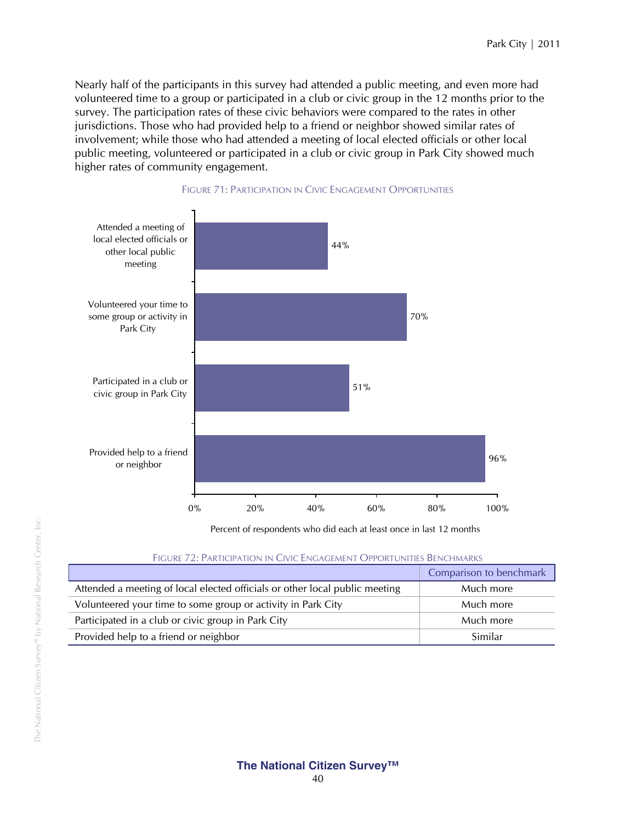Nearly half of the participants in this survey had attended a public meeting, and even more had volunteered time to a group or participated in a club or civic group in the 12 months prior to the survey. The participation rates of these civic behaviors were compared to the rates in other jurisdictions. Those who had provided help to a friend or neighbor showed similar rates of involvement; while those who had attended a meeting of local elected officials or other local public meeting, volunteered or participated in a club or civic group in Park City showed much higher rates of community engagement.



#### FIGURE 71: PARTICIPATION IN CIVIC ENGAGEMENT OPPORTUNITIES

Percent of respondents who did each at least once in last 12 months

| <b>FIGURE 72: PARTICIPATION IN CIVIC ENGAGEMENT OPPORTUNITIES BENCHMARKS</b> |                         |
|------------------------------------------------------------------------------|-------------------------|
|                                                                              | Comparison to benchmark |
| Attended a meeting of local elected officials or other local public meeting  | Much more               |
|                                                                              |                         |

| Attended a meeting of local elected officials or other local public meeting | Much more |
|-----------------------------------------------------------------------------|-----------|
| Volunteered your time to some group or activity in Park City                | Much more |
| Participated in a club or civic group in Park City                          | Much more |
| Provided help to a friend or neighbor                                       | Similar   |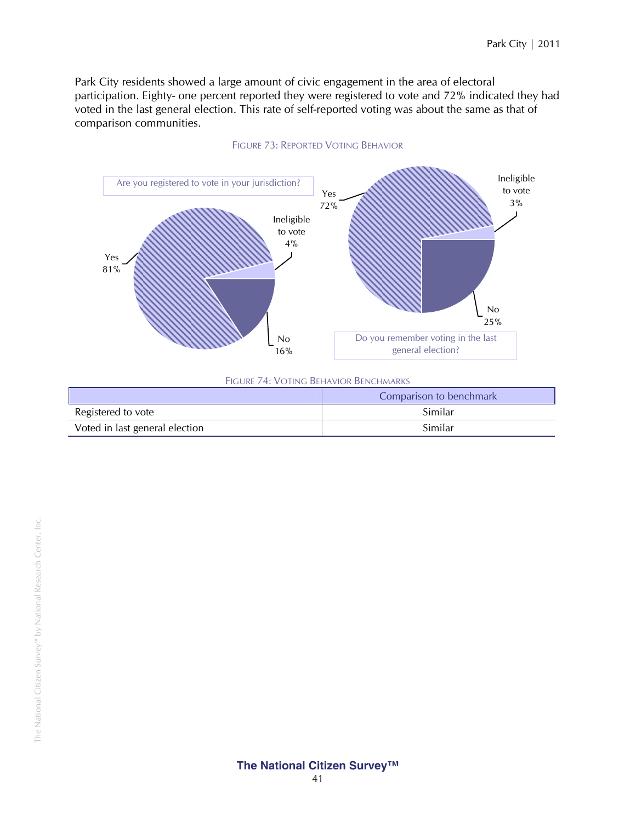Park City residents showed a large amount of civic engagement in the area of electoral participation. Eighty- one percent reported they were registered to vote and 72% indicated they had voted in the last general election. This rate of self-reported voting was about the same as that of comparison communities.



#### FIGURE 73: REPORTED VOTING BEHAVIOR

|                                | Comparison to benchmark |
|--------------------------------|-------------------------|
| Registered to vote             | Similar                 |
| Voted in last general election | Similar                 |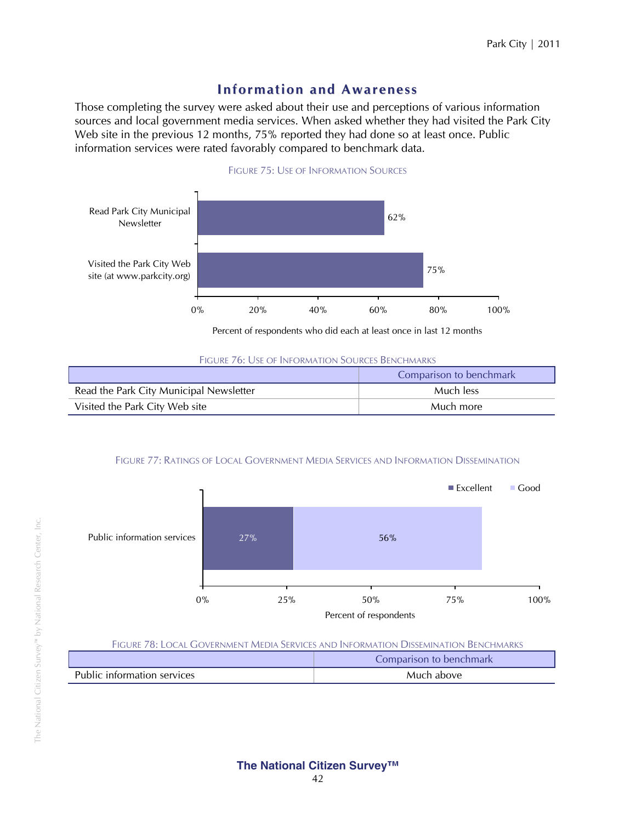## **Infor mation and Awareness**

Those completing the survey were asked about their use and perceptions of various information sources and local government media services. When asked whether they had visited the Park City Web site in the previous 12 months, 75% reported they had done so at least once. Public information services were rated favorably compared to benchmark data.



FIGURE 75: USE OF INFORMATION SOURCES

Percent of respondents who did each at least once in last 12 months

| <b>FIGURE 76: USE OF INFORMATION SOURCES BENCHMARKS</b> |
|---------------------------------------------------------|
|---------------------------------------------------------|

|                                         | Comparison to benchmark |
|-----------------------------------------|-------------------------|
| Read the Park City Municipal Newsletter | Much less               |
| Visited the Park City Web site          | Much more               |

## FIGURE 77: RATINGS OF LOCAL GOVERNMENT MEDIA SERVICES AND INFORMATION DISSEMINATION



#### FIGURE 78: LOCAL GOVERNMENT MEDIA SERVICES AND INFORMATION DISSEMINATION BENCHMARKS

|                             | Comparison to benchmark |
|-----------------------------|-------------------------|
| Public information services | Much above              |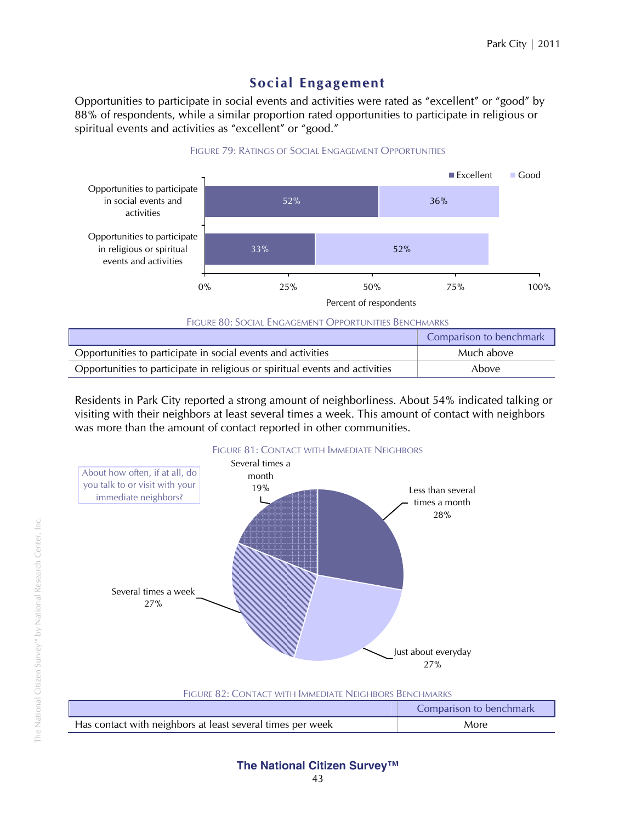## **Social Engage ment**

FIGURE 79: RATINGS OF SOCIAL ENGAGEMENT OPPORTUNITIES

Opportunities to participate in social events and activities were rated as "excellent" or "good" by 88% of respondents, while a similar proportion rated opportunities to participate in religious or spiritual events and activities as "excellent" or "good."



|                                                                              | Comparison to benchmark |
|------------------------------------------------------------------------------|-------------------------|
| Opportunities to participate in social events and activities                 | Much above              |
| Opportunities to participate in religious or spiritual events and activities | Above                   |

Residents in Park City reported a strong amount of neighborliness. About 54% indicated talking or visiting with their neighbors at least several times a week. This amount of contact with neighbors was more than the amount of contact reported in other communities.



| FIGURE 82: CONTACT WITH IMMEDIATE NEIGHBORS BENCHMARKS     |      |  |  |
|------------------------------------------------------------|------|--|--|
| Comparison to benchmark                                    |      |  |  |
| Has contact with neighbors at least several times per week | More |  |  |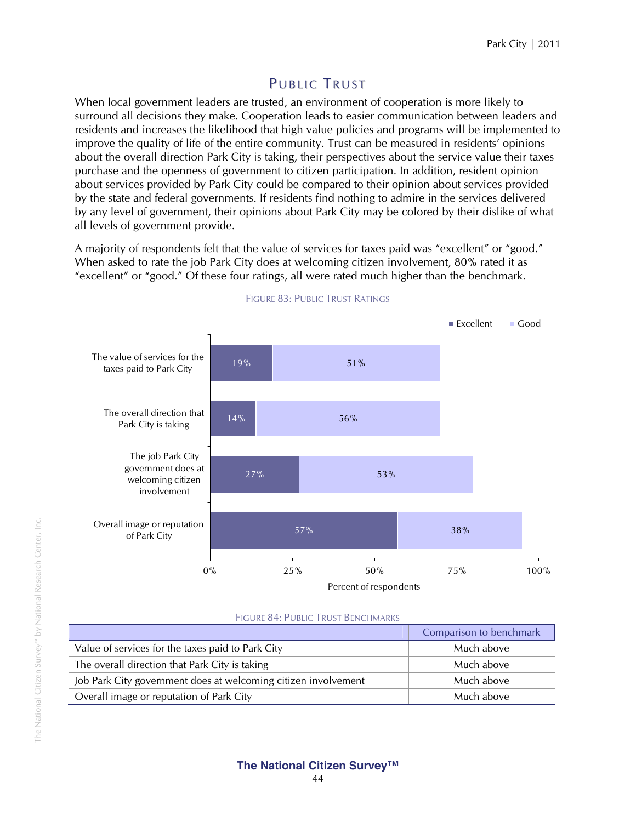## PUBLIC TRUST

When local government leaders are trusted, an environment of cooperation is more likely to surround all decisions they make. Cooperation leads to easier communication between leaders and residents and increases the likelihood that high value policies and programs will be implemented to improve the quality of life of the entire community. Trust can be measured in residents' opinions about the overall direction Park City is taking, their perspectives about the service value their taxes purchase and the openness of government to citizen participation. In addition, resident opinion about services provided by Park City could be compared to their opinion about services provided by the state and federal governments. If residents find nothing to admire in the services delivered by any level of government, their opinions about Park City may be colored by their dislike of what all levels of government provide.

A majority of respondents felt that the value of services for taxes paid was "excellent" or "good." When asked to rate the job Park City does at welcoming citizen involvement, 80% rated it as "excellent" or "good." Of these four ratings, all were rated much higher than the benchmark.



#### FIGURE 83: PUBLIC TRUST RATINGS

#### FIGURE 84: PUBLIC TRUST BENCHMARKS

|                                                                | Comparison to benchmark |
|----------------------------------------------------------------|-------------------------|
| Value of services for the taxes paid to Park City              | Much above              |
| The overall direction that Park City is taking                 | Much above              |
| Job Park City government does at welcoming citizen involvement | Much above              |
| Overall image or reputation of Park City                       | Much above              |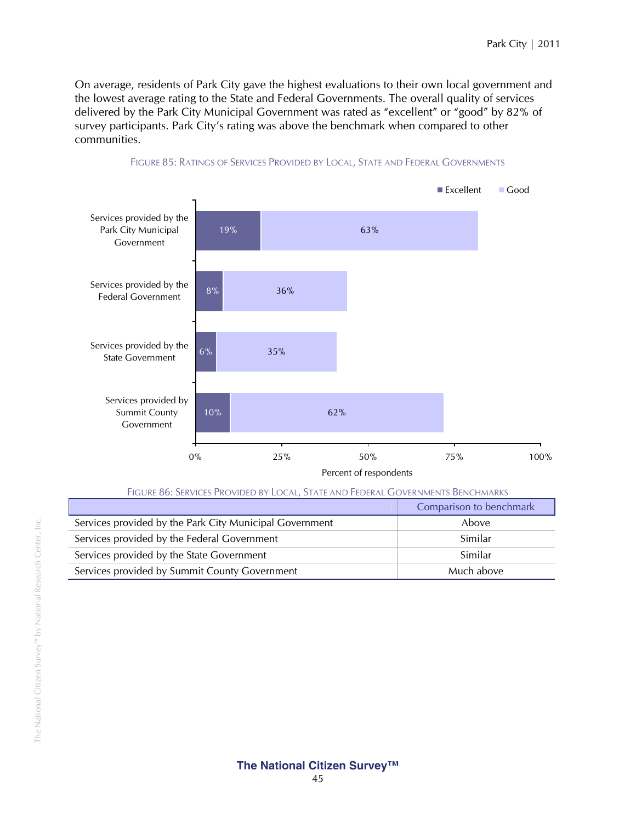On average, residents of Park City gave the highest evaluations to their own local government and the lowest average rating to the State and Federal Governments. The overall quality of services delivered by the Park City Municipal Government was rated as "excellent" or "good" by 82% of survey participants. Park City's rating was above the benchmark when compared to other communities.



#### FIGURE 85: RATINGS OF SERVICES PROVIDED BY LOCAL, STATE AND FEDERAL GOVERNMENTS

| Figure 86: Services Provided by Local, State and Federal Governments Benchmarks |  |
|---------------------------------------------------------------------------------|--|
|---------------------------------------------------------------------------------|--|

|                                                         | Comparison to benchmark |
|---------------------------------------------------------|-------------------------|
| Services provided by the Park City Municipal Government | Above                   |
| Services provided by the Federal Government             | Similar                 |
| Services provided by the State Government               | Similar                 |
| Services provided by Summit County Government           | Much above              |
|                                                         |                         |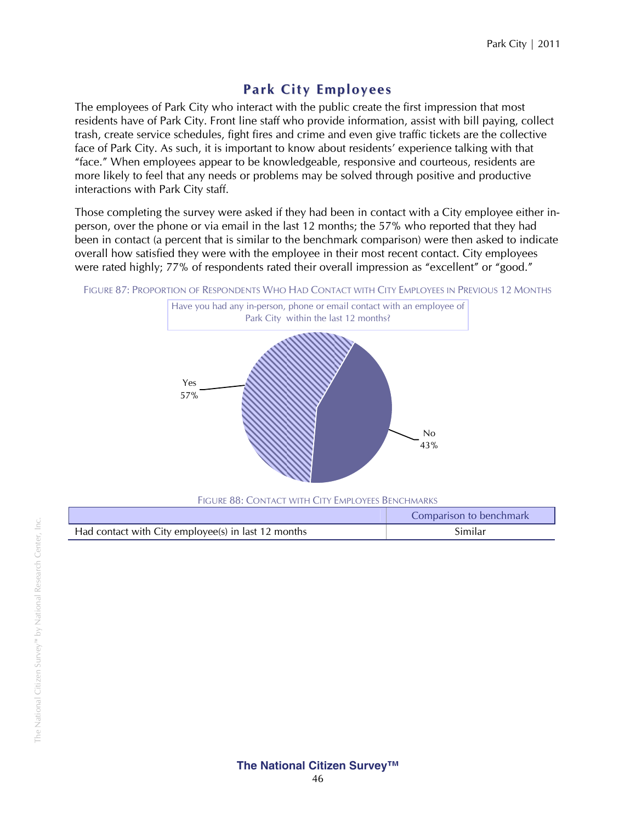## **Park City E mployees**

The employees of Park City who interact with the public create the first impression that most residents have of Park City. Front line staff who provide information, assist with bill paying, collect trash, create service schedules, fight fires and crime and even give traffic tickets are the collective face of Park City. As such, it is important to know about residents' experience talking with that "face." When employees appear to be knowledgeable, responsive and courteous, residents are more likely to feel that any needs or problems may be solved through positive and productive interactions with Park City staff.

Those completing the survey were asked if they had been in contact with a City employee either inperson, over the phone or via email in the last 12 months; the 57% who reported that they had been in contact (a percent that is similar to the benchmark comparison) were then asked to indicate overall how satisfied they were with the employee in their most recent contact. City employees were rated highly; 77% of respondents rated their overall impression as "excellent" or "good."

FIGURE 87: PROPORTION OF RESPONDENTS WHO HAD CONTACT WITH CITY EMPLOYEES IN PREVIOUS 12 MONTHS



FIGURE 88: CONTACT WITH CITY EMPLOYEES BENCHMARKS

|                                                     | Comparison to benchmark |  |  |  |  |
|-----------------------------------------------------|-------------------------|--|--|--|--|
| Had contact with City employee(s) in last 12 months | Similar                 |  |  |  |  |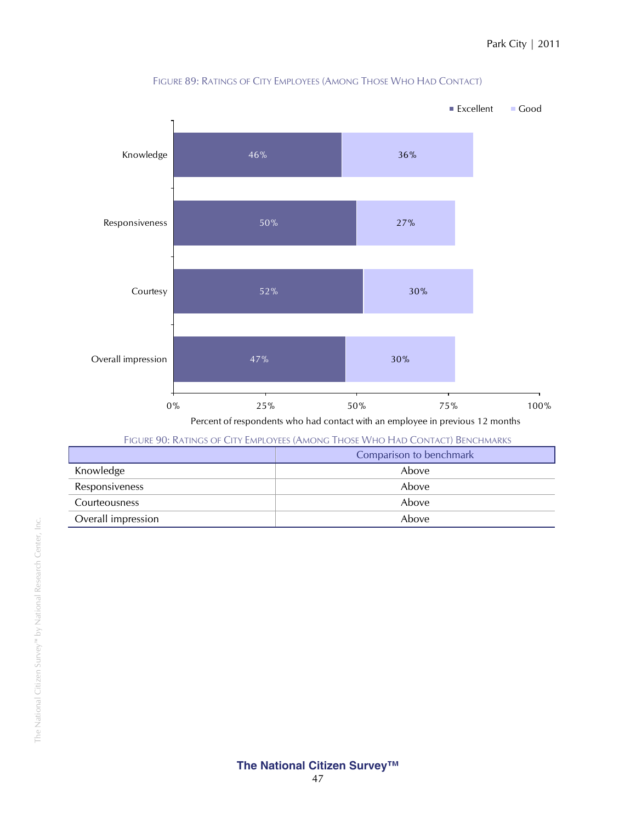

FIGURE 89: RATINGS OF CITY EMPLOYEES (AMONG THOSE WHO HAD CONTACT)

| FIGURE 90: RATINGS OF CITY EMPLOYEES (AMONG THOSE WHO HAD CONTACT) BENCHMARKS |                         |  |  |  |
|-------------------------------------------------------------------------------|-------------------------|--|--|--|
|                                                                               | Comparison to benchmark |  |  |  |
| Knowledge                                                                     | Above                   |  |  |  |
| Responsiveness                                                                | Above                   |  |  |  |
| Courteousness                                                                 | Above                   |  |  |  |
| Overall impression                                                            | Above                   |  |  |  |
|                                                                               |                         |  |  |  |

 $\overline{\phantom{a}}$ 

 $\overline{\phantom{a}}$ 

Ē,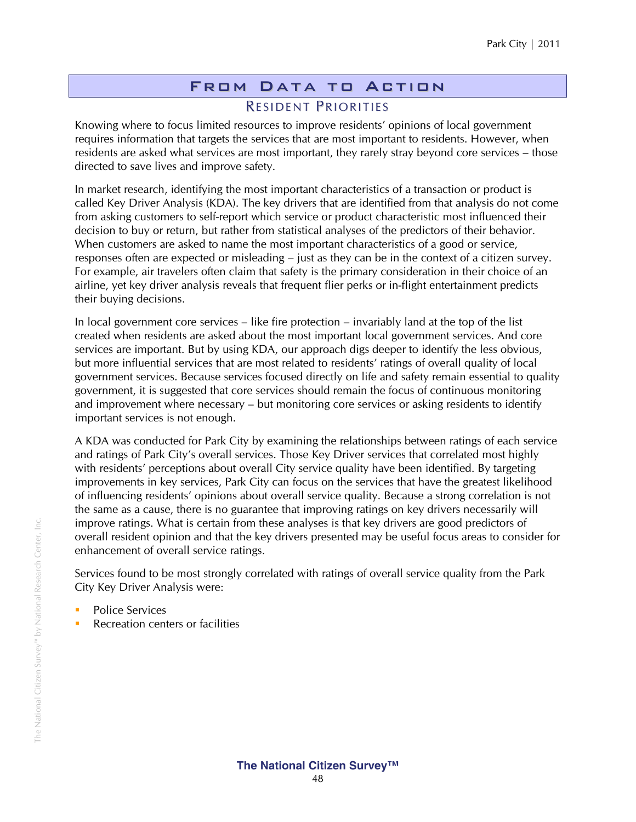## From Data to Action RESIDENT PRIORITIES

Knowing where to focus limited resources to improve residents' opinions of local government requires information that targets the services that are most important to residents. However, when residents are asked what services are most important, they rarely stray beyond core services – those directed to save lives and improve safety.

In market research, identifying the most important characteristics of a transaction or product is called Key Driver Analysis (KDA). The key drivers that are identified from that analysis do not come from asking customers to self-report which service or product characteristic most influenced their decision to buy or return, but rather from statistical analyses of the predictors of their behavior. When customers are asked to name the most important characteristics of a good or service, responses often are expected or misleading – just as they can be in the context of a citizen survey. For example, air travelers often claim that safety is the primary consideration in their choice of an airline, yet key driver analysis reveals that frequent flier perks or in-flight entertainment predicts their buying decisions.

In local government core services – like fire protection – invariably land at the top of the list created when residents are asked about the most important local government services. And core services are important. But by using KDA, our approach digs deeper to identify the less obvious, but more influential services that are most related to residents' ratings of overall quality of local government services. Because services focused directly on life and safety remain essential to quality government, it is suggested that core services should remain the focus of continuous monitoring and improvement where necessary – but monitoring core services or asking residents to identify important services is not enough.

A KDA was conducted for Park City by examining the relationships between ratings of each service and ratings of Park City's overall services. Those Key Driver services that correlated most highly with residents' perceptions about overall City service quality have been identified. By targeting improvements in key services, Park City can focus on the services that have the greatest likelihood of influencing residents' opinions about overall service quality. Because a strong correlation is not the same as a cause, there is no guarantee that improving ratings on key drivers necessarily will improve ratings. What is certain from these analyses is that key drivers are good predictors of overall resident opinion and that the key drivers presented may be useful focus areas to consider for enhancement of overall service ratings.

Services found to be most strongly correlated with ratings of overall service quality from the Park City Key Driver Analysis were:

- **Police Services**
- **Recreation centers or facilities**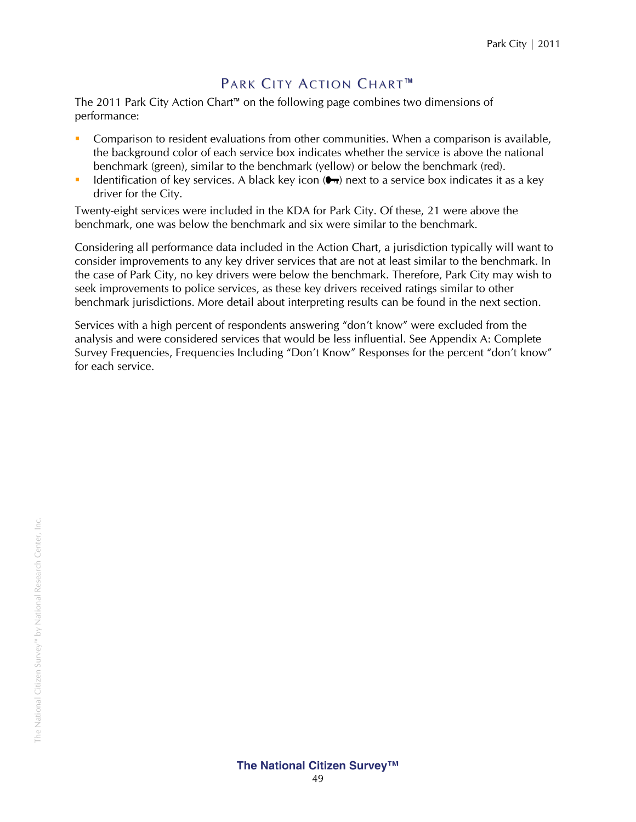## PARK CITY ACTION CHART™

The 2011 Park City Action Chart™ on the following page combines two dimensions of performance:

- Comparison to resident evaluations from other communities. When a comparison is available, the background color of each service box indicates whether the service is above the national benchmark (green), similar to the benchmark (yellow) or below the benchmark (red).
- Identification of key services. A black key icon  $($ <del>,</del>  $)$  next to a service box indicates it as a key driver for the City.

Twenty-eight services were included in the KDA for Park City. Of these, 21 were above the benchmark, one was below the benchmark and six were similar to the benchmark.

Considering all performance data included in the Action Chart, a jurisdiction typically will want to consider improvements to any key driver services that are not at least similar to the benchmark. In the case of Park City, no key drivers were below the benchmark. Therefore, Park City may wish to seek improvements to police services, as these key drivers received ratings similar to other benchmark jurisdictions. More detail about interpreting results can be found in the next section.

Services with a high percent of respondents answering "don't know" were excluded from the analysis and were considered services that would be less influential. See Appendix A: Complete Survey Frequencies, Frequencies Including "Don't Know" Responses for the percent "don't know" for each service.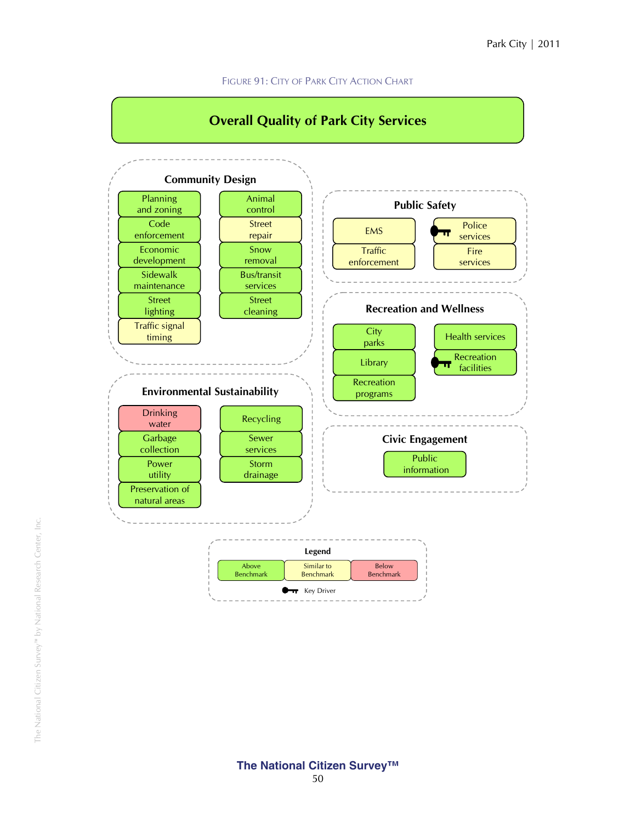#### FIGURE 91: CITY OF PARK CITY ACTION CHART

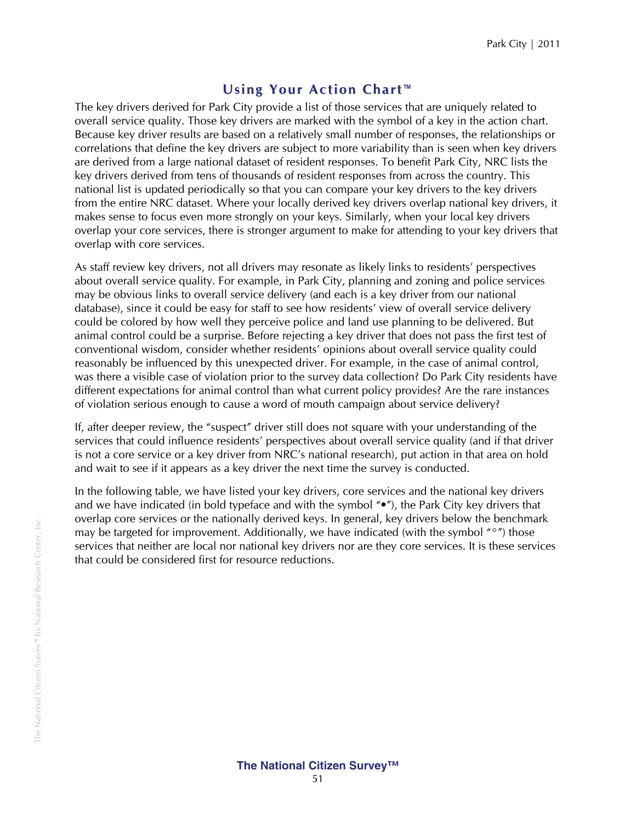## **Using Your Action Chart ™**

The key drivers derived for Park City provide a list of those services that are uniquely related to overall service quality. Those key drivers are marked with the symbol of a key in the action chart. Because key driver results are based on a relatively small number of responses, the relationships or correlations that define the key drivers are subject to more variability than is seen when key drivers are derived from a large national dataset of resident responses. To benefit Park City, NRC lists the key drivers derived from tens of thousands of resident responses from across the country. This national list is updated periodically so that you can compare your key drivers to the key drivers from the entire NRC dataset. Where your locally derived key drivers overlap national key drivers, it makes sense to focus even more strongly on your keys. Similarly, when your local key drivers overlap your core services, there is stronger argument to make for attending to your key drivers that overlap with core services.

As staff review key drivers, not all drivers may resonate as likely links to residents' perspectives about overall service quality. For example, in Park City, planning and zoning and police services may be obvious links to overall service delivery (and each is a key driver from our national database), since it could be easy for staff to see how residents' view of overall service delivery could be colored by how well they perceive police and land use planning to be delivered. But animal control could be a surprise. Before rejecting a key driver that does not pass the first test of conventional wisdom, consider whether residents' opinions about overall service quality could reasonably be influenced by this unexpected driver. For example, in the case of animal control, was there a visible case of violation prior to the survey data collection? Do Park City residents have different expectations for animal control than what current policy provides? Are the rare instances of violation serious enough to cause a word of mouth campaign about service delivery?

If, after deeper review, the "suspect" driver still does not square with your understanding of the services that could influence residents' perspectives about overall service quality (and if that driver is not a core service or a key driver from NRC's national research), put action in that area on hold and wait to see if it appears as a key driver the next time the survey is conducted.

In the following table, we have listed your key drivers, core services and the national key drivers and we have indicated (in bold typeface and with the symbol "•"), the Park City key drivers that overlap core services or the nationally derived keys. In general, key drivers below the benchmark may be targeted for improvement. Additionally, we have indicated (with the symbol " $\degree$ ") those services that neither are local nor national key drivers nor are they core services. It is these services that could be considered first for resource reductions.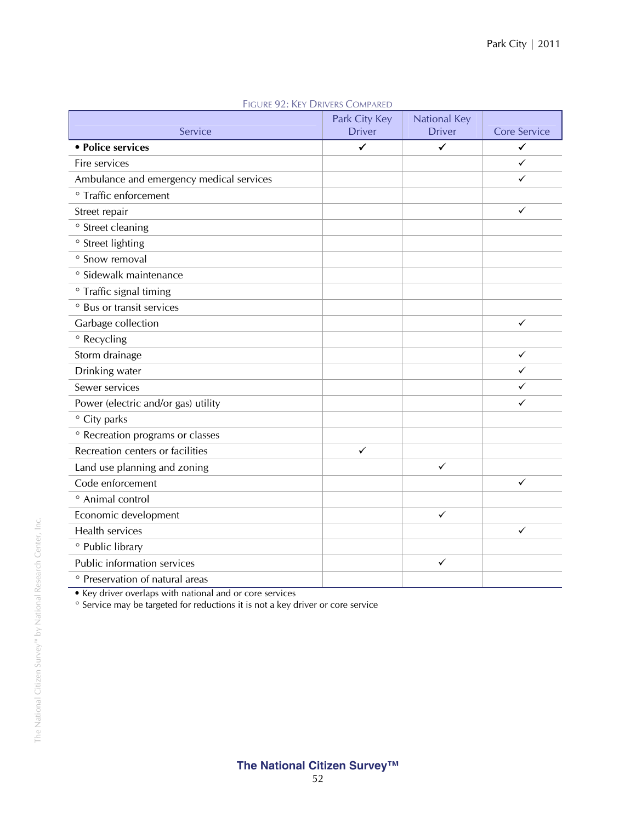|                                          | Park City Key | <b>National Key</b> |                     |
|------------------------------------------|---------------|---------------------|---------------------|
| Service                                  | <b>Driver</b> | <b>Driver</b>       | <b>Core Service</b> |
| • Police services                        | ✓             | $\checkmark$        | $\checkmark$        |
| Fire services                            |               |                     | ✓                   |
| Ambulance and emergency medical services |               |                     | ✓                   |
| ° Traffic enforcement                    |               |                     |                     |
| Street repair                            |               |                     | ✓                   |
| ° Street cleaning                        |               |                     |                     |
| ° Street lighting                        |               |                     |                     |
| ° Snow removal                           |               |                     |                     |
| ° Sidewalk maintenance                   |               |                     |                     |
| <sup>o</sup> Traffic signal timing       |               |                     |                     |
| ° Bus or transit services                |               |                     |                     |
| Garbage collection                       |               |                     | ✓                   |
| ° Recycling                              |               |                     |                     |
| Storm drainage                           |               |                     | ✓                   |
| Drinking water                           |               |                     | ✓                   |
| Sewer services                           |               |                     | ✓                   |
| Power (electric and/or gas) utility      |               |                     | ✓                   |
| ° City parks                             |               |                     |                     |
| ° Recreation programs or classes         |               |                     |                     |
| Recreation centers or facilities         | ✓             |                     |                     |
| Land use planning and zoning             |               | $\checkmark$        |                     |
| Code enforcement                         |               |                     | ✓                   |
| <sup>o</sup> Animal control              |               |                     |                     |
| Economic development                     |               | ✓                   |                     |
| Health services                          |               |                     | $\checkmark$        |
| ° Public library                         |               |                     |                     |
| Public information services              |               | ✓                   |                     |
| ° Preservation of natural areas          |               |                     |                     |

FIGURE 92: KEY DRIVERS COMPARED

• Key driver overlaps with national and or core services

° Service may be targeted for reductions it is not a key driver or core service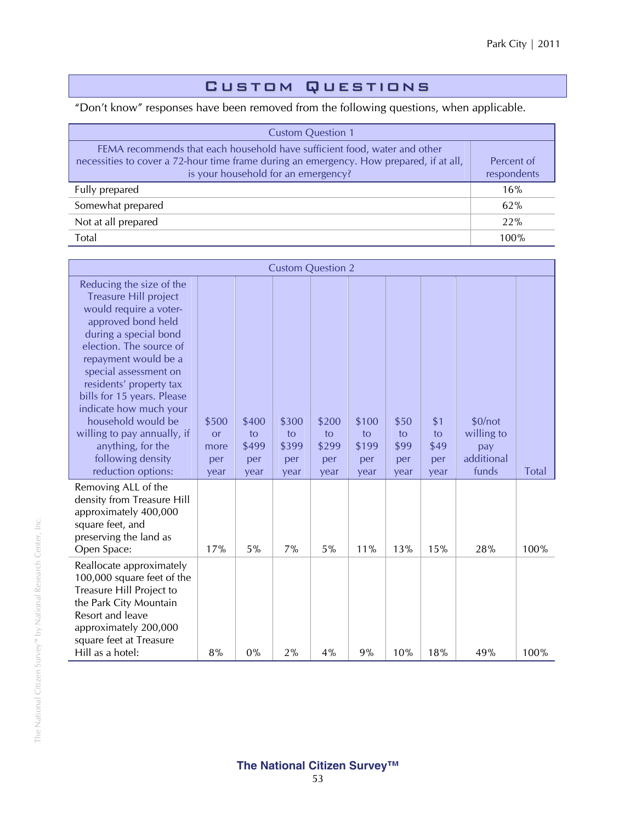## Custom Questions

"Don't know" responses have been removed from the following questions, when applicable.

| <b>Custom Question 1</b>                                                                                                                                                                                    |                           |
|-------------------------------------------------------------------------------------------------------------------------------------------------------------------------------------------------------------|---------------------------|
| FEMA recommends that each household have sufficient food, water and other<br>necessities to cover a 72-hour time frame during an emergency. How prepared, if at all,<br>is your household for an emergency? | Percent of<br>respondents |
| Fully prepared                                                                                                                                                                                              | 16%                       |
| Somewhat prepared                                                                                                                                                                                           | 62%                       |
| Not at all prepared                                                                                                                                                                                         | 22%                       |
| Total                                                                                                                                                                                                       | 100%                      |

| <b>Custom Question 2</b>                                                                                                                                                                                                                                                                                                                                                                                              |                                           |                                     |                                     |                                     |                                     |                                   |                                  |                                                     |              |
|-----------------------------------------------------------------------------------------------------------------------------------------------------------------------------------------------------------------------------------------------------------------------------------------------------------------------------------------------------------------------------------------------------------------------|-------------------------------------------|-------------------------------------|-------------------------------------|-------------------------------------|-------------------------------------|-----------------------------------|----------------------------------|-----------------------------------------------------|--------------|
| Reducing the size of the<br><b>Treasure Hill project</b><br>would require a voter-<br>approved bond held<br>during a special bond<br>election. The source of<br>repayment would be a<br>special assessment on<br>residents' property tax<br>bills for 15 years. Please<br>indicate how much your<br>household would be<br>willing to pay annually, if<br>anything, for the<br>following density<br>reduction options: | \$500<br><b>or</b><br>more<br>per<br>year | \$400<br>to<br>\$499<br>per<br>year | \$300<br>to<br>\$399<br>per<br>year | \$200<br>to<br>\$299<br>per<br>year | \$100<br>to<br>\$199<br>per<br>year | \$50<br>to<br>\$99<br>per<br>year | \$1<br>to<br>\$49<br>per<br>year | \$0/not<br>willing to<br>pay<br>additional<br>funds | <b>Total</b> |
| Removing ALL of the<br>density from Treasure Hill<br>approximately 400,000<br>square feet, and<br>preserving the land as<br>Open Space:                                                                                                                                                                                                                                                                               | 17%                                       | 5%                                  | 7%                                  | 5%                                  | 11%                                 | 13%                               | 15%                              | 28%                                                 | 100%         |
| Reallocate approximately<br>100,000 square feet of the<br>Treasure Hill Project to<br>the Park City Mountain<br>Resort and leave<br>approximately 200,000<br>square feet at Treasure<br>Hill as a hotel:                                                                                                                                                                                                              | 8%                                        | $0\%$                               | 2%                                  | 4%                                  | 9%                                  | 10%                               | 18%                              | 49%                                                 | 100%         |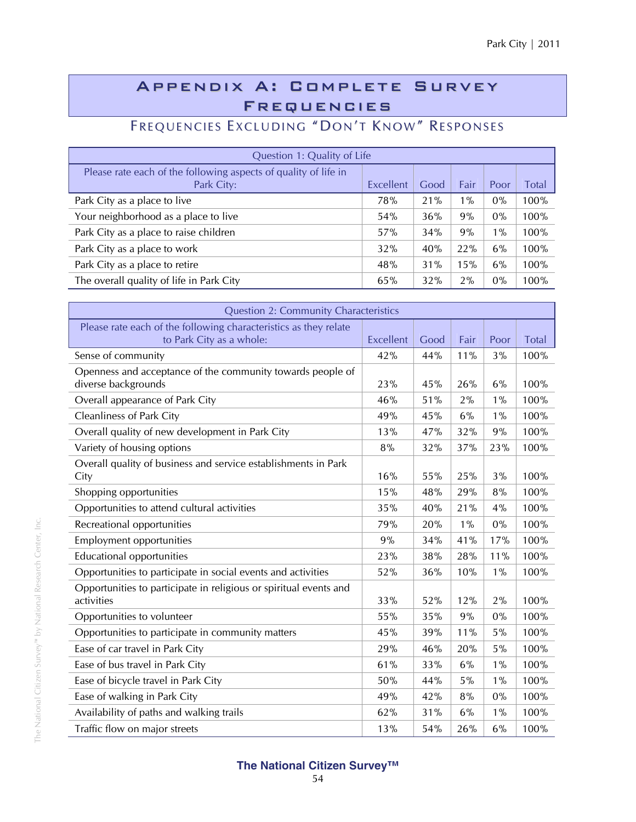## Appendix A: Complete Survey Frequencies

# FREQUENCIES EXCLUDING "DON'T KNOW" RESPONSES

| Question 1: Quality of Life                                                   |           |      |       |       |         |  |
|-------------------------------------------------------------------------------|-----------|------|-------|-------|---------|--|
| Please rate each of the following aspects of quality of life in<br>Park City: | Excellent | Good | Fair  | Poor  | Total   |  |
| Park City as a place to live                                                  | 78%       | 21%  | $1\%$ | $0\%$ | 100%    |  |
| Your neighborhood as a place to live                                          | 54%       | 36%  | 9%    | $0\%$ | $100\%$ |  |
| Park City as a place to raise children                                        | 57%       | 34%  | 9%    | $1\%$ | 100%    |  |
| Park City as a place to work                                                  | 32%       | 40%  | 22%   | 6%    | 100%    |  |
| Park City as a place to retire                                                | 48%       | 31%  | 15%   | 6%    | 100%    |  |
| The overall quality of life in Park City                                      | 65%       | 32%  | 2%    | 0%    | 100%    |  |

| <b>Question 2: Community Characteristics</b>                                                 |                  |      |       |       |              |
|----------------------------------------------------------------------------------------------|------------------|------|-------|-------|--------------|
| Please rate each of the following characteristics as they relate<br>to Park City as a whole: | <b>Excellent</b> | Good | Fair  | Poor  | <b>Total</b> |
| Sense of community                                                                           | 42%              | 44%  | 11%   | 3%    | 100%         |
| Openness and acceptance of the community towards people of<br>diverse backgrounds            | 23%              | 45%  | 26%   | 6%    | 100%         |
| Overall appearance of Park City                                                              | 46%              | 51%  | 2%    | $1\%$ | 100%         |
| <b>Cleanliness of Park City</b>                                                              | 49%              | 45%  | 6%    | $1\%$ | 100%         |
| Overall quality of new development in Park City                                              | 13%              | 47%  | 32%   | 9%    | 100%         |
| Variety of housing options                                                                   | 8%               | 32%  | 37%   | 23%   | 100%         |
| Overall quality of business and service establishments in Park<br>City                       | 16%              | 55%  | 25%   | 3%    | 100%         |
| Shopping opportunities                                                                       | 15%              | 48%  | 29%   | 8%    | 100%         |
| Opportunities to attend cultural activities                                                  | 35%              | 40%  | 21%   | 4%    | 100%         |
| Recreational opportunities                                                                   | 79%              | 20%  | $1\%$ | $0\%$ | 100%         |
| <b>Employment opportunities</b>                                                              | 9%               | 34%  | 41%   | 17%   | 100%         |
| <b>Educational opportunities</b>                                                             | 23%              | 38%  | 28%   | 11%   | 100%         |
| Opportunities to participate in social events and activities                                 | 52%              | 36%  | 10%   | $1\%$ | 100%         |
| Opportunities to participate in religious or spiritual events and<br>activities              | 33%              | 52%  | 12%   | 2%    | 100%         |
| Opportunities to volunteer                                                                   | 55%              | 35%  | 9%    | 0%    | 100%         |
| Opportunities to participate in community matters                                            | 45%              | 39%  | 11%   | 5%    | 100%         |
| Ease of car travel in Park City                                                              | 29%              | 46%  | 20%   | 5%    | 100%         |
| Ease of bus travel in Park City                                                              | 61%              | 33%  | 6%    | $1\%$ | 100%         |
| Ease of bicycle travel in Park City                                                          | 50%              | 44%  | 5%    | $1\%$ | 100%         |
| Ease of walking in Park City                                                                 | 49%              | 42%  | 8%    | 0%    | 100%         |
| Availability of paths and walking trails                                                     | 62%              | 31%  | 6%    | $1\%$ | 100%         |
| Traffic flow on major streets                                                                | 13%              | 54%  | 26%   | 6%    | 100%         |

# The National Citizen Survey<sup>nm</sup> by National Research Center, Inc. The National Citizen Survey™ by National Research Center, Inc.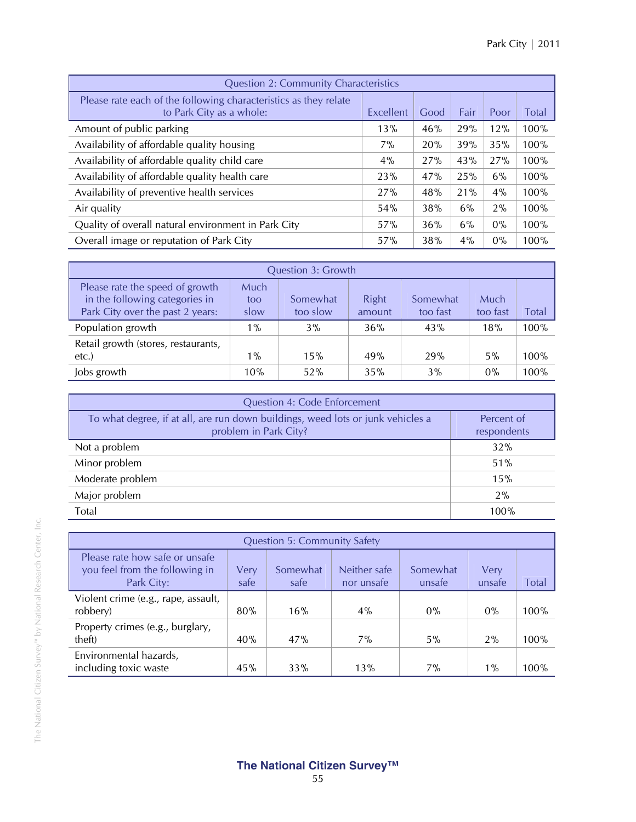| <b>Question 2: Community Characteristics</b>                                                 |           |      |      |       |       |
|----------------------------------------------------------------------------------------------|-----------|------|------|-------|-------|
| Please rate each of the following characteristics as they relate<br>to Park City as a whole: | Excellent | Good | Fair | Poor  | Total |
| Amount of public parking                                                                     | 13%       | 46%  | 29%  | 12%   | 100%  |
| Availability of affordable quality housing                                                   | 7%        | 20%  | 39%  | 35%   | 100%  |
| Availability of affordable quality child care                                                | 4%        | 27%  | 43%  | 27%   | 100%  |
| Availability of affordable quality health care                                               | 23%       | 47%  | 25%  | 6%    | 100%  |
| Availability of preventive health services                                                   | 27%       | 48%  | 21%  | 4%    | 100%  |
| Air quality                                                                                  | 54%       | 38%  | 6%   | 2%    | 100%  |
| Quality of overall natural environment in Park City                                          | 57%       | 36%  | 6%   | $0\%$ | 100%  |
| Overall image or reputation of Park City                                                     | 57%       | 38%  | 4%   | $0\%$ | 100%  |

| <b>Question 3: Growth</b>                                                                                                                                                                                                    |       |     |     |     |       |      |  |  |  |
|------------------------------------------------------------------------------------------------------------------------------------------------------------------------------------------------------------------------------|-------|-----|-----|-----|-------|------|--|--|--|
| Please rate the speed of growth<br>Much<br>in the following categories in<br>Right<br>Somewhat<br>Much<br>Somewhat<br>too<br>Park City over the past 2 years:<br>Total<br>too slow<br>too fast<br>too fast<br>slow<br>amount |       |     |     |     |       |      |  |  |  |
| Population growth                                                                                                                                                                                                            | $1\%$ | 3%  | 36% | 43% | 18%   | 100% |  |  |  |
| Retail growth (stores, restaurants,<br>$etc.$ )                                                                                                                                                                              | $1\%$ | 15% | 49% | 29% | $5\%$ | 100% |  |  |  |
| Jobs growth                                                                                                                                                                                                                  | 10%   | 52% | 35% | 3%  | 0%    | 100% |  |  |  |

| <b>Question 4: Code Enforcement</b>                                                                      |                           |  |  |  |  |
|----------------------------------------------------------------------------------------------------------|---------------------------|--|--|--|--|
| To what degree, if at all, are run down buildings, weed lots or junk vehicles a<br>problem in Park City? | Percent of<br>respondents |  |  |  |  |
| Not a problem                                                                                            | 32%                       |  |  |  |  |
| Minor problem                                                                                            | 51%                       |  |  |  |  |
| Moderate problem                                                                                         | 15%                       |  |  |  |  |
| Major problem                                                                                            | 2%                        |  |  |  |  |
| Total                                                                                                    | 100%                      |  |  |  |  |

| <b>Question 5: Community Safety</b>                                                                                                                                                                      |     |     |     |       |       |      |  |  |  |
|----------------------------------------------------------------------------------------------------------------------------------------------------------------------------------------------------------|-----|-----|-----|-------|-------|------|--|--|--|
| Please rate how safe or unsafe<br>you feel from the following in<br>Neither safe<br>Somewhat<br>Very<br>Somewhat<br>Very<br>Park City:<br><b>Total</b><br>safe<br>safe<br>nor unsafe<br>unsafe<br>unsafe |     |     |     |       |       |      |  |  |  |
| Violent crime (e.g., rape, assault,<br>robbery)                                                                                                                                                          | 80% | 16% | 4%  | $0\%$ | $0\%$ | 100% |  |  |  |
| Property crimes (e.g., burglary,<br>theft)                                                                                                                                                               | 40% | 47% | 7%  | $5\%$ | 2%    | 100% |  |  |  |
| Environmental hazards,<br>including toxic waste                                                                                                                                                          | 45% | 33% | 13% | $7\%$ | $1\%$ | 100% |  |  |  |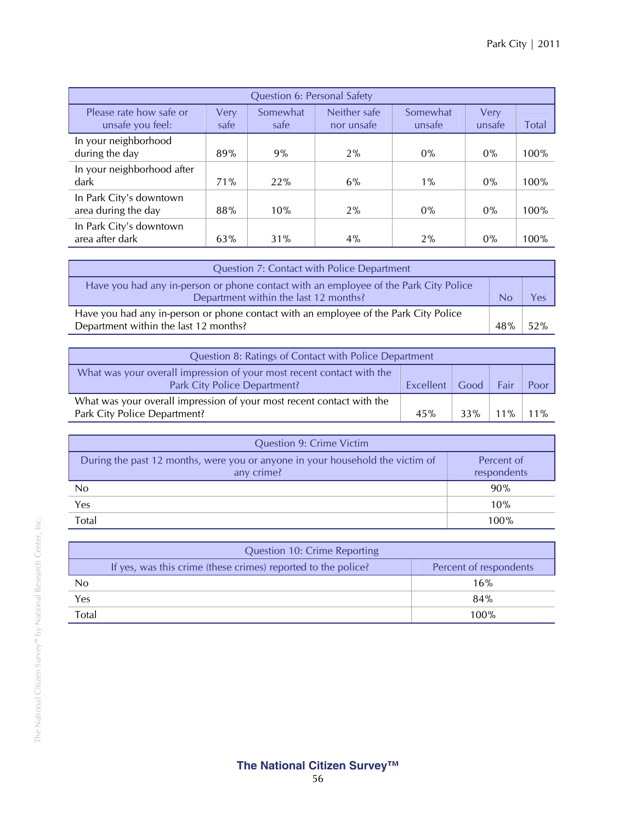| Question 6: Personal Safety                                                                                                                                           |     |     |       |       |       |      |  |  |  |  |
|-----------------------------------------------------------------------------------------------------------------------------------------------------------------------|-----|-----|-------|-------|-------|------|--|--|--|--|
| Please rate how safe or<br>Neither safe<br>Somewhat<br>Somewhat<br>Very<br>Very<br>unsafe you feel:<br><b>Total</b><br>safe<br>nor unsafe<br>safe<br>unsafe<br>unsafe |     |     |       |       |       |      |  |  |  |  |
| In your neighborhood<br>during the day                                                                                                                                | 89% | 9%  | 2%    | $0\%$ | $0\%$ | 100% |  |  |  |  |
| In your neighborhood after<br>dark                                                                                                                                    | 71% | 22% | 6%    | $1\%$ | $0\%$ | 100% |  |  |  |  |
| In Park City's downtown<br>area during the day                                                                                                                        | 88% | 10% | $2\%$ | $0\%$ | $0\%$ | 100% |  |  |  |  |
| In Park City's downtown<br>area after dark                                                                                                                            | 63% | 31% | $4\%$ | $2\%$ | $0\%$ | 100% |  |  |  |  |

| <b>Question 7: Contact with Police Department</b>                                                                             |     |     |  |
|-------------------------------------------------------------------------------------------------------------------------------|-----|-----|--|
| Have you had any in-person or phone contact with an employee of the Park City Police<br>Department within the last 12 months? |     | Yes |  |
| Have you had any in-person or phone contact with an employee of the Park City Police<br>Department within the last 12 months? | 48% | 52% |  |

| Question 8: Ratings of Contact with Police Department                                                 |                         |     |        |        |  |  |
|-------------------------------------------------------------------------------------------------------|-------------------------|-----|--------|--------|--|--|
| What was your overall impression of your most recent contact with the<br>Park City Police Department? | Excellent   Good   Fair |     |        | Poor   |  |  |
| What was your overall impression of your most recent contact with the<br>Park City Police Department? | 45%                     | 33% | $11\%$ | $11\%$ |  |  |

| <b>Question 9: Crime Victim</b>                                                             |                           |
|---------------------------------------------------------------------------------------------|---------------------------|
| During the past 12 months, were you or anyone in your household the victim of<br>any crime? | Percent of<br>respondents |
| No                                                                                          | 90%                       |
| Yes                                                                                         | 10%                       |
| Total                                                                                       | 100%                      |

|       | Question 10: Crime Reporting                                  |                        |
|-------|---------------------------------------------------------------|------------------------|
|       | If yes, was this crime (these crimes) reported to the police? | Percent of respondents |
| No    |                                                               | 16%                    |
| Yes   |                                                               | 84%                    |
| Total |                                                               | $100\%$                |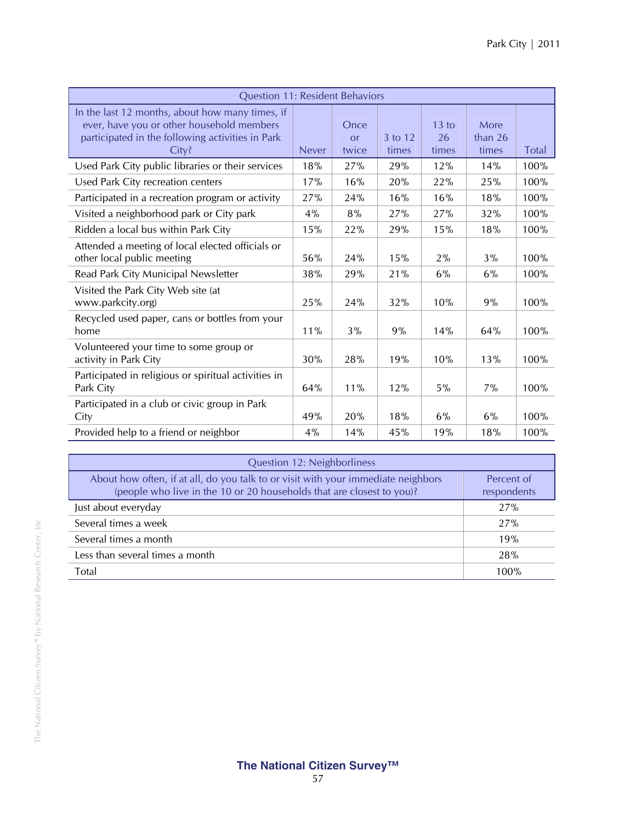| <b>Question 11: Resident Behaviors</b>                                                                                                                    |              |                     |                  |                        |                            |              |
|-----------------------------------------------------------------------------------------------------------------------------------------------------------|--------------|---------------------|------------------|------------------------|----------------------------|--------------|
| In the last 12 months, about how many times, if<br>ever, have you or other household members<br>participated in the following activities in Park<br>City? | <b>Never</b> | Once<br>or<br>twice | 3 to 12<br>times | $13$ to<br>26<br>times | More<br>than $26$<br>times | <b>Total</b> |
| Used Park City public libraries or their services                                                                                                         | 18%          | 27%                 | 29%              | 12%                    | 14%                        | 100%         |
| Used Park City recreation centers                                                                                                                         | 17%          | 16%                 | 20%              | 22%                    | 25%                        | 100%         |
| Participated in a recreation program or activity                                                                                                          | 27%          | 24%                 | 16%              | 16%                    | 18%                        | 100%         |
| Visited a neighborhood park or City park                                                                                                                  | 4%           | 8%                  | 27%              | 27%                    | 32%                        | 100%         |
| Ridden a local bus within Park City                                                                                                                       | 15%          | 22%                 | 29%              | 15%                    | 18%                        | 100%         |
| Attended a meeting of local elected officials or<br>other local public meeting                                                                            | 56%          | 24%                 | 15%              | 2%                     | 3%                         | 100%         |
| Read Park City Municipal Newsletter                                                                                                                       | 38%          | 29%                 | 21%              | 6%                     | 6%                         | 100%         |
| Visited the Park City Web site (at<br>www.parkcity.org)                                                                                                   | 25%          | 24%                 | 32%              | 10%                    | 9%                         | 100%         |
| Recycled used paper, cans or bottles from your<br>home                                                                                                    | 11%          | 3%                  | 9%               | 14%                    | 64%                        | 100%         |
| Volunteered your time to some group or<br>activity in Park City                                                                                           | 30%          | 28%                 | 19%              | 10%                    | 13%                        | 100%         |
| Participated in religious or spiritual activities in<br>Park City                                                                                         | 64%          | 11%                 | 12%              | 5%                     | 7%                         | 100%         |
| Participated in a club or civic group in Park<br>City                                                                                                     | 49%          | 20%                 | 18%              | 6%                     | 6%                         | 100%         |
| Provided help to a friend or neighbor                                                                                                                     | 4%           | 14%                 | 45%              | 19%                    | 18%                        | 100%         |

| Question 12: Neighborliness                                                                                                                                |                           |
|------------------------------------------------------------------------------------------------------------------------------------------------------------|---------------------------|
| About how often, if at all, do you talk to or visit with your immediate neighbors<br>(people who live in the 10 or 20 households that are closest to you)? | Percent of<br>respondents |
| Just about everyday                                                                                                                                        | 27%                       |
| Several times a week                                                                                                                                       | 27%                       |
| Several times a month                                                                                                                                      | 19%                       |
| Less than several times a month                                                                                                                            | 28%                       |
| Total                                                                                                                                                      | 100%                      |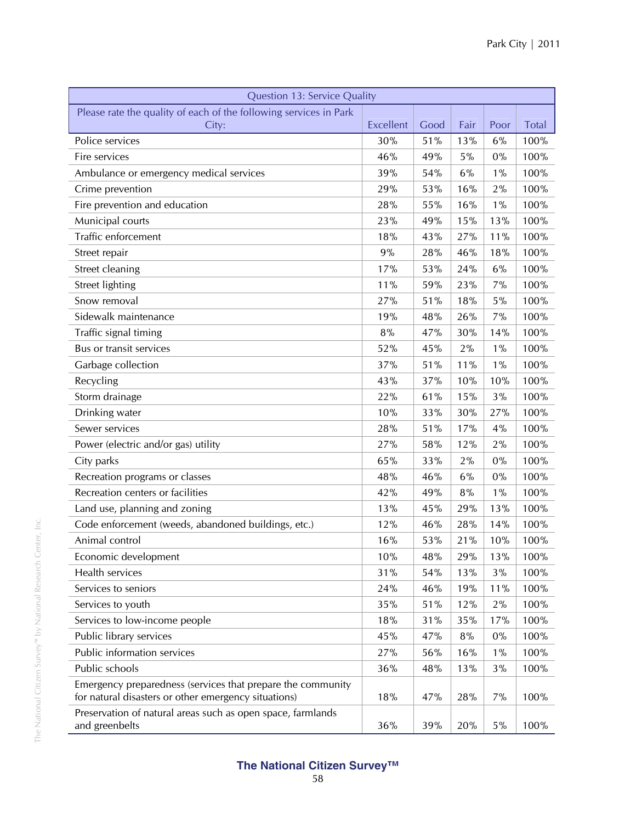| <b>Question 13: Service Quality</b>                                           |           |      |      |       |              |  |  |
|-------------------------------------------------------------------------------|-----------|------|------|-------|--------------|--|--|
| Please rate the quality of each of the following services in Park             |           |      |      |       |              |  |  |
| City:                                                                         | Excellent | Good | Fair | Poor  | <b>Total</b> |  |  |
| Police services                                                               | 30%       | 51%  | 13%  | 6%    | 100%         |  |  |
| Fire services                                                                 | 46%       | 49%  | 5%   | 0%    | 100%         |  |  |
| Ambulance or emergency medical services                                       | 39%       | 54%  | 6%   | $1\%$ | 100%         |  |  |
| Crime prevention                                                              | 29%       | 53%  | 16%  | 2%    | 100%         |  |  |
| Fire prevention and education                                                 | 28%       | 55%  | 16%  | $1\%$ | 100%         |  |  |
| Municipal courts                                                              | 23%       | 49%  | 15%  | 13%   | 100%         |  |  |
| Traffic enforcement                                                           | 18%       | 43%  | 27%  | 11%   | 100%         |  |  |
| Street repair                                                                 | 9%        | 28%  | 46%  | 18%   | 100%         |  |  |
| Street cleaning                                                               | 17%       | 53%  | 24%  | 6%    | 100%         |  |  |
| <b>Street lighting</b>                                                        | 11%       | 59%  | 23%  | 7%    | 100%         |  |  |
| Snow removal                                                                  | 27%       | 51%  | 18%  | 5%    | 100%         |  |  |
| Sidewalk maintenance                                                          | 19%       | 48%  | 26%  | 7%    | 100%         |  |  |
| Traffic signal timing                                                         | 8%        | 47%  | 30%  | 14%   | 100%         |  |  |
| Bus or transit services                                                       | 52%       | 45%  | 2%   | $1\%$ | 100%         |  |  |
| Garbage collection                                                            | 37%       | 51%  | 11%  | $1\%$ | 100%         |  |  |
| Recycling                                                                     | 43%       | 37%  | 10%  | 10%   | 100%         |  |  |
| Storm drainage                                                                | 22%       | 61%  | 15%  | 3%    | 100%         |  |  |
| Drinking water                                                                | 10%       | 33%  | 30%  | 27%   | 100%         |  |  |
| Sewer services                                                                | 28%       | 51%  | 17%  | 4%    | 100%         |  |  |
| Power (electric and/or gas) utility                                           | 27%       | 58%  | 12%  | 2%    | 100%         |  |  |
| City parks                                                                    | 65%       | 33%  | 2%   | 0%    | 100%         |  |  |
| Recreation programs or classes                                                | 48%       | 46%  | 6%   | 0%    | 100%         |  |  |
| Recreation centers or facilities                                              | 42%       | 49%  | 8%   | $1\%$ | 100%         |  |  |
| Land use, planning and zoning                                                 | 13%       | 45%  | 29%  | 13%   | 100%         |  |  |
| Code enforcement (weeds, abandoned buildings, etc.)                           | 12%       | 46%  | 28%  | 14%   | 100%         |  |  |
| Animal control                                                                | 16%       | 53%  | 21%  | 10%   | 100%         |  |  |
| Economic development                                                          | 10%       | 48%  | 29%  | 13%   | 100%         |  |  |
| Health services                                                               | 31%       | 54%  | 13%  | 3%    | 100%         |  |  |
| Services to seniors                                                           | 24%       | 46%  | 19%  | 11%   | 100%         |  |  |
| Services to youth                                                             | 35%       | 51%  | 12%  | 2%    | 100%         |  |  |
| Services to low-income people                                                 | 18%       | 31%  | 35%  | 17%   | 100%         |  |  |
| Public library services                                                       | 45%       | 47%  | 8%   | $0\%$ | 100%         |  |  |
| Public information services                                                   | 27%       | 56%  | 16%  | $1\%$ | 100%         |  |  |
| Public schools                                                                | 36%       | 48%  | 13%  | 3%    | 100%         |  |  |
| Emergency preparedness (services that prepare the community                   |           |      |      |       |              |  |  |
| for natural disasters or other emergency situations)                          | 18%       | 47%  | 28%  | 7%    | 100%         |  |  |
| Preservation of natural areas such as open space, farmlands<br>and greenbelts | 36%       | 39%  | 20%  | 5%    | 100%         |  |  |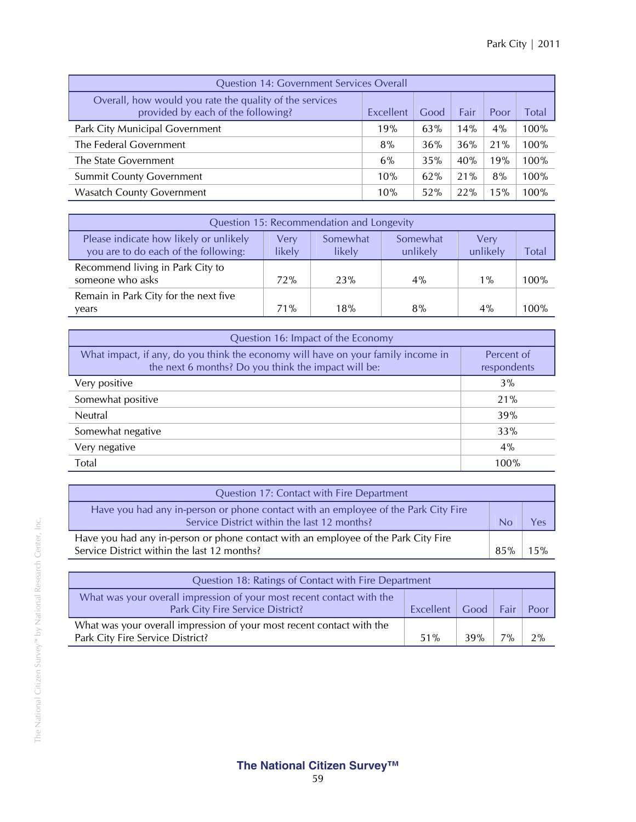| <b>Question 14: Government Services Overall</b>                                               |           |      |      |      |         |  |  |  |  |
|-----------------------------------------------------------------------------------------------|-----------|------|------|------|---------|--|--|--|--|
| Overall, how would you rate the quality of the services<br>provided by each of the following? | Excellent | Good | Fair | Poor | Total   |  |  |  |  |
| Park City Municipal Government                                                                | 19%       | 63%  | 14%  | 4%   | $100\%$ |  |  |  |  |
| The Federal Government                                                                        | 8%        | 36%  | 36%  | 21%  | 100%    |  |  |  |  |
| The State Government                                                                          | 6%        | 35%  | 40%  | 19%  | 100%    |  |  |  |  |
| <b>Summit County Government</b>                                                               | 10%       | 62%  | 21%  | 8%   | 100%    |  |  |  |  |
| <b>Wasatch County Government</b>                                                              | 10%       | 52%  | 22%  | 15%  | 100%    |  |  |  |  |

| Question 15: Recommendation and Longevity                                      |                       |                    |                      |                  |       |  |  |  |  |
|--------------------------------------------------------------------------------|-----------------------|--------------------|----------------------|------------------|-------|--|--|--|--|
| Please indicate how likely or unlikely<br>you are to do each of the following: | <b>Very</b><br>likely | Somewhat<br>likely | Somewhat<br>unlikely | Very<br>unlikely | Total |  |  |  |  |
| Recommend living in Park City to<br>someone who asks                           | 72%                   | 23%                | $4\%$                | $1\%$            | 100%  |  |  |  |  |
| Remain in Park City for the next five<br>vears                                 | 71%                   | 18%                | 8%                   | $4\%$            | 100%  |  |  |  |  |

| Question 16: Impact of the Economy                                                                                                      |                           |  |  |  |  |
|-----------------------------------------------------------------------------------------------------------------------------------------|---------------------------|--|--|--|--|
| What impact, if any, do you think the economy will have on your family income in<br>the next 6 months? Do you think the impact will be: | Percent of<br>respondents |  |  |  |  |
| Very positive                                                                                                                           | 3%                        |  |  |  |  |
| Somewhat positive                                                                                                                       | 21%                       |  |  |  |  |
| <b>Neutral</b>                                                                                                                          | 39%                       |  |  |  |  |
| Somewhat negative                                                                                                                       | 33%                       |  |  |  |  |
| Very negative                                                                                                                           | 4%                        |  |  |  |  |
| Total                                                                                                                                   | 100%                      |  |  |  |  |

| Question 17: Contact with Fire Department                                                                                         |     |     |
|-----------------------------------------------------------------------------------------------------------------------------------|-----|-----|
| Have you had any in-person or phone contact with an employee of the Park City Fire<br>Service District within the last 12 months? |     | Υρς |
| Have you had any in-person or phone contact with an employee of the Park City Fire<br>Service District within the last 12 months? | 85% | 15% |

| Question 18: Ratings of Contact with Fire Department                                                      |           |           |       |      |  |  |  |  |
|-----------------------------------------------------------------------------------------------------------|-----------|-----------|-------|------|--|--|--|--|
| What was your overall impression of your most recent contact with the<br>Park City Fire Service District? | Excellent | Good Fair |       | Poor |  |  |  |  |
| What was your overall impression of your most recent contact with the<br>Park City Fire Service District? | 51%       | 39%       | $7\%$ | 2%   |  |  |  |  |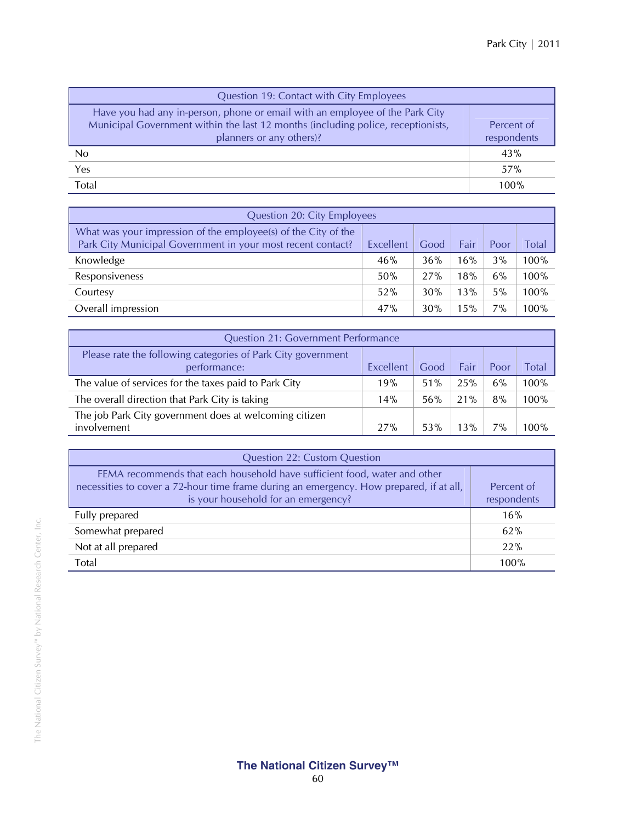| Question 19: Contact with City Employees                                                                                                                                                     |                           |
|----------------------------------------------------------------------------------------------------------------------------------------------------------------------------------------------|---------------------------|
| Have you had any in-person, phone or email with an employee of the Park City<br>Municipal Government within the last 12 months (including police, receptionists,<br>planners or any others)? | Percent of<br>respondents |
| No.                                                                                                                                                                                          | 43%                       |
| Yes                                                                                                                                                                                          | 57%                       |
| Total                                                                                                                                                                                        | 100%                      |

| Question 20: City Employees                                                                                                                                        |     |     |     |    |      |  |  |  |  |
|--------------------------------------------------------------------------------------------------------------------------------------------------------------------|-----|-----|-----|----|------|--|--|--|--|
| What was your impression of the employee(s) of the City of the<br>Park City Municipal Government in your most recent contact?<br>Excellent<br>Good<br>Fair<br>Poor |     |     |     |    |      |  |  |  |  |
| Knowledge                                                                                                                                                          | 46% | 36% | 16% | 3% | 100% |  |  |  |  |
| Responsiveness                                                                                                                                                     | 50% | 27% | 18% | 6% | 100% |  |  |  |  |
| Courtesy                                                                                                                                                           | 52% | 30% | 13% | 5% | 100% |  |  |  |  |
| Overall impression                                                                                                                                                 | 47% | 30% | 15% | 7% | 100% |  |  |  |  |

| <b>Question 21: Government Performance</b>                                   |           |      |      |       |       |  |  |  |
|------------------------------------------------------------------------------|-----------|------|------|-------|-------|--|--|--|
| Please rate the following categories of Park City government<br>performance: | Excellent | Good | Fair | Poor  | Total |  |  |  |
| The value of services for the taxes paid to Park City                        | 19%       | 51%  | 25%  | 6%    | 100%  |  |  |  |
| The overall direction that Park City is taking                               | 14%       | 56%  | 21%  | 8%    | 100%  |  |  |  |
| The job Park City government does at welcoming citizen<br>involvement        | 27%       | 53%  | 13%  | $7\%$ | 100%  |  |  |  |

| <b>Question 22: Custom Question</b>                                                                                                                                                                         |                           |  |  |  |  |
|-------------------------------------------------------------------------------------------------------------------------------------------------------------------------------------------------------------|---------------------------|--|--|--|--|
| FEMA recommends that each household have sufficient food, water and other<br>necessities to cover a 72-hour time frame during an emergency. How prepared, if at all,<br>is your household for an emergency? | Percent of<br>respondents |  |  |  |  |
| Fully prepared                                                                                                                                                                                              | 16%                       |  |  |  |  |
| Somewhat prepared                                                                                                                                                                                           | 62%                       |  |  |  |  |
| Not at all prepared                                                                                                                                                                                         | 22%                       |  |  |  |  |
| Total                                                                                                                                                                                                       | 100%                      |  |  |  |  |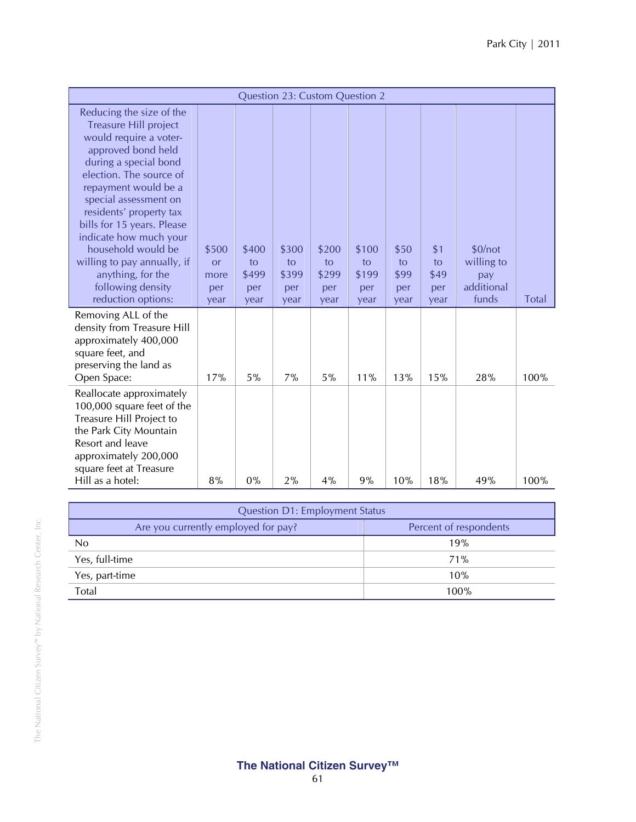| <b>Question 23: Custom Question 2</b>                                                                                                                                                                                                                                                                                                                                                                          |                                           |                                     |                                     |                                     |                                     |                                   |                                  |                                                     |              |
|----------------------------------------------------------------------------------------------------------------------------------------------------------------------------------------------------------------------------------------------------------------------------------------------------------------------------------------------------------------------------------------------------------------|-------------------------------------------|-------------------------------------|-------------------------------------|-------------------------------------|-------------------------------------|-----------------------------------|----------------------------------|-----------------------------------------------------|--------------|
| Reducing the size of the<br>Treasure Hill project<br>would require a voter-<br>approved bond held<br>during a special bond<br>election. The source of<br>repayment would be a<br>special assessment on<br>residents' property tax<br>bills for 15 years. Please<br>indicate how much your<br>household would be<br>willing to pay annually, if<br>anything, for the<br>following density<br>reduction options: | \$500<br><b>or</b><br>more<br>per<br>year | \$400<br>to<br>\$499<br>per<br>year | \$300<br>to<br>\$399<br>per<br>year | \$200<br>to<br>\$299<br>per<br>year | \$100<br>to<br>\$199<br>per<br>year | \$50<br>to<br>\$99<br>per<br>year | \$1<br>to<br>\$49<br>per<br>year | \$0/not<br>willing to<br>pay<br>additional<br>funds | <b>Total</b> |
| Removing ALL of the<br>density from Treasure Hill<br>approximately 400,000<br>square feet, and<br>preserving the land as<br>Open Space:                                                                                                                                                                                                                                                                        | 17%                                       | 5%                                  | 7%                                  | 5%                                  | 11%                                 | 13%                               | 15%                              | 28%                                                 | 100%         |
| Reallocate approximately<br>100,000 square feet of the<br>Treasure Hill Project to<br>the Park City Mountain<br>Resort and leave<br>approximately 200,000<br>square feet at Treasure<br>Hill as a hotel:                                                                                                                                                                                                       | 8%                                        | 0%                                  | 2%                                  | 4%                                  | 9%                                  | 10%                               | 18%                              | 49%                                                 | 100%         |

| <b>Question D1: Employment Status</b> |                        |  |  |  |  |
|---------------------------------------|------------------------|--|--|--|--|
| Are you currently employed for pay?   | Percent of respondents |  |  |  |  |
| No                                    | 19%                    |  |  |  |  |
| Yes, full-time                        | 71%                    |  |  |  |  |
| Yes, part-time                        | 10%                    |  |  |  |  |
| Total                                 | 100%                   |  |  |  |  |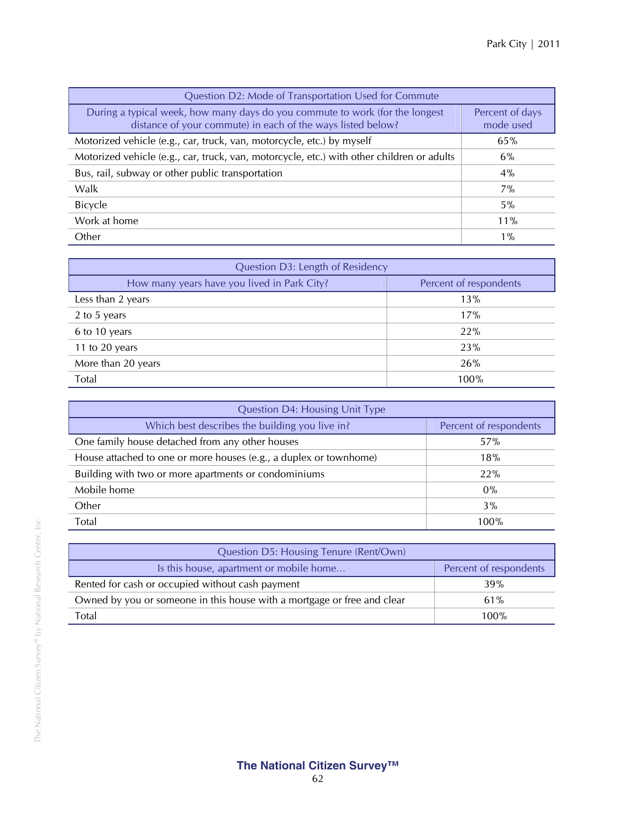| Question D2: Mode of Transportation Used for Commute                                                                                        |                              |  |  |  |  |
|---------------------------------------------------------------------------------------------------------------------------------------------|------------------------------|--|--|--|--|
| During a typical week, how many days do you commute to work (for the longest<br>distance of your commute) in each of the ways listed below? | Percent of days<br>mode used |  |  |  |  |
| Motorized vehicle (e.g., car, truck, van, motorcycle, etc.) by myself                                                                       | 65%                          |  |  |  |  |
| Motorized vehicle (e.g., car, truck, van, motorcycle, etc.) with other children or adults                                                   | 6%                           |  |  |  |  |
| Bus, rail, subway or other public transportation                                                                                            | 4%                           |  |  |  |  |
| Walk                                                                                                                                        | $7\%$                        |  |  |  |  |
| <b>Bicycle</b>                                                                                                                              | $5\%$                        |  |  |  |  |
| Work at home                                                                                                                                | 11%                          |  |  |  |  |
| Other                                                                                                                                       | $1\%$                        |  |  |  |  |

| Question D3: Length of Residency            |                        |
|---------------------------------------------|------------------------|
| How many years have you lived in Park City? | Percent of respondents |
| Less than 2 years                           | 13%                    |
| 2 to 5 years                                | 17%                    |
| 6 to 10 years                               | 22%                    |
| 11 to 20 years                              | 23%                    |
| More than 20 years                          | 26%                    |
| Total                                       | 100%                   |

| Question D4: Housing Unit Type                                    |                        |
|-------------------------------------------------------------------|------------------------|
| Which best describes the building you live in?                    | Percent of respondents |
| One family house detached from any other houses                   | 57%                    |
| House attached to one or more houses (e.g., a duplex or townhome) | 18%                    |
| Building with two or more apartments or condominiums              | 22%                    |
| Mobile home                                                       | $0\%$                  |
| Other                                                             | 3%                     |
| Total                                                             | 100%                   |

| Question D5: Housing Tenure (Rent/Own)                                  |                        |
|-------------------------------------------------------------------------|------------------------|
| Is this house, apartment or mobile home                                 | Percent of respondents |
| Rented for cash or occupied without cash payment                        | 39%                    |
| Owned by you or someone in this house with a mortgage or free and clear | 61%                    |
| Total                                                                   | 100%                   |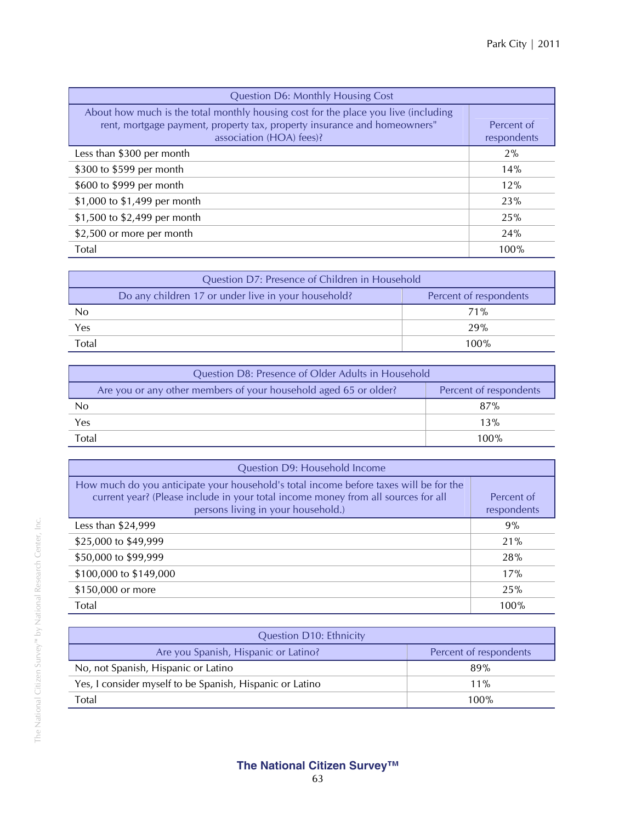| <b>Question D6: Monthly Housing Cost</b>                                                                                                                                                   |                           |
|--------------------------------------------------------------------------------------------------------------------------------------------------------------------------------------------|---------------------------|
| About how much is the total monthly housing cost for the place you live (including<br>rent, mortgage payment, property tax, property insurance and homeowners"<br>association (HOA) fees)? | Percent of<br>respondents |
| Less than \$300 per month                                                                                                                                                                  | 2%                        |
| \$300 to \$599 per month                                                                                                                                                                   | 14%                       |
| \$600 to \$999 per month                                                                                                                                                                   | 12%                       |
| \$1,000 to \$1,499 per month                                                                                                                                                               | 23%                       |
| \$1,500 to \$2,499 per month                                                                                                                                                               | 25%                       |
| \$2,500 or more per month                                                                                                                                                                  | 24%                       |
| Total                                                                                                                                                                                      | 100%                      |

| Question D7: Presence of Children in Household                                |      |
|-------------------------------------------------------------------------------|------|
| Do any children 17 or under live in your household?<br>Percent of respondents |      |
| No                                                                            | 71%  |
| Yes                                                                           | 29%  |
| Total                                                                         | 100% |

| Question D8: Presence of Older Adults in Household               |                        |
|------------------------------------------------------------------|------------------------|
| Are you or any other members of your household aged 65 or older? | Percent of respondents |
| No                                                               | 87%                    |
| Yes                                                              | 13%                    |
| Total                                                            | 100%                   |

| Question D9: Household Income                                                                                                                                                                                    |                           |
|------------------------------------------------------------------------------------------------------------------------------------------------------------------------------------------------------------------|---------------------------|
| How much do you anticipate your household's total income before taxes will be for the<br>current year? (Please include in your total income money from all sources for all<br>persons living in your household.) | Percent of<br>respondents |
| Less than \$24,999                                                                                                                                                                                               | 9%                        |
| \$25,000 to \$49,999                                                                                                                                                                                             | 21%                       |
| \$50,000 to \$99,999                                                                                                                                                                                             | 28%                       |
| \$100,000 to \$149,000                                                                                                                                                                                           | 17%                       |
| \$150,000 or more                                                                                                                                                                                                | 25%                       |
| Total                                                                                                                                                                                                            | 100%                      |

| <b>Question D10: Ethnicity</b>                           |                        |
|----------------------------------------------------------|------------------------|
| Are you Spanish, Hispanic or Latino?                     | Percent of respondents |
| No, not Spanish, Hispanic or Latino                      | 89%                    |
| Yes, I consider myself to be Spanish, Hispanic or Latino | $11\%$                 |
| Total                                                    | $100\%$                |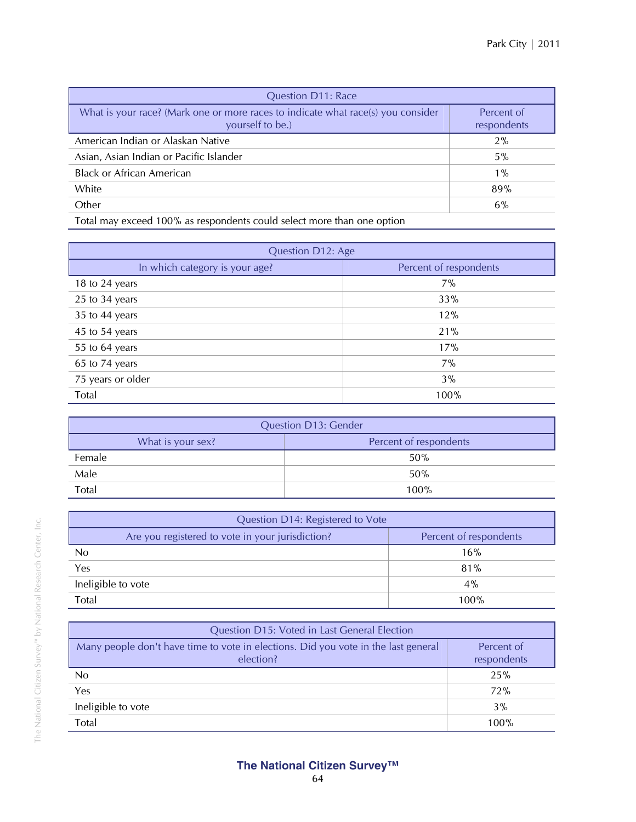| <b>Question D11: Race</b>                                                                            |                           |
|------------------------------------------------------------------------------------------------------|---------------------------|
| What is your race? (Mark one or more races to indicate what race(s) you consider<br>yourself to be.) | Percent of<br>respondents |
| American Indian or Alaskan Native                                                                    | $2\%$                     |
| Asian, Asian Indian or Pacific Islander                                                              | 5%                        |
| <b>Black or African American</b>                                                                     | $1\%$                     |
| White                                                                                                | 89%                       |
| Other                                                                                                | 6%                        |
| $-1$<br>$\mathbf{1}$ $\mathbf{1}$ $\mathbf{2}$ $\mathbf{3}$ $\mathbf{3}$                             |                           |

Total may exceed 100% as respondents could select more than one option

| Question D12: Age              |                        |
|--------------------------------|------------------------|
| In which category is your age? | Percent of respondents |
| 18 to 24 years                 | 7%                     |
| 25 to 34 years                 | 33%                    |
| 35 to 44 years                 | 12%                    |
| 45 to 54 years                 | 21%                    |
| 55 to 64 years                 | 17%                    |
| 65 to 74 years                 | 7%                     |
| 75 years or older              | 3%                     |
| Total                          | 100%                   |

| <b>Question D13: Gender</b> |                        |
|-----------------------------|------------------------|
| What is your sex?           | Percent of respondents |
| Female                      | 50%                    |
| Male                        | 50%                    |
| Total                       | $100\%$                |

| Question D14: Registered to Vote                 |                        |
|--------------------------------------------------|------------------------|
| Are you registered to vote in your jurisdiction? | Percent of respondents |
| No                                               | 16%                    |
| Yes                                              | 81%                    |
| Ineligible to vote                               | 4%                     |
| Total                                            | 100%                   |

| Question D15: Voted in Last General Election                                                    |                           |
|-------------------------------------------------------------------------------------------------|---------------------------|
| Many people don't have time to vote in elections. Did you vote in the last general<br>election? | Percent of<br>respondents |
| No.                                                                                             | 25%                       |
| Yes                                                                                             | 72%                       |
| Ineligible to vote                                                                              | 3%                        |
| Total                                                                                           | 100%                      |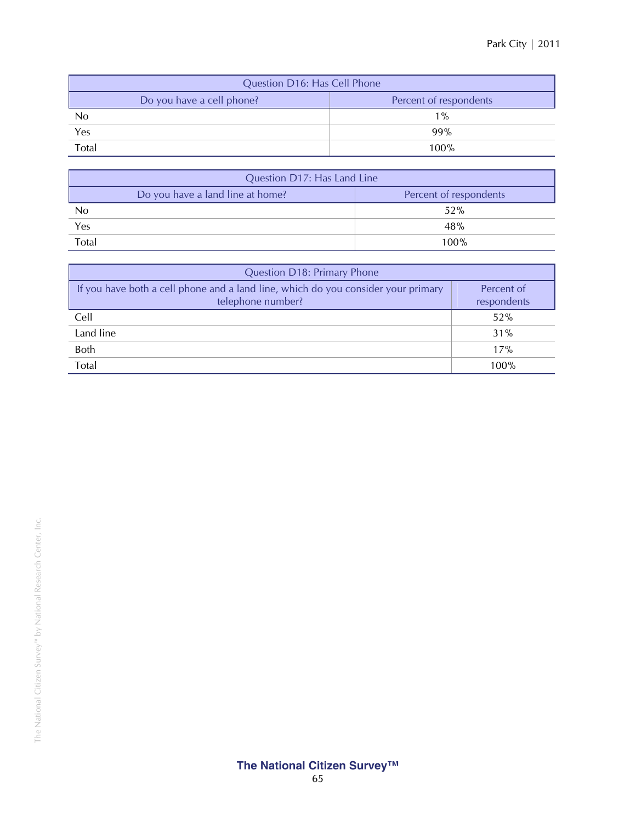| Question D16: Has Cell Phone |                        |
|------------------------------|------------------------|
| Do you have a cell phone?    | Percent of respondents |
| No                           | $1\%$                  |
| Yes                          | 99%                    |
| Total                        | 100%                   |

| Question D17: Has Land Line      |                        |
|----------------------------------|------------------------|
| Do you have a land line at home? | Percent of respondents |
| N <sub>0</sub>                   | 52%                    |
| Yes                              | 48%                    |
| Total                            | 100%                   |

| Question D18: Primary Phone                                                                            |                           |
|--------------------------------------------------------------------------------------------------------|---------------------------|
| If you have both a cell phone and a land line, which do you consider your primary<br>telephone number? | Percent of<br>respondents |
| Cell                                                                                                   | 52%                       |
| Land line                                                                                              | 31%                       |
| <b>Both</b>                                                                                            | 17%                       |
| Total                                                                                                  | 100%                      |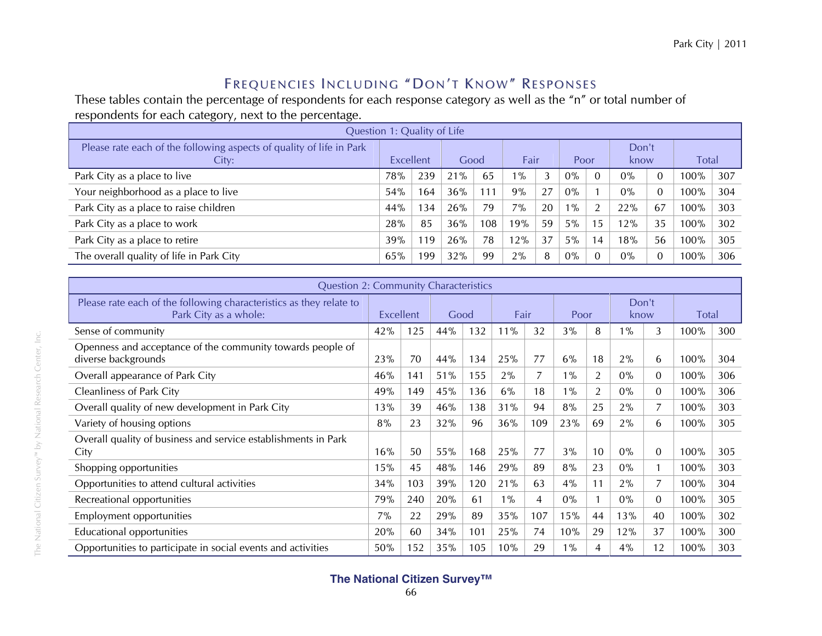## Frequencies Including "Don't Know" Responses

These tables contain the percentage of respondents for each response category as well as the "n" or total number of respondents for each category, next to the percentage.

| Question 1: Quality of Life                                                   |                  |     |      |     |          |    |       |    |               |    |              |     |  |
|-------------------------------------------------------------------------------|------------------|-----|------|-----|----------|----|-------|----|---------------|----|--------------|-----|--|
| Please rate each of the following aspects of quality of life in Park<br>City: | <b>Excellent</b> |     | Good |     | Fair     |    | Poor  |    | Don't<br>know |    | <b>Total</b> |     |  |
| Park City as a place to live                                                  | 78%              | 239 | 21%  | 65  | $19^{0}$ |    | $0\%$ |    | $0\%$         |    | 100%         | 307 |  |
| Your neighborhood as a place to live                                          | 54%              | 164 | 36%  | 111 | 9%       | 27 | $0\%$ |    | $0\%$         |    | 100%         | 304 |  |
| Park City as a place to raise children                                        | 44%              | 134 | 26%  | 79  | $7\%$    | 20 | $1\%$ |    | 22%           | 67 | 100%         | 303 |  |
| Park City as a place to work                                                  | 28%              | 85  | 36%  | 108 | 19%      | 59 | $5\%$ | 15 | 12%           | 35 | 100%         | 302 |  |
| Park City as a place to retire                                                | 39%              | 119 | 26%  | 78  | 12%      | 37 | $5\%$ | 14 | 18%           | 56 | 100%         | 305 |  |
| The overall quality of life in Park City                                      | 65%              | 199 | 32%  | 99  | 2%       | 8  | $0\%$ |    | $0\%$         |    | 100%         | 306 |  |

|                                                                                              | <b>Question 2: Community Characteristics</b> |     |     |      |       |      |       |      |               |          |              |     |  |  |
|----------------------------------------------------------------------------------------------|----------------------------------------------|-----|-----|------|-------|------|-------|------|---------------|----------|--------------|-----|--|--|
| Please rate each of the following characteristics as they relate to<br>Park City as a whole: | Excellent                                    |     |     | Good |       | Fair |       | Poor | Don't<br>know |          | <b>Total</b> |     |  |  |
| Sense of community                                                                           | 42%                                          | 125 | 44% | 132  | 11%   | 32   | 3%    | 8    | $1\%$         | 3        | 100%         | 300 |  |  |
| Openness and acceptance of the community towards people of<br>diverse backgrounds            | 23%                                          | 70  | 44% | 134  | 25%   | 77   | 6%    | 18   | 2%            | 6        | 100%         | 304 |  |  |
| Overall appearance of Park City                                                              | 46%                                          | 141 | 51% | 155  | $2\%$ | 7    | $1\%$ | 2    | $0\%$         | $\Omega$ | 100%         | 306 |  |  |
| <b>Cleanliness of Park City</b>                                                              | 49%                                          | 149 | 45% | 136  | 6%    | 18   | $1\%$ | 2    | $0\%$         | 0        | 100%         | 306 |  |  |
| Overall quality of new development in Park City                                              | 13%                                          | 39  | 46% | 138  | 31%   | 94   | 8%    | 25   | 2%            |          | 100%         | 303 |  |  |
| Variety of housing options                                                                   | 8%                                           | 23  | 32% | 96   | 36%   | 109  | 23%   | 69   | 2%            | 6        | 100%         | 305 |  |  |
| Overall quality of business and service establishments in Park<br>City                       | 16%                                          | 50  | 55% | 168  | 25%   | 77   | 3%    | 10   | $0\%$         | $\Omega$ | 100%         | 305 |  |  |
| Shopping opportunities                                                                       | 15%                                          | 45  | 48% | 146  | 29%   | 89   | 8%    | 23   | $0\%$         |          | 100%         | 303 |  |  |
| Opportunities to attend cultural activities                                                  | 34%                                          | 103 | 39% | 120  | 21%   | 63   | 4%    | 11   | 2%            |          | 100%         | 304 |  |  |
| Recreational opportunities                                                                   | 79%                                          | 240 | 20% | 61   | $1\%$ | 4    | $0\%$ |      | $0\%$         | $\Omega$ | 100%         | 305 |  |  |
| Employment opportunities                                                                     | 7%                                           | 22  | 29% | 89   | 35%   | 107  | 15%   | 44   | 13%           | 40       | 100%         | 302 |  |  |
| Educational opportunities                                                                    | 20%                                          | 60  | 34% | 101  | 25%   | 74   | 10%   | 29   | 12%           | 37       | 100%         | 300 |  |  |
| Opportunities to participate in social events and activities                                 | 50%                                          | 152 | 35% | 105  | 10%   | 29   | $1\%$ | 4    | 4%            | 12       | 100%         | 303 |  |  |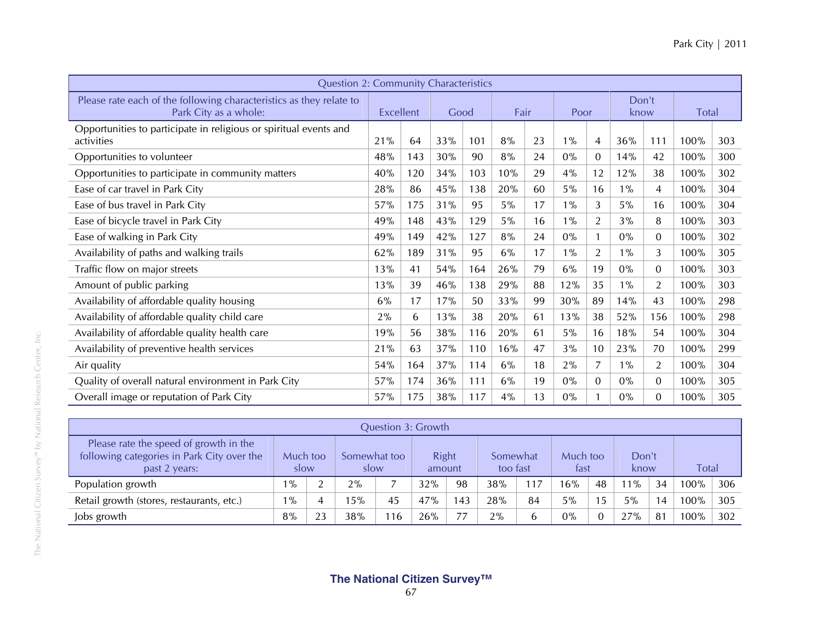| <b>Question 2: Community Characteristics</b>                                                 |     |           |     |      |       |      |       |                |       |                |      |              |  |
|----------------------------------------------------------------------------------------------|-----|-----------|-----|------|-------|------|-------|----------------|-------|----------------|------|--------------|--|
| Please rate each of the following characteristics as they relate to<br>Park City as a whole: |     | Excellent |     | Good |       | Fair |       | Poor           |       | Don't<br>know  |      | <b>Total</b> |  |
| Opportunities to participate in religious or spiritual events and<br>activities              | 21% | 64        | 33% | 101  | 8%    | 23   | $1\%$ | 4              | 36%   | 111            | 100% | 303          |  |
| Opportunities to volunteer                                                                   | 48% | 143       | 30% | 90   | 8%    | 24   | $0\%$ | $\overline{0}$ | 14%   | 42             | 100% | 300          |  |
| Opportunities to participate in community matters                                            | 40% | 120       | 34% | 103  | 10%   | 29   | 4%    | 12             | 12%   | 38             | 100% | 302          |  |
| Ease of car travel in Park City                                                              | 28% | 86        | 45% | 138  | 20%   | 60   | 5%    | 16             | $1\%$ | 4              | 100% | 304          |  |
| Ease of bus travel in Park City                                                              | 57% | 175       | 31% | 95   | $5\%$ | 17   | $1\%$ | 3              | $5\%$ | 16             | 100% | 304          |  |
| Ease of bicycle travel in Park City                                                          | 49% | 148       | 43% | 129  | $5\%$ | 16   | $1\%$ | $\overline{2}$ | 3%    | 8              | 100% | 303          |  |
| Ease of walking in Park City                                                                 | 49% | 149       | 42% | 127  | 8%    | 24   | $0\%$ |                | $0\%$ | $\overline{0}$ | 100% | 302          |  |
| Availability of paths and walking trails                                                     | 62% | 189       | 31% | 95   | 6%    | 17   | $1\%$ | $\overline{2}$ | $1\%$ | 3              | 100% | 305          |  |
| Traffic flow on major streets                                                                | 13% | 41        | 54% | 164  | 26%   | 79   | 6%    | 19             | $0\%$ | $\mathbf{0}$   | 100% | 303          |  |
| Amount of public parking                                                                     | 13% | 39        | 46% | 138  | 29%   | 88   | 12%   | 35             | $1\%$ | $\overline{2}$ | 100% | 303          |  |
| Availability of affordable quality housing                                                   | 6%  | 17        | 17% | 50   | 33%   | 99   | 30%   | 89             | 14%   | 43             | 100% | 298          |  |
| Availability of affordable quality child care                                                | 2%  | 6         | 13% | 38   | 20%   | 61   | 13%   | 38             | 52%   | 156            | 100% | 298          |  |
| Availability of affordable quality health care                                               | 19% | 56        | 38% | 116  | 20%   | 61   | 5%    | 16             | 18%   | 54             | 100% | 304          |  |
| Availability of preventive health services                                                   | 21% | 63        | 37% | 110  | 16%   | 47   | 3%    | 10             | 23%   | 70             | 100% | 299          |  |
| Air quality                                                                                  | 54% | 164       | 37% | 114  | 6%    | 18   | 2%    | 7              | $1\%$ | $\overline{2}$ | 100% | 304          |  |
| Quality of overall natural environment in Park City                                          | 57% | 174       | 36% | 111  | 6%    | 19   | $0\%$ | $\Omega$       | $0\%$ | $\Omega$       | 100% | 305          |  |
| Overall image or reputation of Park City                                                     | 57% | 175       | 38% | 117  | $4\%$ | 13   | 0%    |                | $0\%$ | $\Omega$       | 100% | 305          |  |

|                                                                                                       | Question 3: Growth   |    |                        |     |                      |     |                  |     |               |     |              |    |         |     |  |
|-------------------------------------------------------------------------------------------------------|----------------------|----|------------------------|-----|----------------------|-----|------------------|-----|---------------|-----|--------------|----|---------|-----|--|
| Please rate the speed of growth in the<br>following categories in Park City over the<br>past 2 years: | Somewhat too<br>slow |    | <b>Right</b><br>amount |     | Somewhat<br>too fast |     | Much too<br>fast |     | Don't<br>know |     | <b>Total</b> |    |         |     |  |
| Population growth                                                                                     | $1\%$                | ി  | 2%                     |     | 32%                  | 98  | 38%              | 117 | 16%           | 48  | $1\%$        | 34 | $100\%$ | 306 |  |
| Retail growth (stores, restaurants, etc.)                                                             | $1\%$                | 4  | 5%                     | 45  | 47%                  | 143 | 28%              | 84  | 5%            | .5. | 5%           | 14 | $100\%$ | 305 |  |
| Jobs growth                                                                                           | 8%                   | 23 | 38%                    | 116 | 26%                  | 77  | 2%               | b   | 0%            |     | 27%          | 81 | $100\%$ | 302 |  |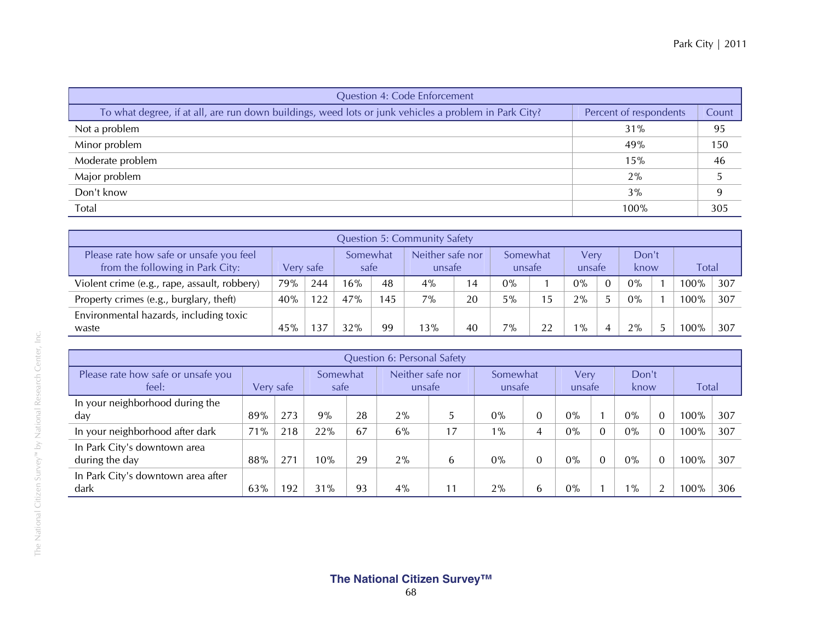| <b>Question 4: Code Enforcement</b>                                                                   |                        |       |
|-------------------------------------------------------------------------------------------------------|------------------------|-------|
| To what degree, if at all, are run down buildings, weed lots or junk vehicles a problem in Park City? | Percent of respondents | Count |
| Not a problem                                                                                         | 31%                    | 95    |
| Minor problem                                                                                         | 49%                    | 150   |
| Moderate problem                                                                                      | 15%                    | 46    |
| Major problem                                                                                         | 2%                     |       |
| Don't know                                                                                            | 3%                     |       |
| Total                                                                                                 | 100%                   | 305   |

|                                                                             | <b>Question 5: Community Safety</b> |           |     |                  |     |                            |       |                    |                |                |               |  |         |              |  |
|-----------------------------------------------------------------------------|-------------------------------------|-----------|-----|------------------|-----|----------------------------|-------|--------------------|----------------|----------------|---------------|--|---------|--------------|--|
| Please rate how safe or unsafe you feel<br>from the following in Park City: |                                     | Very safe |     | Somewhat<br>safe |     | Neither safe nor<br>unsafe |       | Somewhat<br>unsafe |                | Verv<br>unsafe | Don't<br>know |  |         | <b>Total</b> |  |
| Violent crime (e.g., rape, assault, robbery)                                | 79%                                 | 244       | 16% | 48               | 4%  | 14                         | $0\%$ |                    | $0\%$          | $\Omega$       | $0\%$         |  | 100%    | 307          |  |
| Property crimes (e.g., burglary, theft)                                     | 40%                                 | 122       | 47% | 145              | 7%  | 20                         | 5%    |                    | 2%             |                | $0\%$         |  | 100%    | 307          |  |
| Environmental hazards, including toxic<br>waste                             | 45%                                 |           | 32% | 99               | 13% | 40                         | $7\%$ | 22                 | $\frac{10}{6}$ |                | 2%            |  | $100\%$ | 307          |  |

|                                                | Question 6: Personal Safety |     |                         |    |                            |    |                    |   |                |  |               |              |         |     |  |
|------------------------------------------------|-----------------------------|-----|-------------------------|----|----------------------------|----|--------------------|---|----------------|--|---------------|--------------|---------|-----|--|
| Please rate how safe or unsafe you<br>feel:    | Very safe                   |     | <b>Somewhat</b><br>safe |    | Neither safe nor<br>unsafe |    | Somewhat<br>unsafe |   | Verv<br>unsafe |  | Don't<br>know | <b>Total</b> |         |     |  |
| In your neighborhood during the<br>day         | 89%                         | 273 | 9%                      | 28 | 2%                         | Ċ  | $0\%$              | 0 | $0\%$          |  | $0\%$         | $\Omega$     | 100%    | 307 |  |
| In your neighborhood after dark                | 71%                         | 218 | 22%                     | 67 | 6%                         | 17 | $1\%$              | 4 | $0\%$          |  | $0\%$         | $\Omega$     | 100%    | 307 |  |
| In Park City's downtown area<br>during the day | 88%                         | 271 | 10%                     | 29 | 2%                         | 6  | $0\%$              | 0 | $0\%$          |  | $0\%$         | $\Omega$     | $100\%$ | 307 |  |
| In Park City's downtown area after<br>dark     | 63%                         | 192 | 31%                     | 93 | $4\%$                      | 11 | 2%                 | b | $0\%$          |  | $1\%$         | ി            | 100%    | 306 |  |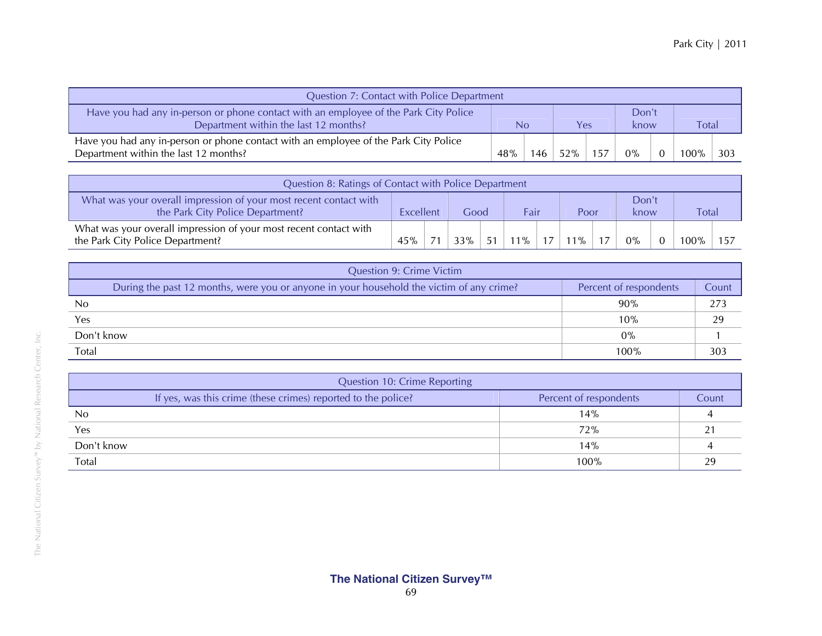| Question 7: Contact with Police Department                                                                                    |     |     |     |      |               |  |              |     |  |  |  |  |
|-------------------------------------------------------------------------------------------------------------------------------|-----|-----|-----|------|---------------|--|--------------|-----|--|--|--|--|
| Have you had any in-person or phone contact with an employee of the Park City Police<br>Department within the last 12 months? | No  |     |     | Yes. | Don't<br>know |  | <b>Total</b> |     |  |  |  |  |
| Have you had any in-person or phone contact with an employee of the Park City Police<br>Department within the last 12 months? | 48% | 146 | 52% | 157  | $0\%$         |  |              | 303 |  |  |  |  |

| Question 8: Ratings of Contact with Police Department                                                 |           |    |      |    |       |  |        |  |               |  |              |  |
|-------------------------------------------------------------------------------------------------------|-----------|----|------|----|-------|--|--------|--|---------------|--|--------------|--|
| What was your overall impression of your most recent contact with<br>the Park City Police Department? | Excellent |    | Good |    | Fair  |  | Poor   |  | Don't<br>know |  | <b>Total</b> |  |
| What was your overall impression of your most recent contact with<br>the Park City Police Department? |           | 71 | 33%  | 51 | $1\%$ |  | $11\%$ |  | $0\%$         |  | $100\%$      |  |

| <b>Question 9: Crime Victim</b>                                                          |                        |       |  |  |  |  |  |
|------------------------------------------------------------------------------------------|------------------------|-------|--|--|--|--|--|
| During the past 12 months, were you or anyone in your household the victim of any crime? | Percent of respondents | Count |  |  |  |  |  |
| N <sub>0</sub>                                                                           | 90%                    | 273   |  |  |  |  |  |
| Yes                                                                                      | 10%                    | 29    |  |  |  |  |  |
| Don't know                                                                               | $0\%$                  |       |  |  |  |  |  |
| Total                                                                                    | 100%                   | 303   |  |  |  |  |  |

| <b>Question 10: Crime Reporting</b> |                                                               |                        |       |  |  |  |  |
|-------------------------------------|---------------------------------------------------------------|------------------------|-------|--|--|--|--|
|                                     | If yes, was this crime (these crimes) reported to the police? | Percent of respondents | Count |  |  |  |  |
| No                                  |                                                               | 14%                    |       |  |  |  |  |
| Yes                                 |                                                               | 72%                    |       |  |  |  |  |
| Don't know                          |                                                               | 14%                    |       |  |  |  |  |
| Total                               |                                                               | 100%                   |       |  |  |  |  |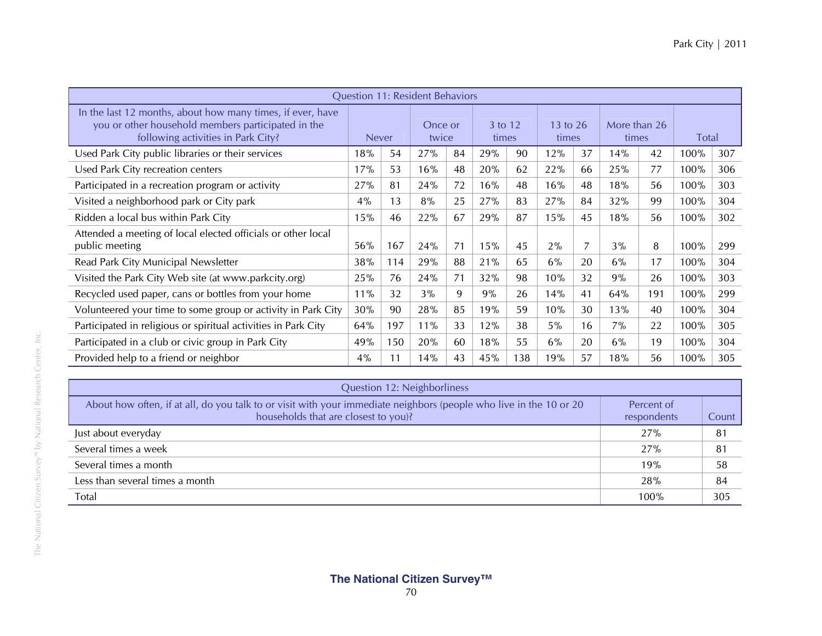|                                                                                                                                                        |              |     | Question 11: Resident Behaviors |    |                  |     |                   |                |                       |     |              |     |
|--------------------------------------------------------------------------------------------------------------------------------------------------------|--------------|-----|---------------------------------|----|------------------|-----|-------------------|----------------|-----------------------|-----|--------------|-----|
| In the last 12 months, about how many times, if ever, have<br>you or other household members participated in the<br>following activities in Park City? | <b>Never</b> |     | Once or<br>twice                |    | 3 to 12<br>times |     | 13 to 26<br>times |                | More than 26<br>times |     | <b>Total</b> |     |
| Used Park City public libraries or their services                                                                                                      | 18%          | 54  | 27%                             | 84 | 29%              | 90  | 12%               | 37             | 14%                   | 42  | 100%         | 307 |
| Used Park City recreation centers                                                                                                                      | 17%          | 53  | 16%                             | 48 | 20%              | 62  | 22%               | 66             | 25%                   | 77  | 100%         | 306 |
| Participated in a recreation program or activity                                                                                                       | 27%          | 81  | 24%                             | 72 | 16%              | 48  | 16%               | 48             | 18%                   | 56  | 100%         | 303 |
| Visited a neighborhood park or City park                                                                                                               | 4%           | 13  | 8%                              | 25 | 27%              | 83  | 27%               | 84             | 32%                   | 99  | 100%         | 304 |
| Ridden a local bus within Park City                                                                                                                    | 15%          | 46  | 22%                             | 67 | 29%              | 87  | 15%               | 45             | 18%                   | 56  | 100%         | 302 |
| Attended a meeting of local elected officials or other local<br>public meeting                                                                         | 56%          | 167 | 24%                             | 71 | 15%              | 45  | 2%                | $\overline{7}$ | 3%                    | 8   | 100%         | 299 |
| Read Park City Municipal Newsletter                                                                                                                    | 38%          | 114 | 29%                             | 88 | 21%              | 65  | 6%                | 20             | 6%                    | 17  | 100%         | 304 |
| Visited the Park City Web site (at www.parkcity.org)                                                                                                   | 25%          | 76  | 24%                             | 71 | 32%              | 98  | 10%               | 32             | 9%                    | 26  | 100%         | 303 |
| Recycled used paper, cans or bottles from your home                                                                                                    | 11%          | 32  | 3%                              | 9  | 9%               | 26  | 14%               | 41             | 64%                   | 191 | 100%         | 299 |
| Volunteered your time to some group or activity in Park City                                                                                           | 30%          | 90  | 28%                             | 85 | 19%              | 59  | 10%               | 30             | 13%                   | 40  | 100%         | 304 |
| Participated in religious or spiritual activities in Park City                                                                                         | 64%          | 197 | 11%                             | 33 | 12%              | 38  | 5%                | 16             | 7%                    | 22  | 100%         | 305 |
| Participated in a club or civic group in Park City                                                                                                     | 49%          | 150 | 20%                             | 60 | 18%              | 55  | 6%                | 20             | 6%                    | 19  | 100%         | 304 |
| Provided help to a friend or neighbor                                                                                                                  | 4%           | 11  | 14%                             | 43 | 45%              | 138 | 19%               | 57             | 18%                   | 56  | 100%         | 305 |

| Question 12: Neighborliness                                                                                                                                |                           |       |  |  |  |  |  |
|------------------------------------------------------------------------------------------------------------------------------------------------------------|---------------------------|-------|--|--|--|--|--|
| About how often, if at all, do you talk to or visit with your immediate neighbors (people who live in the 10 or 20<br>households that are closest to you)? | Percent of<br>respondents | Count |  |  |  |  |  |
| Just about everyday                                                                                                                                        | 27%                       | 81    |  |  |  |  |  |
| Several times a week                                                                                                                                       | 27%                       | 81    |  |  |  |  |  |
| Several times a month                                                                                                                                      | 19%                       | 58    |  |  |  |  |  |
| Less than several times a month                                                                                                                            | 28%                       | 84    |  |  |  |  |  |
| Total                                                                                                                                                      | 100%                      | 305   |  |  |  |  |  |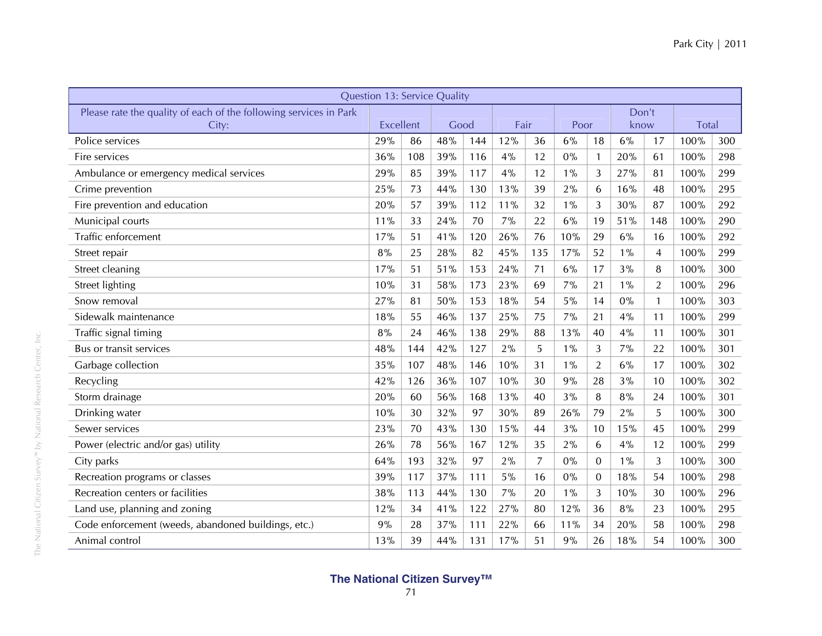| <b>Question 13: Service Quality</b>                               |           |     |      |     |      |                |       |                |       |                |              |     |
|-------------------------------------------------------------------|-----------|-----|------|-----|------|----------------|-------|----------------|-------|----------------|--------------|-----|
| Please rate the quality of each of the following services in Park |           |     |      |     |      |                |       |                | Don't |                |              |     |
| City:                                                             | Excellent |     | Good |     | Fair |                | Poor  |                | know  |                | <b>Total</b> |     |
| Police services                                                   | 29%       | 86  | 48%  | 144 | 12%  | 36             | 6%    | 18             | 6%    | 17             | 100%         | 300 |
| Fire services                                                     | 36%       | 108 | 39%  | 116 | 4%   | 12             | $0\%$ | $\mathbf{1}$   | 20%   | 61             | 100%         | 298 |
| Ambulance or emergency medical services                           | 29%       | 85  | 39%  | 117 | 4%   | 12             | $1\%$ | 3              | 27%   | 81             | 100%         | 299 |
| Crime prevention                                                  | 25%       | 73  | 44%  | 130 | 13%  | 39             | 2%    | 6              | 16%   | 48             | 100%         | 295 |
| Fire prevention and education                                     | 20%       | 57  | 39%  | 112 | 11%  | 32             | $1\%$ | 3              | 30%   | 87             | 100%         | 292 |
| Municipal courts                                                  | 11%       | 33  | 24%  | 70  | 7%   | 22             | 6%    | 19             | 51%   | 148            | 100%         | 290 |
| Traffic enforcement                                               | 17%       | 51  | 41%  | 120 | 26%  | 76             | 10%   | 29             | 6%    | 16             | 100%         | 292 |
| Street repair                                                     | 8%        | 25  | 28%  | 82  | 45%  | 135            | 17%   | 52             | $1\%$ | $\overline{4}$ | 100%         | 299 |
| Street cleaning                                                   | 17%       | 51  | 51%  | 153 | 24%  | 71             | 6%    | 17             | 3%    | 8              | 100%         | 300 |
| Street lighting                                                   | 10%       | 31  | 58%  | 173 | 23%  | 69             | 7%    | 21             | $1\%$ | $\overline{2}$ | 100%         | 296 |
| Snow removal                                                      | 27%       | 81  | 50%  | 153 | 18%  | 54             | $5\%$ | 14             | 0%    | $\mathbf{1}$   | 100%         | 303 |
| Sidewalk maintenance                                              | 18%       | 55  | 46%  | 137 | 25%  | 75             | 7%    | 21             | 4%    | 11             | 100%         | 299 |
| Traffic signal timing                                             | $8\%$     | 24  | 46%  | 138 | 29%  | 88             | 13%   | 40             | 4%    | 11             | 100%         | 301 |
| Bus or transit services                                           | 48%       | 144 | 42%  | 127 | 2%   | 5              | $1\%$ | 3              | 7%    | 22             | 100%         | 301 |
| Garbage collection                                                | 35%       | 107 | 48%  | 146 | 10%  | 31             | $1\%$ | $\overline{2}$ | 6%    | 17             | 100%         | 302 |
| Recycling                                                         | 42%       | 126 | 36%  | 107 | 10%  | 30             | 9%    | 28             | 3%    | 10             | 100%         | 302 |
| Storm drainage                                                    | 20%       | 60  | 56%  | 168 | 13%  | 40             | 3%    | 8              | 8%    | 24             | 100%         | 301 |
| Drinking water                                                    | 10%       | 30  | 32%  | 97  | 30%  | 89             | 26%   | 79             | 2%    | 5              | 100%         | 300 |
| Sewer services                                                    | 23%       | 70  | 43%  | 130 | 15%  | 44             | 3%    | 10             | 15%   | 45             | 100%         | 299 |
| Power (electric and/or gas) utility                               | 26%       | 78  | 56%  | 167 | 12%  | 35             | 2%    | 6              | 4%    | 12             | 100%         | 299 |
| City parks                                                        | 64%       | 193 | 32%  | 97  | 2%   | $\overline{7}$ | $0\%$ | $\Omega$       | $1\%$ | 3              | 100%         | 300 |
| Recreation programs or classes                                    | 39%       | 117 | 37%  | 111 | 5%   | 16             | 0%    | $\Omega$       | 18%   | 54             | 100%         | 298 |
| Recreation centers or facilities                                  | 38%       | 113 | 44%  | 130 | 7%   | 20             | $1\%$ | 3              | 10%   | 30             | 100%         | 296 |
| Land use, planning and zoning                                     | 12%       | 34  | 41%  | 122 | 27%  | 80             | 12%   | 36             | 8%    | 23             | 100%         | 295 |
| Code enforcement (weeds, abandoned buildings, etc.)               | 9%        | 28  | 37%  | 111 | 22%  | 66             | 11%   | 34             | 20%   | 58             | 100%         | 298 |
| Animal control                                                    | 13%       | 39  | 44%  | 131 | 17%  | 51             | 9%    | 26             | 18%   | 54             | 100%         | 300 |

The National Citizen Survey™ by National Research Center, Inc.

The National Citizen Survey<sup>m</sup> by National Research Center, Inc.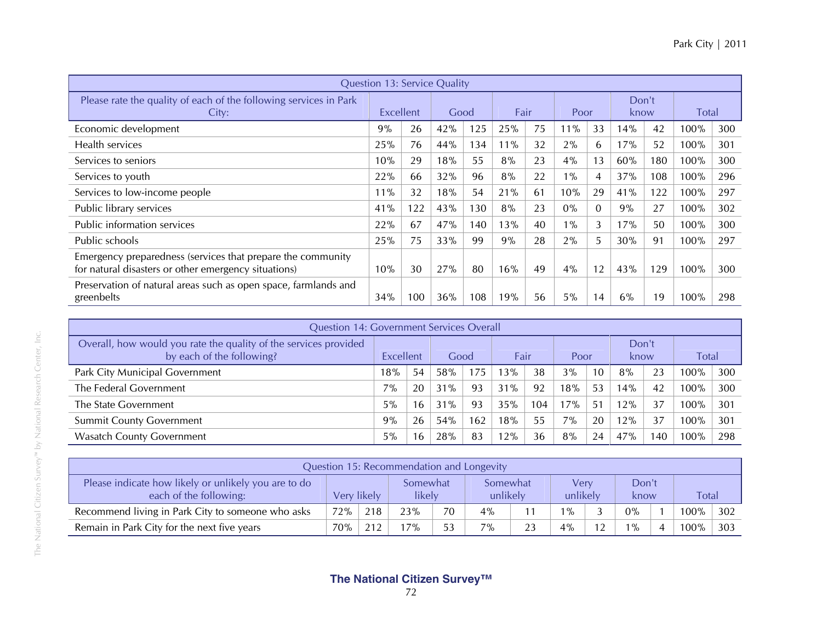|                                                                                                                     | <b>Question 13: Service Quality</b> |     |     |      |     |      |       |          |               |     |         |     |
|---------------------------------------------------------------------------------------------------------------------|-------------------------------------|-----|-----|------|-----|------|-------|----------|---------------|-----|---------|-----|
| Please rate the quality of each of the following services in Park<br>City:                                          | Excellent                           |     |     | Good |     | Fair | Poor  |          | Don't<br>know |     | Total   |     |
| Economic development                                                                                                | 9%                                  | 26  | 42% | 125  | 25% | 75   | 11%   | 33       | 14%           | 42  | 100%    | 300 |
| Health services                                                                                                     | 25%                                 | 76  | 44% | 134  | 11% | 32   | 2%    | 6        | 17%           | 52  | 100%    | 301 |
| Services to seniors                                                                                                 | 10%                                 | 29  | 18% | 55   | 8%  | 23   | $4\%$ | 13       | 60%           | 180 | 100%    | 300 |
| Services to youth                                                                                                   | 22%                                 | 66  | 32% | 96   | 8%  | 22   | $1\%$ | 4        | 37%           | 108 | 100%    | 296 |
| Services to low-income people                                                                                       | $11\%$                              | 32  | 18% | 54   | 21% | 61   | 10%   | 29       | 41%           | 122 | 100%    | 297 |
| Public library services                                                                                             | 41%                                 | 122 | 43% | 130  | 8%  | 23   | $0\%$ | $\Omega$ | 9%            | 27  | 100%    | 302 |
| Public information services                                                                                         | 22%                                 | 67  | 47% | 140  | 13% | 40   | $1\%$ | 3        | 17%           | 50  | 100%    | 300 |
| Public schools                                                                                                      | 25%                                 | 75  | 33% | 99   | 9%  | 28   | 2%    | 5        | 30%           | 91  | 100%    | 297 |
| Emergency preparedness (services that prepare the community<br>for natural disasters or other emergency situations) | 10%                                 | 30  | 27% | 80   | 16% | 49   | $4\%$ | 12       | 43%           | 129 | 100%    | 300 |
| Preservation of natural areas such as open space, farmlands and<br>greenbelts                                       | 34%                                 | 100 | 36% | 108  | 19% | 56   | 5%    | 14       | 6%            | 19  | $100\%$ | 298 |

| <b>Question 14: Government Services Overall</b>                                               |           |    |      |      |      |     |      |    |               |     |              |     |
|-----------------------------------------------------------------------------------------------|-----------|----|------|------|------|-----|------|----|---------------|-----|--------------|-----|
| Overall, how would you rate the quality of the services provided<br>by each of the following? | Excellent |    | Good |      | Fair |     | Poor |    | Don't<br>know |     | <b>Total</b> |     |
| Park City Municipal Government                                                                | 18%       | 54 | 58%  | i 75 | 13%  | 38  | 3%   | 10 | 8%            | 23  | $100\%$      | 300 |
| The Federal Government                                                                        | 7%        | 20 | 31%  | 93   | 31%  | 92  | 18%  | 53 | 14%           | 42  | $100\%$      | 300 |
| The State Government                                                                          | 5%        | 16 | 31%  | 93   | 35%  | 104 | 17%  | 51 | 12%           | 37  | $100\%$      | 301 |
| <b>Summit County Government</b>                                                               | 9%        | 26 | 54%  | 162  | 18%  | 55  | 7%   | 20 | 12%           | 37  | $100\%$      | 301 |
| <b>Wasatch County Government</b>                                                              | 5%        | 16 | 28%  | 83   | 12%  | 36  | 8%   | 24 | 47%           | 140 | 100%         | 298 |

| Question 15: Recommendation and Longevity                                      |     |                                   |     |    |                      |    |                  |    |               |  |              |     |
|--------------------------------------------------------------------------------|-----|-----------------------------------|-----|----|----------------------|----|------------------|----|---------------|--|--------------|-----|
| Please indicate how likely or unlikely you are to do<br>each of the following: |     | Somewhat<br>Very likely<br>likely |     |    | Somewhat<br>unlikely |    | Very<br>unlikely |    | Don't<br>know |  | <b>Total</b> |     |
| Recommend living in Park City to someone who asks                              | 72% | 218                               | 23% | 70 | $4\%$                |    | $1\%$            |    | $0\%$         |  | 100%         | 302 |
| Remain in Park City for the next five years                                    | 70% | 212                               | 17% | 53 | 7%                   | 23 | 4%               | 12 | $1\%$         |  | 100%         | 303 |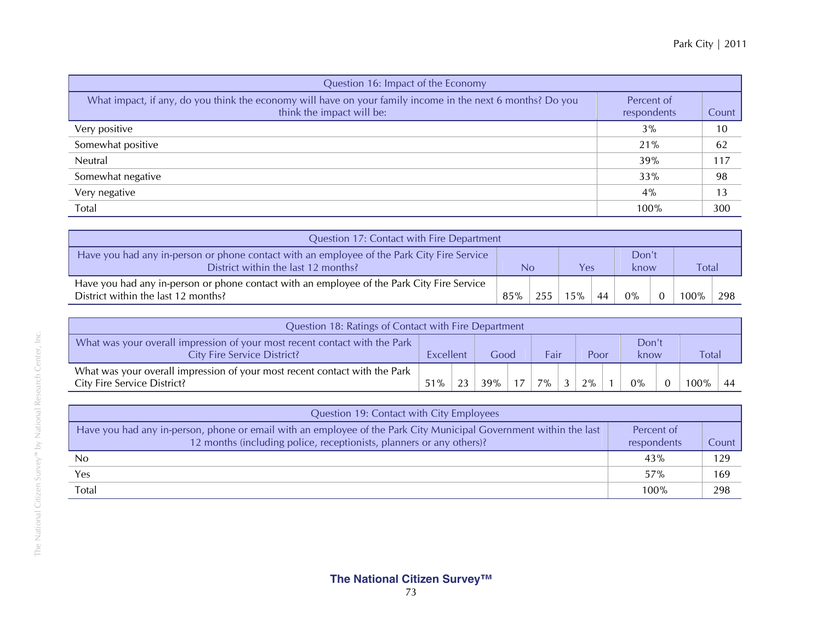|       | Park City   2011 |
|-------|------------------|
|       |                  |
| onomy |                  |

| Question 16: Impact of the Economy                                                                                                      |                           |       |  |  |  |  |  |  |  |
|-----------------------------------------------------------------------------------------------------------------------------------------|---------------------------|-------|--|--|--|--|--|--|--|
| What impact, if any, do you think the economy will have on your family income in the next 6 months? Do you<br>think the impact will be: | Percent of<br>respondents | Count |  |  |  |  |  |  |  |
| Very positive                                                                                                                           | 3%                        | 10    |  |  |  |  |  |  |  |
| Somewhat positive                                                                                                                       | 21%                       | 62    |  |  |  |  |  |  |  |
| Neutral                                                                                                                                 | 39%                       | 117   |  |  |  |  |  |  |  |
| Somewhat negative                                                                                                                       | 33%                       | 98    |  |  |  |  |  |  |  |
| Very negative                                                                                                                           | 4%                        | 13    |  |  |  |  |  |  |  |
| Total                                                                                                                                   | 100%                      | 300   |  |  |  |  |  |  |  |

| Question 17: Contact with Fire Department                                                                                         |     |           |     |    |       |               |         |              |  |  |  |  |
|-----------------------------------------------------------------------------------------------------------------------------------|-----|-----------|-----|----|-------|---------------|---------|--------------|--|--|--|--|
| Have you had any in-person or phone contact with an employee of the Park City Fire Service<br>District within the last 12 months? |     | Yes<br>No |     |    |       | Don't<br>know |         | <b>Total</b> |  |  |  |  |
| Have you had any in-person or phone contact with an employee of the Park City Fire Service<br>District within the last 12 months? | 85% | 255       | 15% | 44 | $0\%$ |               | $100\%$ | 298          |  |  |  |  |

| Question 18: Ratings of Contact with Fire Department                                                             |           |    |        |    |      |                |      |  |               |  |       |  |
|------------------------------------------------------------------------------------------------------------------|-----------|----|--------|----|------|----------------|------|--|---------------|--|-------|--|
| What was your overall impression of your most recent contact with the Park<br><b>City Fire Service District?</b> | Excellent |    | Good   |    | Fair |                | Poor |  | Don't<br>know |  | Total |  |
| What was your overall impression of your most recent contact with the Park<br>City Fire Service District?        | 51%       | 22 | $39\%$ | 17 | 7%   | $\overline{3}$ | 2%   |  | $0\%$         |  | 100%  |  |

| Question 19: Contact with City Employees                                                                                                                                                  |                           |       |
|-------------------------------------------------------------------------------------------------------------------------------------------------------------------------------------------|---------------------------|-------|
| Have you had any in-person, phone or email with an employee of the Park City Municipal Government within the last<br>12 months (including police, receptionists, planners or any others)? | Percent of<br>respondents | Count |
| No                                                                                                                                                                                        | 43%                       | 129   |
| Yes                                                                                                                                                                                       | 57%                       | 169   |
| Total                                                                                                                                                                                     | 100%                      | 298   |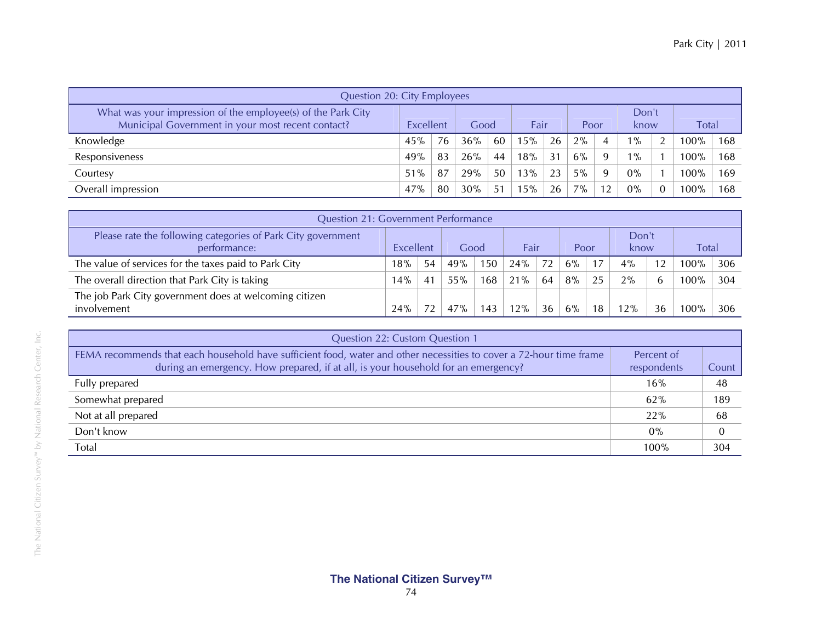| <b>Question 20: City Employees</b>                                                                                |           |    |      |                |      |    |       |          |               |  |              |     |
|-------------------------------------------------------------------------------------------------------------------|-----------|----|------|----------------|------|----|-------|----------|---------------|--|--------------|-----|
| What was your impression of the employee(s) of the Park City<br>Municipal Government in your most recent contact? | Excellent |    | Good |                | Fair |    | Poor  |          | Don't<br>know |  | <b>Total</b> |     |
| Knowledge                                                                                                         | 45%       | 76 | 36%  | 60             | 15%  | 26 | $2\%$ | 4        | $1\%$         |  | $100\%$      | 168 |
| Responsiveness                                                                                                    | 49%       | 83 | 26%  | 44             | 18%  | 31 | 6%    | $\Omega$ | $1\%$         |  | $100\%$      | 168 |
| Courtesy                                                                                                          | 51%       | 87 | 29%  | 50             | 13%  | 23 | $5\%$ | Q        | $0\%$         |  | $100\%$      | 169 |
| Overall impression                                                                                                | 47%       | 80 | 30%  | 5 <sup>1</sup> | 15%  | 26 | 7%    |          | $0\%$         |  | 100%         | 168 |

| <b>Question 21: Government Performance</b>                                   |           |    |      |     |      |    |      |                |               |    |              |     |
|------------------------------------------------------------------------------|-----------|----|------|-----|------|----|------|----------------|---------------|----|--------------|-----|
| Please rate the following categories of Park City government<br>performance: | Excellent |    | Good |     | Fair |    | Poor |                | Don't<br>know |    | <b>Total</b> |     |
| The value of services for the taxes paid to Park City                        | 18%       | 54 | 49%  | 150 | 24%  | 72 | 6%   | $\overline{ }$ | 4%            |    | 100%         | 306 |
| The overall direction that Park City is taking                               | 14%       | 41 | 55%  | 168 | 21%  | 64 | 8%   |                | 2%            |    | $100\%$      | 304 |
| The job Park City government does at welcoming citizen<br>involvement        | 24%       |    |      | 143 | 12%  | 36 | 6%   | 18             | 2%            | 36 |              | 306 |

| Question 22: Custom Question 1                                                                                                                                                                           |                           |       |  |  |  |  |  |  |  |
|----------------------------------------------------------------------------------------------------------------------------------------------------------------------------------------------------------|---------------------------|-------|--|--|--|--|--|--|--|
| FEMA recommends that each household have sufficient food, water and other necessities to cover a 72-hour time frame<br>during an emergency. How prepared, if at all, is your household for an emergency? | Percent of<br>respondents | Count |  |  |  |  |  |  |  |
| Fully prepared                                                                                                                                                                                           | 16%                       | 48    |  |  |  |  |  |  |  |
| Somewhat prepared                                                                                                                                                                                        | 62%                       | 189   |  |  |  |  |  |  |  |
| Not at all prepared                                                                                                                                                                                      | 22%                       | 68    |  |  |  |  |  |  |  |
| Don't know                                                                                                                                                                                               | $0\%$                     |       |  |  |  |  |  |  |  |
| Total                                                                                                                                                                                                    | 100%                      | 304   |  |  |  |  |  |  |  |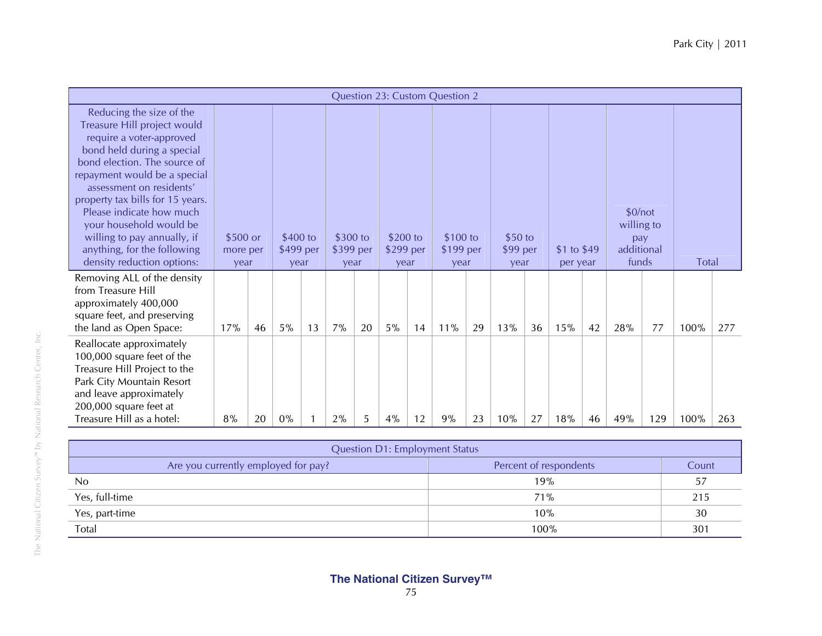|                                                                                                                                                                                                                                                                                                                                                                                                      |                              |    |                               |    |                               |    |                               |    | Question 23: Custom Question 2 |    |                             |    |                          |    |                                                     |     |       |     |
|------------------------------------------------------------------------------------------------------------------------------------------------------------------------------------------------------------------------------------------------------------------------------------------------------------------------------------------------------------------------------------------------------|------------------------------|----|-------------------------------|----|-------------------------------|----|-------------------------------|----|--------------------------------|----|-----------------------------|----|--------------------------|----|-----------------------------------------------------|-----|-------|-----|
| Reducing the size of the<br>Treasure Hill project would<br>require a voter-approved<br>bond held during a special<br>bond election. The source of<br>repayment would be a special<br>assessment on residents'<br>property tax bills for 15 years.<br>Please indicate how much<br>your household would be<br>willing to pay annually, if<br>anything, for the following<br>density reduction options: | \$500 or<br>more per<br>year |    | \$400 to<br>\$499 per<br>year |    | \$300 to<br>\$399 per<br>year |    | \$200 to<br>\$299 per<br>year |    | \$100 to<br>\$199 per<br>year  |    | \$50 to<br>\$99 per<br>year |    | \$1 to $$49$<br>per year |    | \$0/not<br>willing to<br>pay<br>additional<br>funds |     | Total |     |
| Removing ALL of the density<br>from Treasure Hill<br>approximately 400,000<br>square feet, and preserving<br>the land as Open Space:                                                                                                                                                                                                                                                                 | 17%                          | 46 | 5%                            | 13 | 7%                            | 20 | 5%                            | 14 | 11%                            | 29 | 13%                         | 36 | 15%                      | 42 | 28%                                                 | 77  | 100%  | 277 |
| Reallocate approximately<br>100,000 square feet of the<br>Treasure Hill Project to the<br>Park City Mountain Resort<br>and leave approximately<br>200,000 square feet at<br>Treasure Hill as a hotel:                                                                                                                                                                                                | 8%                           | 20 | $0\%$                         |    | 2%                            | 5  | 4%                            | 12 | 9%                             | 23 | 10%                         | 27 | 18%                      | 46 | 49%                                                 | 129 | 100%  | 263 |

| <b>Question D1: Employment Status</b> |                        |       |  |  |
|---------------------------------------|------------------------|-------|--|--|
| Are you currently employed for pay?   | Percent of respondents | Count |  |  |
| No                                    | 19%                    | 57    |  |  |
| Yes, full-time                        | 71%                    | 215   |  |  |
| Yes, part-time                        | 10%                    | 30    |  |  |
| Total                                 | 100%                   | 301   |  |  |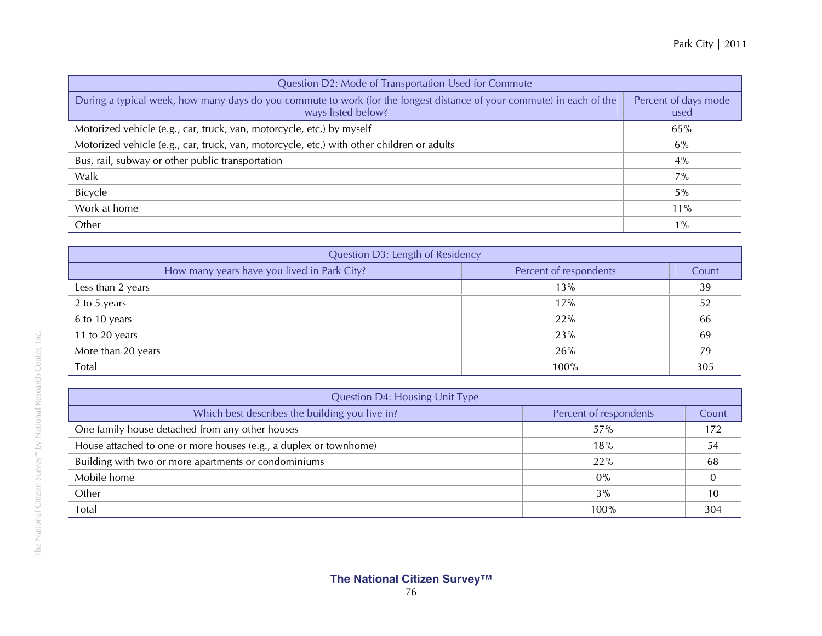| Question D2: Mode of Transportation Used for Commute                                                                                        |                              |  |  |  |
|---------------------------------------------------------------------------------------------------------------------------------------------|------------------------------|--|--|--|
| During a typical week, how many days do you commute to work (for the longest distance of your commute) in each of the<br>ways listed below? | Percent of days mode<br>used |  |  |  |
| Motorized vehicle (e.g., car, truck, van, motorcycle, etc.) by myself                                                                       | 65%                          |  |  |  |
| Motorized vehicle (e.g., car, truck, van, motorcycle, etc.) with other children or adults                                                   | $6\%$                        |  |  |  |
| Bus, rail, subway or other public transportation                                                                                            | 4%                           |  |  |  |
| Walk                                                                                                                                        | 7%                           |  |  |  |
| Bicycle                                                                                                                                     | 5%                           |  |  |  |
| Work at home                                                                                                                                | 11%                          |  |  |  |
| Other                                                                                                                                       | $1\%$                        |  |  |  |

| Question D3: Length of Residency            |                        |       |
|---------------------------------------------|------------------------|-------|
| How many years have you lived in Park City? | Percent of respondents | Count |
| Less than 2 years                           | 13%                    | 39    |
| 2 to 5 years                                | 17%                    | 52    |
| 6 to 10 years                               | 22%                    | 66    |
| 11 to 20 years                              | 23%                    | 69    |
| More than 20 years                          | 26%                    | 79    |
| Total                                       | 100%                   | 305   |

| <b>Question D4: Housing Unit Type</b>                             |                        |       |  |
|-------------------------------------------------------------------|------------------------|-------|--|
| Which best describes the building you live in?                    | Percent of respondents | Count |  |
| One family house detached from any other houses                   | 57%                    | 172   |  |
| House attached to one or more houses (e.g., a duplex or townhome) | 18%                    | 54    |  |
| Building with two or more apartments or condominiums              | 22%                    | 68    |  |
| Mobile home                                                       | $0\%$                  |       |  |
| Other                                                             | 3%                     | 10    |  |
| Total                                                             | 100%                   | 304   |  |

h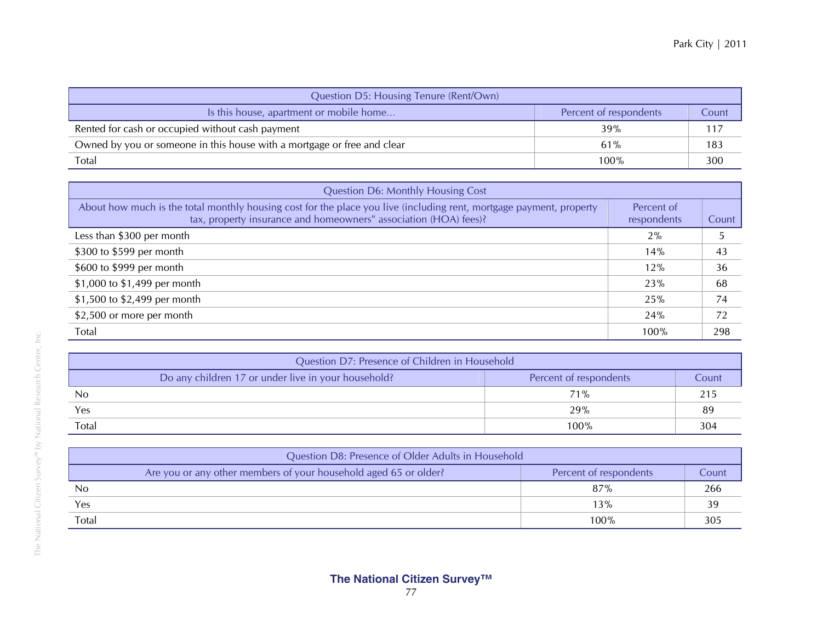| Question D5: Housing Tenure (Rent/Own)                                  |                        |       |  |
|-------------------------------------------------------------------------|------------------------|-------|--|
| Is this house, apartment or mobile home                                 | Percent of respondents | Count |  |
| Rented for cash or occupied without cash payment                        | 39%                    | 117   |  |
| Owned by you or someone in this house with a mortgage or free and clear | 61%                    | 183   |  |
| Total                                                                   | 100%                   | 300   |  |

| <b>Question D6: Monthly Housing Cost</b>                                                                                                                                                |                           |       |
|-----------------------------------------------------------------------------------------------------------------------------------------------------------------------------------------|---------------------------|-------|
| About how much is the total monthly housing cost for the place you live (including rent, mortgage payment, property<br>tax, property insurance and homeowners" association (HOA) fees)? | Percent of<br>respondents | Count |
| Less than \$300 per month                                                                                                                                                               | 2%                        |       |
| \$300 to \$599 per month                                                                                                                                                                | 14%                       | 43    |
| \$600 to \$999 per month                                                                                                                                                                | 12%                       | 36    |
| \$1,000 to \$1,499 per month                                                                                                                                                            | 23%                       | 68    |
| \$1,500 to \$2,499 per month                                                                                                                                                            | 25%                       | 74    |
| \$2,500 or more per month                                                                                                                                                               | 24%                       | 72    |
| Total                                                                                                                                                                                   | 100%                      | 298   |

| Question D7: Presence of Children in Household      |                        |       |
|-----------------------------------------------------|------------------------|-------|
| Do any children 17 or under live in your household? | Percent of respondents | Count |
| N <sub>0</sub>                                      | 71%                    |       |
| Yes                                                 | 29%                    | 89    |
| Total                                               | 100%                   | 304   |

| Question D8: Presence of Older Adults in Household               |                        |       |  |  |
|------------------------------------------------------------------|------------------------|-------|--|--|
| Are you or any other members of your household aged 65 or older? | Percent of respondents | Count |  |  |
| N <sub>0</sub>                                                   | 87%                    | 266   |  |  |
| Yes                                                              | 13%                    | 39    |  |  |
| Total                                                            | $100\%$                | 305   |  |  |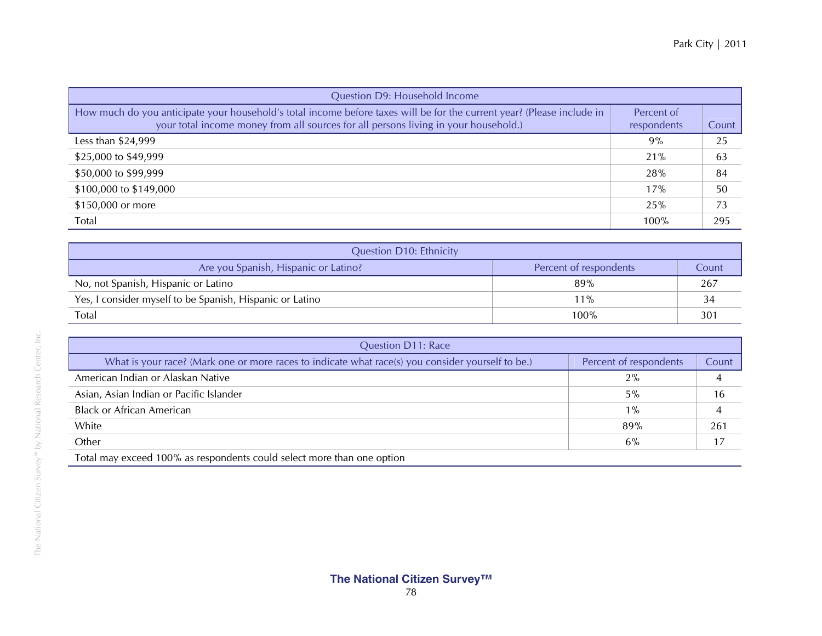| Question D9: Household Income                                                                                                                                                                                 |                           |       |
|---------------------------------------------------------------------------------------------------------------------------------------------------------------------------------------------------------------|---------------------------|-------|
| How much do you anticipate your household's total income before taxes will be for the current year? (Please include in<br>your total income money from all sources for all persons living in your household.) | Percent of<br>respondents | Count |
| Less than $$24,999$                                                                                                                                                                                           | 9%                        | 25    |
| \$25,000 to \$49,999                                                                                                                                                                                          | 21%                       | 63    |
| \$50,000 to \$99,999                                                                                                                                                                                          | 28%                       | 84    |
| \$100,000 to \$149,000                                                                                                                                                                                        | 17%                       | 50    |
| \$150,000 or more                                                                                                                                                                                             | 25%                       | 73    |
| Total                                                                                                                                                                                                         | 100%                      | 295   |

| <b>Question D10: Ethnicity</b>                           |                        |       |
|----------------------------------------------------------|------------------------|-------|
| Are you Spanish, Hispanic or Latino?                     | Percent of respondents | Count |
| No, not Spanish, Hispanic or Latino                      | 89%                    | 267   |
| Yes, I consider myself to be Spanish, Hispanic or Latino | $11\%$                 |       |
| <b>Total</b>                                             | $100\%$                | 301   |

| Percent of respondents | Count |
|------------------------|-------|
| 2%                     |       |
| 5%                     | 16    |
| $1\%$                  |       |
| 89%                    | 261   |
| 6%                     |       |
|                        |       |

Total may exceed 100% as respondents could select more than one option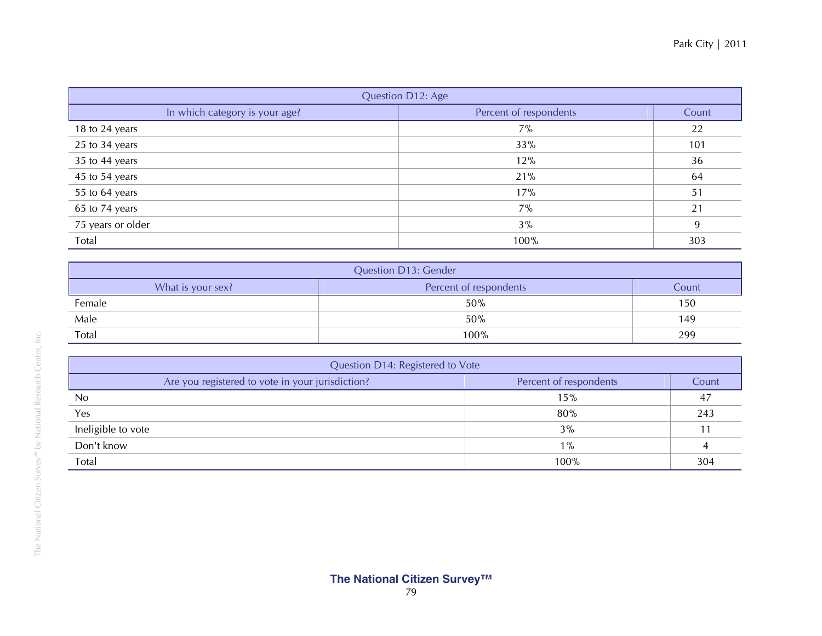| Question D12: Age              |                        |       |  |  |
|--------------------------------|------------------------|-------|--|--|
| In which category is your age? | Percent of respondents | Count |  |  |
| 18 to 24 years                 | $7\%$                  | 22    |  |  |
| 25 to 34 years                 | 33%                    | 101   |  |  |
| 35 to 44 years                 | 12%                    | 36    |  |  |
| 45 to 54 years                 | 21%                    | 64    |  |  |
| 55 to 64 years                 | 17%                    | 51    |  |  |
| 65 to 74 years                 | $7\%$                  | 21    |  |  |
| 75 years or older              | 3%                     | 9     |  |  |
| Total                          | 100%                   | 303   |  |  |

| <b>Question D13: Gender</b>                          |      |     |  |  |  |
|------------------------------------------------------|------|-----|--|--|--|
| What is your sex?<br>Percent of respondents<br>Count |      |     |  |  |  |
| Female                                               | 50%  | 150 |  |  |  |
| Male                                                 | 50%  | 149 |  |  |  |
| Total                                                | 100% | 299 |  |  |  |

| Question D14: Registered to Vote                                           |       |     |  |  |
|----------------------------------------------------------------------------|-------|-----|--|--|
| Are you registered to vote in your jurisdiction?<br>Percent of respondents |       |     |  |  |
| No                                                                         | 15%   | 47  |  |  |
| Yes                                                                        | 80%   | 243 |  |  |
| Ineligible to vote                                                         | 3%    |     |  |  |
| Don't know                                                                 | $1\%$ |     |  |  |
| Total                                                                      | 100%  | 304 |  |  |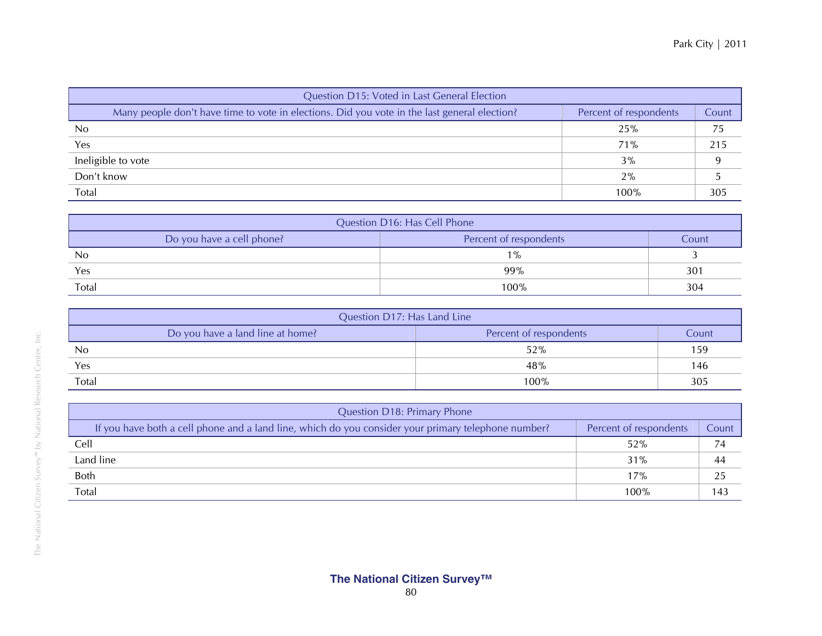| Question D15: Voted in Last General Election                                                 |                        |       |  |  |  |
|----------------------------------------------------------------------------------------------|------------------------|-------|--|--|--|
| Many people don't have time to vote in elections. Did you vote in the last general election? | Percent of respondents | Count |  |  |  |
| N <sub>0</sub>                                                                               | 25%                    | 75    |  |  |  |
| Yes                                                                                          | 71%                    | 215   |  |  |  |
| Ineligible to vote                                                                           | 3%                     |       |  |  |  |
| Don't know                                                                                   | 2%                     |       |  |  |  |
| Total                                                                                        | 100%                   | 305   |  |  |  |

| Question D16: Has Cell Phone                                 |       |     |  |  |
|--------------------------------------------------------------|-------|-----|--|--|
| Do you have a cell phone?<br>Percent of respondents<br>Count |       |     |  |  |
| No                                                           | $1\%$ |     |  |  |
| Yes                                                          | 99%   | 301 |  |  |
| Total                                                        | 100%  | 304 |  |  |

| Question D17: Has Land Line                                         |      |     |  |  |  |
|---------------------------------------------------------------------|------|-----|--|--|--|
| Do you have a land line at home?<br>Percent of respondents<br>Count |      |     |  |  |  |
| No                                                                  | 52%  | 159 |  |  |  |
| Yes                                                                 | 48%  | 146 |  |  |  |
| Total                                                               | 100% | 305 |  |  |  |

| Question D18: Primary Phone                                                                         |                        |       |  |  |
|-----------------------------------------------------------------------------------------------------|------------------------|-------|--|--|
| If you have both a cell phone and a land line, which do you consider your primary telephone number? | Percent of respondents | Count |  |  |
| Cell                                                                                                | 52%                    | 74    |  |  |
| Land line                                                                                           | 31%                    | 44    |  |  |
| Both                                                                                                | 17%                    | 25    |  |  |
| Total                                                                                               | 100%                   | 143   |  |  |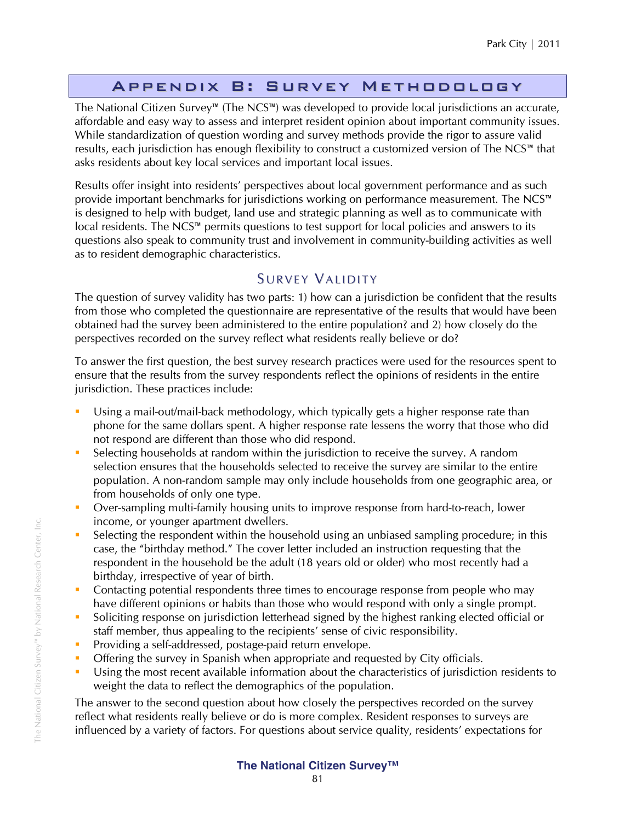## Appendix B: Survey Methodology

The National Citizen Survey™ (The NCS™) was developed to provide local jurisdictions an accurate, affordable and easy way to assess and interpret resident opinion about important community issues. While standardization of question wording and survey methods provide the rigor to assure valid results, each jurisdiction has enough flexibility to construct a customized version of The NCS™ that asks residents about key local services and important local issues.

Results offer insight into residents' perspectives about local government performance and as such provide important benchmarks for jurisdictions working on performance measurement. The NCS™ is designed to help with budget, land use and strategic planning as well as to communicate with local residents. The NCS™ permits questions to test support for local policies and answers to its questions also speak to community trust and involvement in community-building activities as well as to resident demographic characteristics.

## SURVEY VALIDITY

The question of survey validity has two parts: 1) how can a jurisdiction be confident that the results from those who completed the questionnaire are representative of the results that would have been obtained had the survey been administered to the entire population? and 2) how closely do the perspectives recorded on the survey reflect what residents really believe or do?

To answer the first question, the best survey research practices were used for the resources spent to ensure that the results from the survey respondents reflect the opinions of residents in the entire jurisdiction. These practices include:

- Using a mail-out/mail-back methodology, which typically gets a higher response rate than phone for the same dollars spent. A higher response rate lessens the worry that those who did not respond are different than those who did respond.
- Selecting households at random within the jurisdiction to receive the survey. A random selection ensures that the households selected to receive the survey are similar to the entire population. A non-random sample may only include households from one geographic area, or from households of only one type.
- **Didde** Over-sampling multi-family housing units to improve response from hard-to-reach, lower income, or younger apartment dwellers.
- Selecting the respondent within the household using an unbiased sampling procedure; in this case, the "birthday method." The cover letter included an instruction requesting that the respondent in the household be the adult (18 years old or older) who most recently had a birthday, irrespective of year of birth.
- Contacting potential respondents three times to encourage response from people who may have different opinions or habits than those who would respond with only a single prompt.
- Soliciting response on jurisdiction letterhead signed by the highest ranking elected official or staff member, thus appealing to the recipients' sense of civic responsibility.
- **Providing a self-addressed, postage-paid return envelope.**
- Offering the survey in Spanish when appropriate and requested by City officials.
- Using the most recent available information about the characteristics of jurisdiction residents to weight the data to reflect the demographics of the population.

The answer to the second question about how closely the perspectives recorded on the survey reflect what residents really believe or do is more complex. Resident responses to surveys are influenced by a variety of factors. For questions about service quality, residents' expectations for

## **The National Citizen Survey™**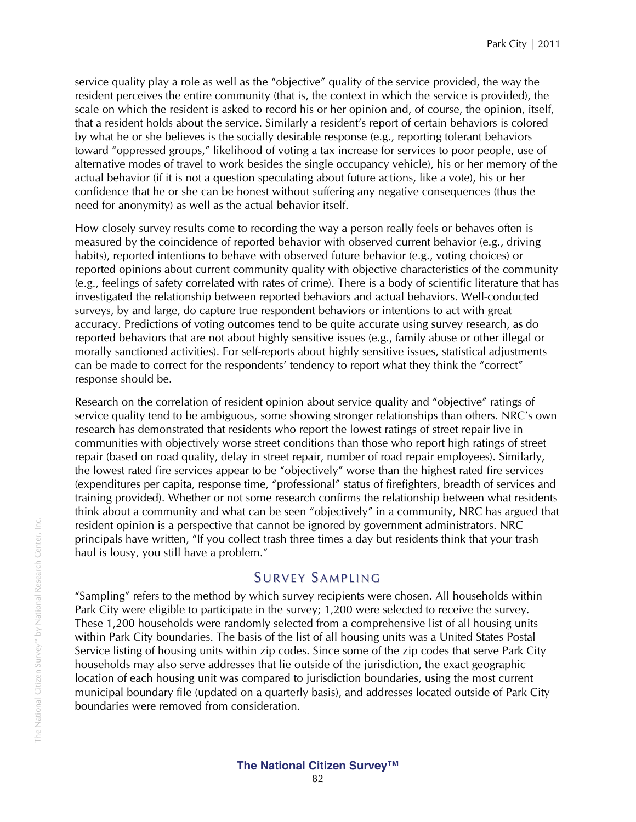service quality play a role as well as the "objective" quality of the service provided, the way the resident perceives the entire community (that is, the context in which the service is provided), the scale on which the resident is asked to record his or her opinion and, of course, the opinion, itself, that a resident holds about the service. Similarly a resident's report of certain behaviors is colored by what he or she believes is the socially desirable response (e.g., reporting tolerant behaviors toward "oppressed groups," likelihood of voting a tax increase for services to poor people, use of alternative modes of travel to work besides the single occupancy vehicle), his or her memory of the actual behavior (if it is not a question speculating about future actions, like a vote), his or her confidence that he or she can be honest without suffering any negative consequences (thus the need for anonymity) as well as the actual behavior itself.

How closely survey results come to recording the way a person really feels or behaves often is measured by the coincidence of reported behavior with observed current behavior (e.g., driving habits), reported intentions to behave with observed future behavior (e.g., voting choices) or reported opinions about current community quality with objective characteristics of the community (e.g., feelings of safety correlated with rates of crime). There is a body of scientific literature that has investigated the relationship between reported behaviors and actual behaviors. Well-conducted surveys, by and large, do capture true respondent behaviors or intentions to act with great accuracy. Predictions of voting outcomes tend to be quite accurate using survey research, as do reported behaviors that are not about highly sensitive issues (e.g., family abuse or other illegal or morally sanctioned activities). For self-reports about highly sensitive issues, statistical adjustments can be made to correct for the respondents' tendency to report what they think the "correct" response should be.

Research on the correlation of resident opinion about service quality and "objective" ratings of service quality tend to be ambiguous, some showing stronger relationships than others. NRC's own research has demonstrated that residents who report the lowest ratings of street repair live in communities with objectively worse street conditions than those who report high ratings of street repair (based on road quality, delay in street repair, number of road repair employees). Similarly, the lowest rated fire services appear to be "objectively" worse than the highest rated fire services (expenditures per capita, response time, "professional" status of firefighters, breadth of services and training provided). Whether or not some research confirms the relationship between what residents think about a community and what can be seen "objectively" in a community, NRC has argued that resident opinion is a perspective that cannot be ignored by government administrators. NRC principals have written, "If you collect trash three times a day but residents think that your trash haul is lousy, you still have a problem."

## SURVEY SAMPLING

"Sampling" refers to the method by which survey recipients were chosen. All households within Park City were eligible to participate in the survey; 1,200 were selected to receive the survey. These 1,200 households were randomly selected from a comprehensive list of all housing units within Park City boundaries. The basis of the list of all housing units was a United States Postal Service listing of housing units within zip codes. Since some of the zip codes that serve Park City households may also serve addresses that lie outside of the jurisdiction, the exact geographic location of each housing unit was compared to jurisdiction boundaries, using the most current municipal boundary file (updated on a quarterly basis), and addresses located outside of Park City boundaries were removed from consideration.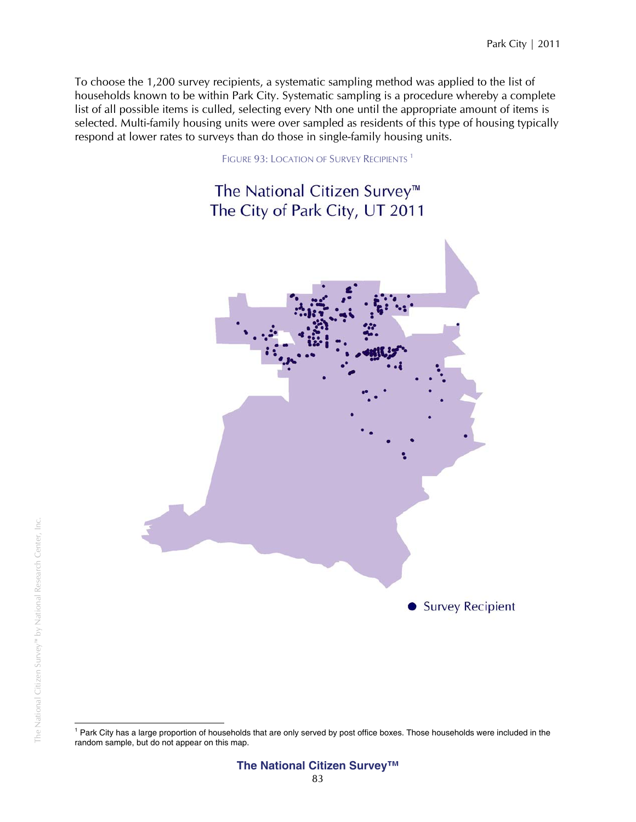To choose the 1,200 survey recipients, a systematic sampling method was applied to the list of households known to be within Park City. Systematic sampling is a procedure whereby a complete list of all possible items is culled, selecting every Nth one until the appropriate amount of items is selected. Multi-family housing units were over sampled as residents of this type of housing typically respond at lower rates to surveys than do those in single-family housing units.

FIGURE 93: LOCATION OF SURVEY RECIPIENTS<sup>1</sup>

# The National Citizen Survey<sup>™</sup> The City of Park City, UT 2011



l <sup>1</sup> Park City has a large proportion of households that are only served by post office boxes. Those households were included in the random sample, but do not appear on this map.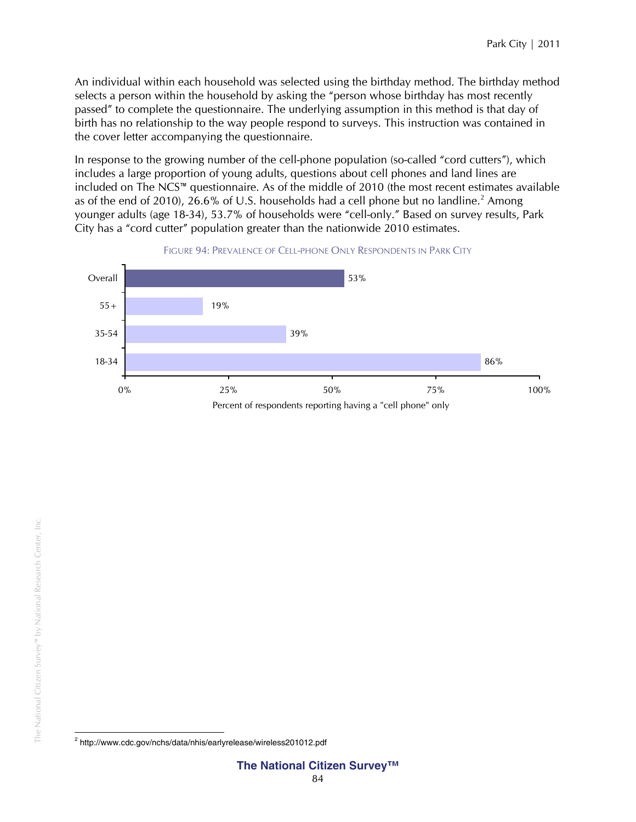An individual within each household was selected using the birthday method. The birthday method selects a person within the household by asking the "person whose birthday has most recently passed" to complete the questionnaire. The underlying assumption in this method is that day of birth has no relationship to the way people respond to surveys. This instruction was contained in the cover letter accompanying the questionnaire.

In response to the growing number of the cell-phone population (so-called "cord cutters"), which includes a large proportion of young adults, questions about cell phones and land lines are included on The NCS™ questionnaire. As of the middle of 2010 (the most recent estimates available as of the end of 2010), 26.6% of U.S. households had a cell phone but no landline.<sup>2</sup> Among younger adults (age 18-34), 53.7% of households were "cell-only." Based on survey results, Park City has a "cord cutter" population greater than the nationwide 2010 estimates.





 2 http://www.cdc.gov/nchs/data/nhis/earlyrelease/wireless201012.pdf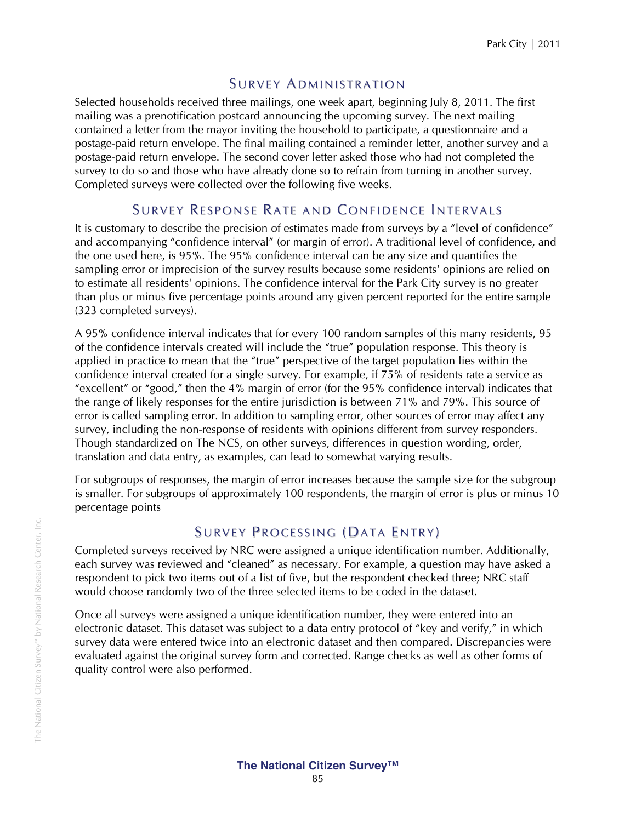## **SURVEY ADMINISTRATION**

Selected households received three mailings, one week apart, beginning July 8, 2011. The first mailing was a prenotification postcard announcing the upcoming survey. The next mailing contained a letter from the mayor inviting the household to participate, a questionnaire and a postage-paid return envelope. The final mailing contained a reminder letter, another survey and a postage-paid return envelope. The second cover letter asked those who had not completed the survey to do so and those who have already done so to refrain from turning in another survey. Completed surveys were collected over the following five weeks.

## SURVEY RESPONSE RATE AND CONFIDENCE INTERVALS

It is customary to describe the precision of estimates made from surveys by a "level of confidence" and accompanying "confidence interval" (or margin of error). A traditional level of confidence, and the one used here, is 95%. The 95% confidence interval can be any size and quantifies the sampling error or imprecision of the survey results because some residents' opinions are relied on to estimate all residents' opinions. The confidence interval for the Park City survey is no greater than plus or minus five percentage points around any given percent reported for the entire sample (323 completed surveys).

A 95% confidence interval indicates that for every 100 random samples of this many residents, 95 of the confidence intervals created will include the "true" population response. This theory is applied in practice to mean that the "true" perspective of the target population lies within the confidence interval created for a single survey. For example, if 75% of residents rate a service as "excellent" or "good," then the 4% margin of error (for the 95% confidence interval) indicates that the range of likely responses for the entire jurisdiction is between 71% and 79%. This source of error is called sampling error. In addition to sampling error, other sources of error may affect any survey, including the non-response of residents with opinions different from survey responders. Though standardized on The NCS, on other surveys, differences in question wording, order, translation and data entry, as examples, can lead to somewhat varying results.

For subgroups of responses, the margin of error increases because the sample size for the subgroup is smaller. For subgroups of approximately 100 respondents, the margin of error is plus or minus 10 percentage points

## SURVEY PROCESSING (DATA ENTRY)

Completed surveys received by NRC were assigned a unique identification number. Additionally, each survey was reviewed and "cleaned" as necessary. For example, a question may have asked a respondent to pick two items out of a list of five, but the respondent checked three; NRC staff would choose randomly two of the three selected items to be coded in the dataset.

Once all surveys were assigned a unique identification number, they were entered into an electronic dataset. This dataset was subject to a data entry protocol of "key and verify," in which survey data were entered twice into an electronic dataset and then compared. Discrepancies were evaluated against the original survey form and corrected. Range checks as well as other forms of quality control were also performed.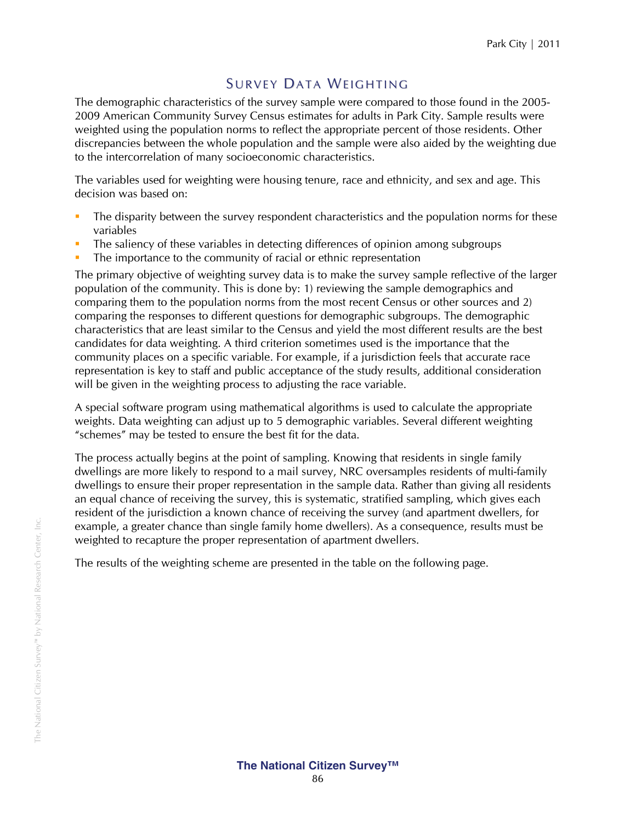## SURVEY DATA WEIGHTING

The demographic characteristics of the survey sample were compared to those found in the 2005- 2009 American Community Survey Census estimates for adults in Park City. Sample results were weighted using the population norms to reflect the appropriate percent of those residents. Other discrepancies between the whole population and the sample were also aided by the weighting due to the intercorrelation of many socioeconomic characteristics.

The variables used for weighting were housing tenure, race and ethnicity, and sex and age. This decision was based on:

- The disparity between the survey respondent characteristics and the population norms for these variables
- The saliency of these variables in detecting differences of opinion among subgroups
- The importance to the community of racial or ethnic representation

The primary objective of weighting survey data is to make the survey sample reflective of the larger population of the community. This is done by: 1) reviewing the sample demographics and comparing them to the population norms from the most recent Census or other sources and 2) comparing the responses to different questions for demographic subgroups. The demographic characteristics that are least similar to the Census and yield the most different results are the best candidates for data weighting. A third criterion sometimes used is the importance that the community places on a specific variable. For example, if a jurisdiction feels that accurate race representation is key to staff and public acceptance of the study results, additional consideration will be given in the weighting process to adjusting the race variable.

A special software program using mathematical algorithms is used to calculate the appropriate weights. Data weighting can adjust up to 5 demographic variables. Several different weighting "schemes" may be tested to ensure the best fit for the data.

The process actually begins at the point of sampling. Knowing that residents in single family dwellings are more likely to respond to a mail survey, NRC oversamples residents of multi-family dwellings to ensure their proper representation in the sample data. Rather than giving all residents an equal chance of receiving the survey, this is systematic, stratified sampling, which gives each resident of the jurisdiction a known chance of receiving the survey (and apartment dwellers, for example, a greater chance than single family home dwellers). As a consequence, results must be weighted to recapture the proper representation of apartment dwellers.

The results of the weighting scheme are presented in the table on the following page.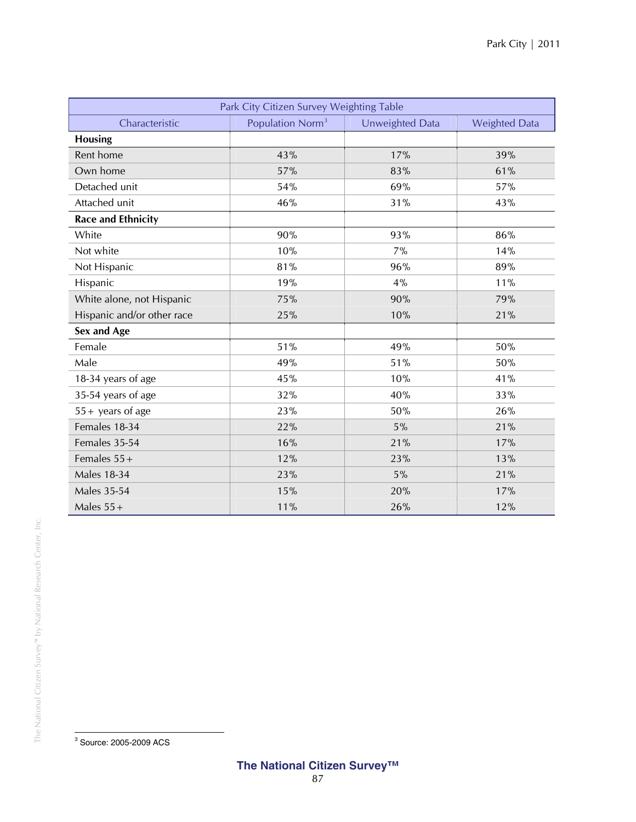| Park City Citizen Survey Weighting Table |                              |                 |                      |  |  |  |
|------------------------------------------|------------------------------|-----------------|----------------------|--|--|--|
| Characteristic                           | Population Norm <sup>3</sup> | Unweighted Data | <b>Weighted Data</b> |  |  |  |
| <b>Housing</b>                           |                              |                 |                      |  |  |  |
| Rent home                                | 43%                          | 17%             | 39%                  |  |  |  |
| Own home                                 | 57%                          | 83%             | 61%                  |  |  |  |
| Detached unit                            | 54%                          | 69%             | 57%                  |  |  |  |
| Attached unit                            | 46%                          | 31%             | 43%                  |  |  |  |
| <b>Race and Ethnicity</b>                |                              |                 |                      |  |  |  |
| White                                    | 90%                          | 93%             | 86%                  |  |  |  |
| Not white                                | 10%                          | 7%              | 14%                  |  |  |  |
| Not Hispanic                             | 81%                          | 96%             | 89%                  |  |  |  |
| Hispanic                                 | 19%                          | 4%              | 11%                  |  |  |  |
| White alone, not Hispanic                | 75%                          | 90%             | 79%                  |  |  |  |
| Hispanic and/or other race               | 25%                          | 10%             | 21%                  |  |  |  |
| Sex and Age                              |                              |                 |                      |  |  |  |
| Female                                   | 51%                          | 49%             | 50%                  |  |  |  |
| Male                                     | 49%                          | 51%             | 50%                  |  |  |  |
| 18-34 years of age                       | 45%                          | 10%             | 41%                  |  |  |  |
| 35-54 years of age                       | 32%                          | 40%             | 33%                  |  |  |  |
| $55 +$ years of age                      | 23%                          | 50%             | 26%                  |  |  |  |
| Females 18-34                            | 22%                          | 5%              | 21%                  |  |  |  |
| Females 35-54                            | 16%                          | 21%             | 17%                  |  |  |  |
| Females $55+$                            | 12%                          | 23%             | 13%                  |  |  |  |
| <b>Males 18-34</b>                       | 23%                          | 5%              | 21%                  |  |  |  |
| <b>Males 35-54</b>                       | 15%                          | 20%             | 17%                  |  |  |  |
| Males $55+$                              | 11%                          | 26%             | 12%                  |  |  |  |

 3 Source: 2005-2009 ACS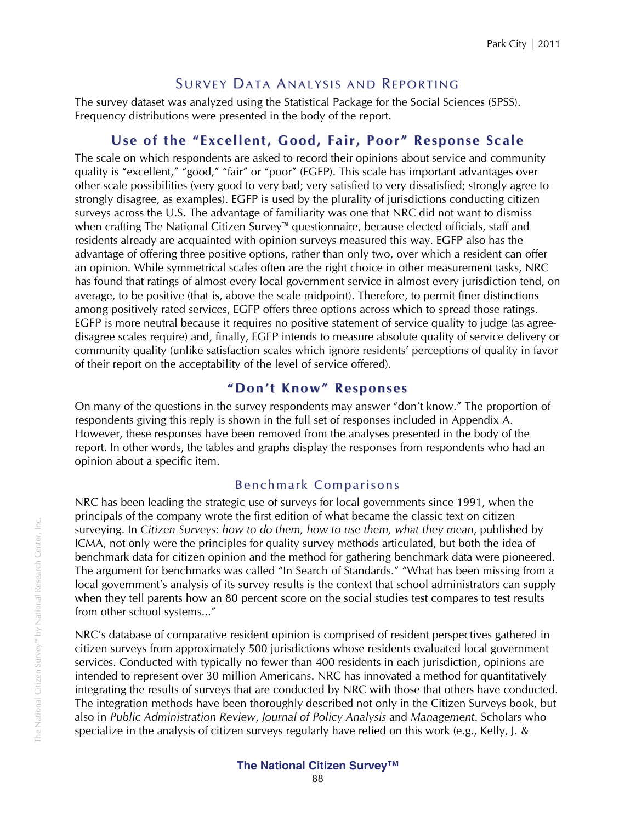## SURVEY DATA ANALYSIS AND REPORTING

The survey dataset was analyzed using the Statistical Package for the Social Sciences (SPSS). Frequency distributions were presented in the body of the report.

## **Use of the "Excellent, Good, Fair, Poor " Response Scale**

The scale on which respondents are asked to record their opinions about service and community quality is "excellent," "good," "fair" or "poor" (EGFP). This scale has important advantages over other scale possibilities (very good to very bad; very satisfied to very dissatisfied; strongly agree to strongly disagree, as examples). EGFP is used by the plurality of jurisdictions conducting citizen surveys across the U.S. The advantage of familiarity was one that NRC did not want to dismiss when crafting The National Citizen Survey™ questionnaire, because elected officials, staff and residents already are acquainted with opinion surveys measured this way. EGFP also has the advantage of offering three positive options, rather than only two, over which a resident can offer an opinion. While symmetrical scales often are the right choice in other measurement tasks, NRC has found that ratings of almost every local government service in almost every jurisdiction tend, on average, to be positive (that is, above the scale midpoint). Therefore, to permit finer distinctions among positively rated services, EGFP offers three options across which to spread those ratings. EGFP is more neutral because it requires no positive statement of service quality to judge (as agreedisagree scales require) and, finally, EGFP intends to measure absolute quality of service delivery or community quality (unlike satisfaction scales which ignore residents' perceptions of quality in favor of their report on the acceptability of the level of service offered).

## **" Don't Kno w" Responses**

On many of the questions in the survey respondents may answer "don't know." The proportion of respondents giving this reply is shown in the full set of responses included in Appendix A. However, these responses have been removed from the analyses presented in the body of the report. In other words, the tables and graphs display the responses from respondents who had an opinion about a specific item.

## Benchmark Comparisons

NRC has been leading the strategic use of surveys for local governments since 1991, when the principals of the company wrote the first edition of what became the classic text on citizen surveying. In *Citizen Surveys: how to do them, how to use them, what they mean*, published by ICMA, not only were the principles for quality survey methods articulated, but both the idea of benchmark data for citizen opinion and the method for gathering benchmark data were pioneered. The argument for benchmarks was called "In Search of Standards." "What has been missing from a local government's analysis of its survey results is the context that school administrators can supply when they tell parents how an 80 percent score on the social studies test compares to test results from other school systems..."

NRC's database of comparative resident opinion is comprised of resident perspectives gathered in citizen surveys from approximately 500 jurisdictions whose residents evaluated local government services. Conducted with typically no fewer than 400 residents in each jurisdiction, opinions are intended to represent over 30 million Americans. NRC has innovated a method for quantitatively integrating the results of surveys that are conducted by NRC with those that others have conducted. The integration methods have been thoroughly described not only in the Citizen Surveys book, but also in *Public Administration Review*, *Journal of Policy Analysis* and *Management*. Scholars who specialize in the analysis of citizen surveys regularly have relied on this work (e.g., Kelly, J. &

#### **The National Citizen Survey™**  88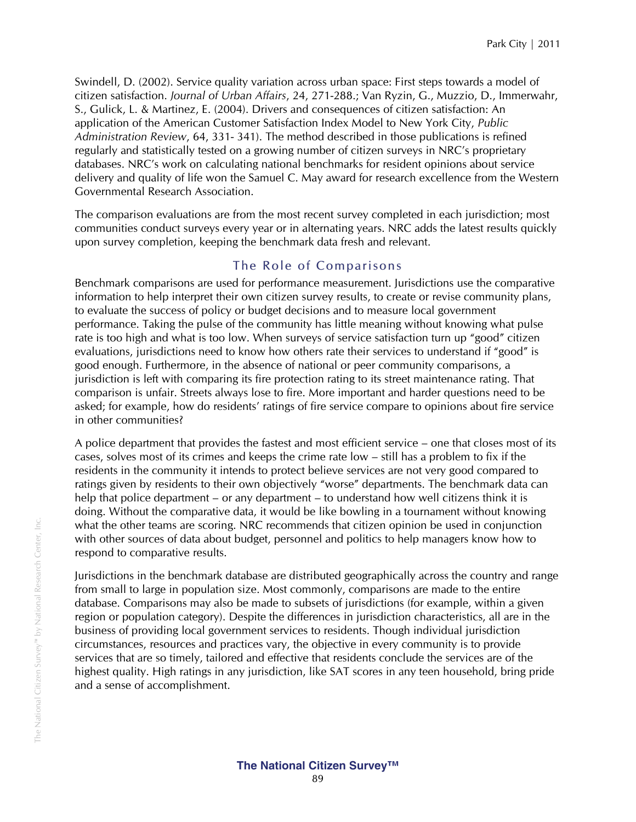Swindell, D. (2002). Service quality variation across urban space: First steps towards a model of citizen satisfaction. *Journal of Urban Affairs*, 24, 271-288.; Van Ryzin, G., Muzzio, D., Immerwahr, S., Gulick, L. & Martinez, E. (2004). Drivers and consequences of citizen satisfaction: An application of the American Customer Satisfaction Index Model to New York City, *Public Administration Review*, 64, 331- 341). The method described in those publications is refined regularly and statistically tested on a growing number of citizen surveys in NRC's proprietary databases. NRC's work on calculating national benchmarks for resident opinions about service delivery and quality of life won the Samuel C. May award for research excellence from the Western Governmental Research Association.

The comparison evaluations are from the most recent survey completed in each jurisdiction; most communities conduct surveys every year or in alternating years. NRC adds the latest results quickly upon survey completion, keeping the benchmark data fresh and relevant.

## The Role of Comparisons

Benchmark comparisons are used for performance measurement. Jurisdictions use the comparative information to help interpret their own citizen survey results, to create or revise community plans, to evaluate the success of policy or budget decisions and to measure local government performance. Taking the pulse of the community has little meaning without knowing what pulse rate is too high and what is too low. When surveys of service satisfaction turn up "good" citizen evaluations, jurisdictions need to know how others rate their services to understand if "good" is good enough. Furthermore, in the absence of national or peer community comparisons, a jurisdiction is left with comparing its fire protection rating to its street maintenance rating. That comparison is unfair. Streets always lose to fire. More important and harder questions need to be asked; for example, how do residents' ratings of fire service compare to opinions about fire service in other communities?

A police department that provides the fastest and most efficient service – one that closes most of its cases, solves most of its crimes and keeps the crime rate low – still has a problem to fix if the residents in the community it intends to protect believe services are not very good compared to ratings given by residents to their own objectively "worse" departments. The benchmark data can help that police department – or any department – to understand how well citizens think it is doing. Without the comparative data, it would be like bowling in a tournament without knowing what the other teams are scoring. NRC recommends that citizen opinion be used in conjunction with other sources of data about budget, personnel and politics to help managers know how to respond to comparative results.

Jurisdictions in the benchmark database are distributed geographically across the country and range from small to large in population size. Most commonly, comparisons are made to the entire database. Comparisons may also be made to subsets of jurisdictions (for example, within a given region or population category). Despite the differences in jurisdiction characteristics, all are in the business of providing local government services to residents. Though individual jurisdiction circumstances, resources and practices vary, the objective in every community is to provide services that are so timely, tailored and effective that residents conclude the services are of the highest quality. High ratings in any jurisdiction, like SAT scores in any teen household, bring pride and a sense of accomplishment.

**The National Citizen Survey™**  89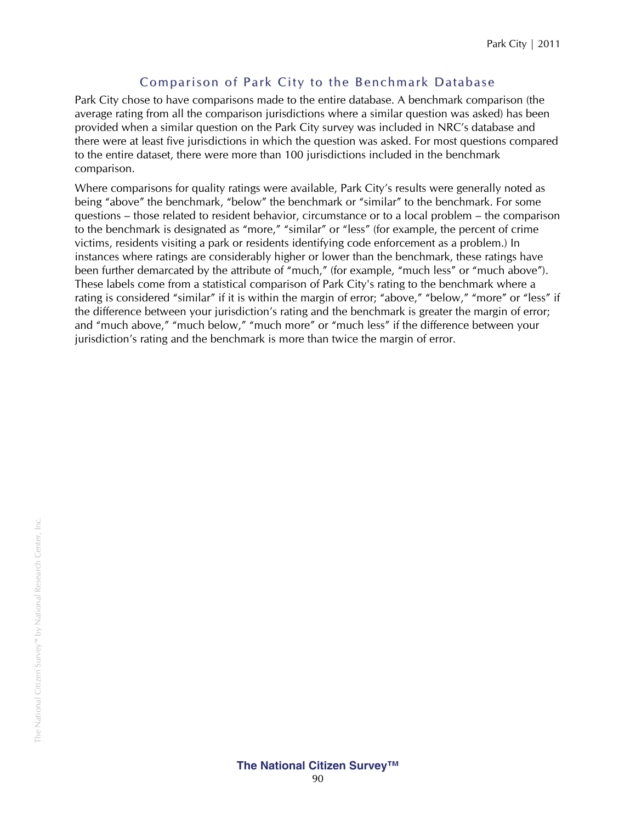## Comparison of Park City to the Benchmark Database

Park City chose to have comparisons made to the entire database. A benchmark comparison (the average rating from all the comparison jurisdictions where a similar question was asked) has been provided when a similar question on the Park City survey was included in NRC's database and there were at least five jurisdictions in which the question was asked. For most questions compared to the entire dataset, there were more than 100 jurisdictions included in the benchmark comparison.

Where comparisons for quality ratings were available, Park City's results were generally noted as being "above" the benchmark, "below" the benchmark or "similar" to the benchmark. For some questions – those related to resident behavior, circumstance or to a local problem – the comparison to the benchmark is designated as "more," "similar" or "less" (for example, the percent of crime victims, residents visiting a park or residents identifying code enforcement as a problem.) In instances where ratings are considerably higher or lower than the benchmark, these ratings have been further demarcated by the attribute of "much," (for example, "much less" or "much above"). These labels come from a statistical comparison of Park City's rating to the benchmark where a rating is considered "similar" if it is within the margin of error; "above," "below," "more" or "less" if the difference between your jurisdiction's rating and the benchmark is greater the margin of error; and "much above," "much below," "much more" or "much less" if the difference between your jurisdiction's rating and the benchmark is more than twice the margin of error.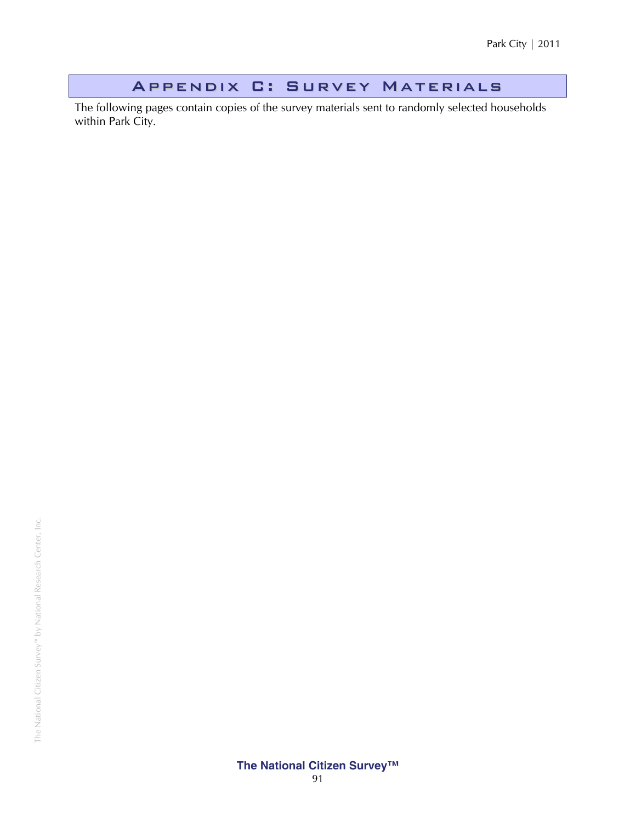## Appendix C: Survey Materials

The following pages contain copies of the survey materials sent to randomly selected households within Park City.

**The National Citizen Survey™**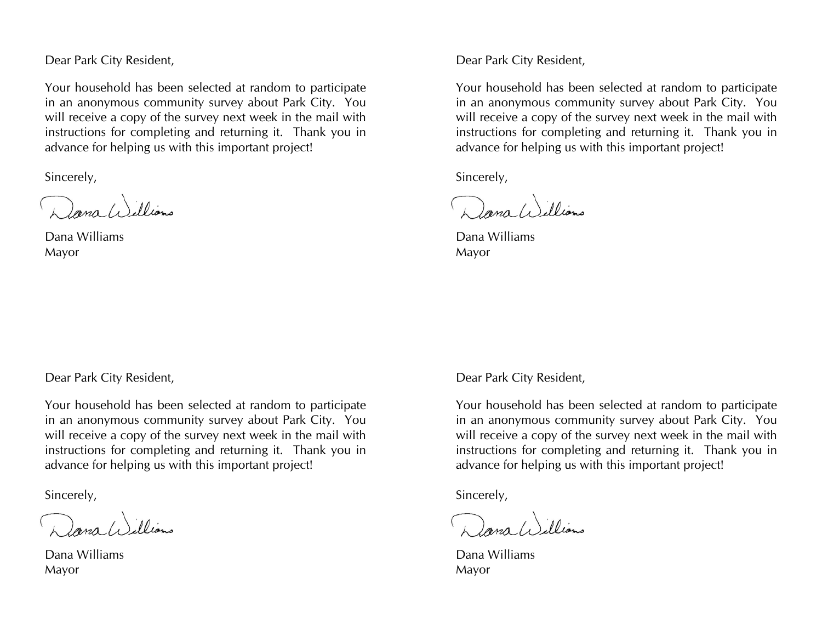Dear Park City Resident,

Your household has been selected at random to participate in an anonymous community survey about Park City. You will receive a copy of the survey next week in the mail with instructions for completing and returning it. Thank you in advance for helping us with this important project!

Sincerely,

Dana (i) illiano

Dana Williams Mayor

Dear Park City Resident,

Your household has been selected at random to participate in an anonymous community survey about Park City. You will receive a copy of the survey next week in the mail with instructions for completing and returning it. Thank you in advance for helping us with this important project!

Sincerely,

Dana (1) illiano

Dana Williams Mayor

Dear Park City Resident,

Your household has been selected at random to participate in an anonymous community survey about Park City. You will receive a copy of the survey next week in the mail with instructions for completing and returning it. Thank you in advance for helping us with this important project!

Sincerely,

Dana Williams

Dana Williams Mayor

Dear Park City Resident,

Your household has been selected at random to participate in an anonymous community survey about Park City. You will receive a copy of the survey next week in the mail with instructions for completing and returning it. Thank you in advance for helping us with this important project!

Sincerely,

Dana Williams

Dana Williams Mayor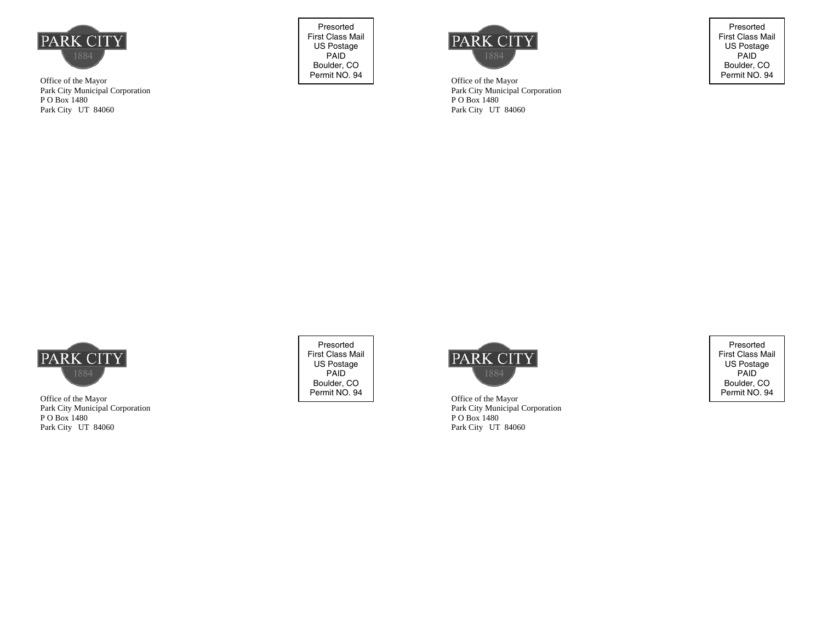

Office of the Mayor Park City Municipal Corporation P O Box 1480 Park City UT 84060

Presorted First Class Mail US Postage PAID Boulder, CO<br>Permit NO. 94



Office of the Mayor Park City Municipal Corporation P O Box 1480 Park City UT 84060

Presorted First Class Mail US Postage PAID Boulder, CO<br>Permit NO. 94



Office of the Mayor Park City Municipal Corporation P O Box 1480 Park City UT 84060

Presorted First Class Mail US Postage PAID Boulder, CO<br>Permit NO. 94



Office of the Mayor Park City Municipal Corporation P O Box 1480 Park City UT 84060

Presorted First Class Mail US Postage PAID Boulder, CO<br>Permit NO. 94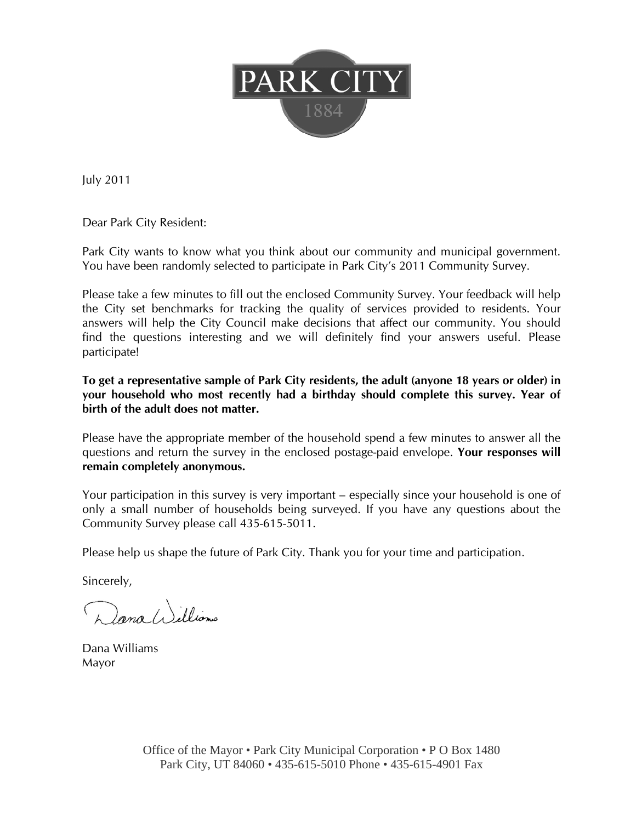

July 2011

Dear Park City Resident:

Park City wants to know what you think about our community and municipal government. You have been randomly selected to participate in Park City's 2011 Community Survey.

Please take a few minutes to fill out the enclosed Community Survey. Your feedback will help the City set benchmarks for tracking the quality of services provided to residents. Your answers will help the City Council make decisions that affect our community. You should find the questions interesting and we will definitely find your answers useful. Please participate!

**To get a representative sample of Park City residents, the adult (anyone 18 years or older) in your household who most recently had a birthday should complete this survey. Year of birth of the adult does not matter.** 

Please have the appropriate member of the household spend a few minutes to answer all the questions and return the survey in the enclosed postage-paid envelope. **Your responses will remain completely anonymous.** 

Your participation in this survey is very important – especially since your household is one of only a small number of households being surveyed. If you have any questions about the Community Survey please call 435-615-5011.

Please help us shape the future of Park City. Thank you for your time and participation.

Sincerely,

Dana (1) illiano

Dana Williams Mayor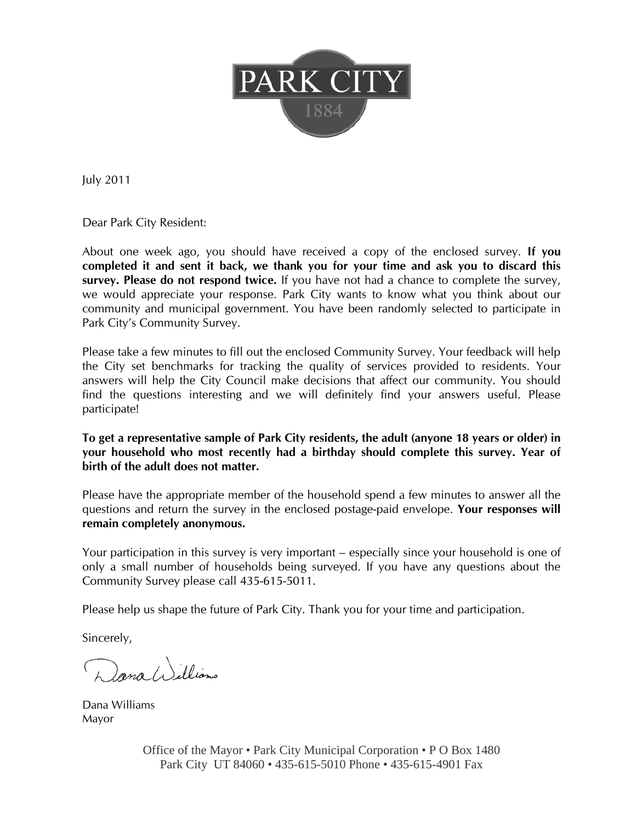

July 2011

Dear Park City Resident:

About one week ago, you should have received a copy of the enclosed survey. **If you completed it and sent it back, we thank you for your time and ask you to discard this survey. Please do not respond twice.** If you have not had a chance to complete the survey, we would appreciate your response. Park City wants to know what you think about our community and municipal government. You have been randomly selected to participate in Park City's Community Survey.

Please take a few minutes to fill out the enclosed Community Survey. Your feedback will help the City set benchmarks for tracking the quality of services provided to residents. Your answers will help the City Council make decisions that affect our community. You should find the questions interesting and we will definitely find your answers useful. Please participate!

### **To get a representative sample of Park City residents, the adult (anyone 18 years or older) in your household who most recently had a birthday should complete this survey. Year of birth of the adult does not matter.**

Please have the appropriate member of the household spend a few minutes to answer all the questions and return the survey in the enclosed postage-paid envelope. **Your responses will remain completely anonymous.** 

Your participation in this survey is very important – especially since your household is one of only a small number of households being surveyed. If you have any questions about the Community Survey please call 435-615-5011.

Please help us shape the future of Park City. Thank you for your time and participation.

Sincerely,

Dana Williams

Dana Williams Mayor

Office of the Mayor • Park City Municipal Corporation • P O Box 1480 Park City UT 84060 • 435-615-5010 Phone • 435-615-4901 Fax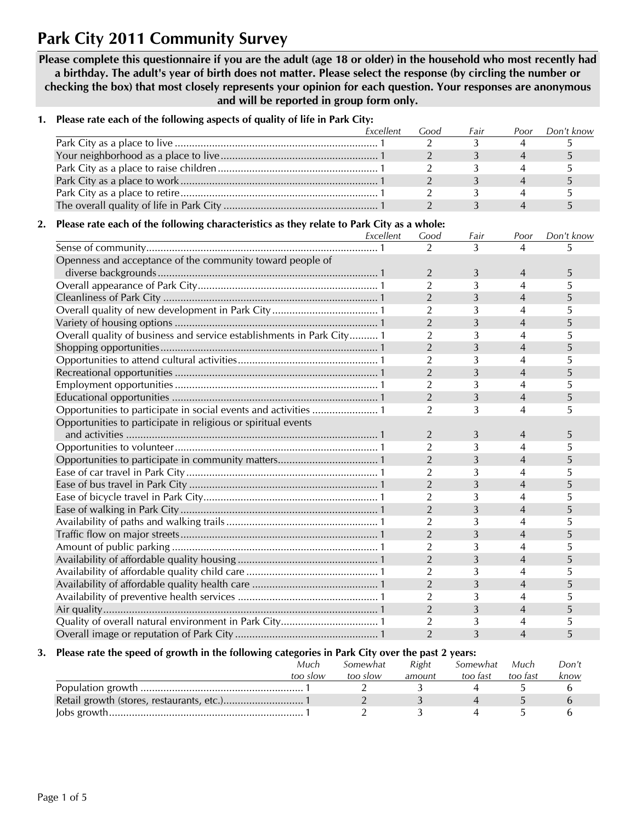# **Park City 2011 Community Survey**

**Please complete this questionnaire if you are the adult (age 18 or older) in the household who most recently had a birthday. The adult's year of birth does not matter. Please select the response (by circling the number or checking the box) that most closely represents your opinion for each question. Your responses are anonymous and will be reported in group form only.** 

|    |                                                                                           | Excellent | Good           | Fair | Poor                     | Don't know |
|----|-------------------------------------------------------------------------------------------|-----------|----------------|------|--------------------------|------------|
|    |                                                                                           |           | $\overline{2}$ | 3    | 4                        | 5          |
|    |                                                                                           |           | $\overline{2}$ | 3    | $\overline{4}$           | 5          |
|    |                                                                                           |           | $\overline{2}$ | 3    | 4                        | 5          |
|    |                                                                                           |           | $\overline{2}$ | 3    | $\overline{4}$           | 5          |
|    |                                                                                           |           | $\overline{2}$ | 3    | 4                        | 5          |
|    |                                                                                           |           | $\overline{2}$ | 3    | $\overline{4}$           | 5          |
| 2. | Please rate each of the following characteristics as they relate to Park City as a whole: |           |                |      |                          |            |
|    |                                                                                           | Excellent | Good           | Fair | Poor                     | Don't know |
|    |                                                                                           |           | $\overline{2}$ | 3    | 4                        | 5          |
|    | Openness and acceptance of the community toward people of                                 |           |                |      |                          |            |
|    |                                                                                           |           | $\overline{2}$ | 3    | 4                        | 5          |
|    |                                                                                           |           | $\overline{2}$ | 3    | 4                        | 5          |
|    |                                                                                           |           | $\overline{2}$ | 3    | 4                        | 5          |
|    |                                                                                           |           | $\overline{2}$ | 3    | 4                        | 5          |
|    |                                                                                           |           | $\overline{2}$ | 3    | 4                        | 5          |
|    | Overall quality of business and service establishments in Park City 1                     |           | $\overline{2}$ | 3    | 4                        | 5          |
|    |                                                                                           |           | $\overline{2}$ | 3    | 4                        | 5          |
|    |                                                                                           |           | $\overline{2}$ | 3    | 4                        | 5          |
|    |                                                                                           |           | $\overline{2}$ |      | 4                        |            |
|    |                                                                                           |           | $\overline{2}$ | 3    |                          | 5          |
|    |                                                                                           |           | $\overline{2}$ | 3    | 4                        | 5          |
|    |                                                                                           |           |                | 3    | 4                        | 5          |
|    |                                                                                           |           | 2              | 3    | 4                        | 5          |
|    | Opportunities to participate in religious or spiritual events                             |           |                |      |                          |            |
|    |                                                                                           |           | $\overline{2}$ | 3    | 4                        | 5          |
|    |                                                                                           |           | $\overline{2}$ | 3    | 4                        | 5          |
|    |                                                                                           |           | $\overline{2}$ | 3    | $\overline{4}$           | 5          |
|    |                                                                                           |           | $\overline{2}$ | 3    | 4                        | 5          |
|    |                                                                                           |           | $\overline{2}$ | 3    | $\overline{4}$           | 5          |
|    |                                                                                           |           | $\overline{2}$ | 3    | 4                        | 5          |
|    |                                                                                           |           | $\overline{2}$ | 3    | 4                        | 5          |
|    |                                                                                           |           | $\overline{2}$ | 3    | 4                        | 5          |
|    |                                                                                           |           | $\overline{2}$ | 3    | 4                        | 5          |
|    |                                                                                           |           | $\overline{2}$ | 3    | 4                        | 5          |
|    |                                                                                           |           | $\overline{2}$ | 3    | 4                        | 5          |
|    |                                                                                           |           | $\overline{2}$ | 3    | 4                        | 5          |
|    |                                                                                           |           | $\overline{2}$ | 3    | $\overline{4}$           | 5          |
|    |                                                                                           |           | $\overline{2}$ | 3    | 4                        | 5          |
|    |                                                                                           |           | $\overline{2}$ | 3    | $\overline{4}$           | 5          |
|    |                                                                                           |           | 2              | 3    | 4                        | 5          |
|    |                                                                                           |           | $\overline{2}$ | 3    | $\overline{\mathcal{A}}$ | 5          |

**1. Please rate each of the following aspects of quality of life in Park City:** 

#### **3. Please rate the speed of growth in the following categories in Park City over the past 2 years:**

| Much     | Somewhat | Right  | Somewhat | Much     | Don't |
|----------|----------|--------|----------|----------|-------|
| too slow | too slow | amount | too fast | too fast | know  |
|          |          |        |          |          |       |
|          |          |        |          |          |       |
|          |          |        |          |          |       |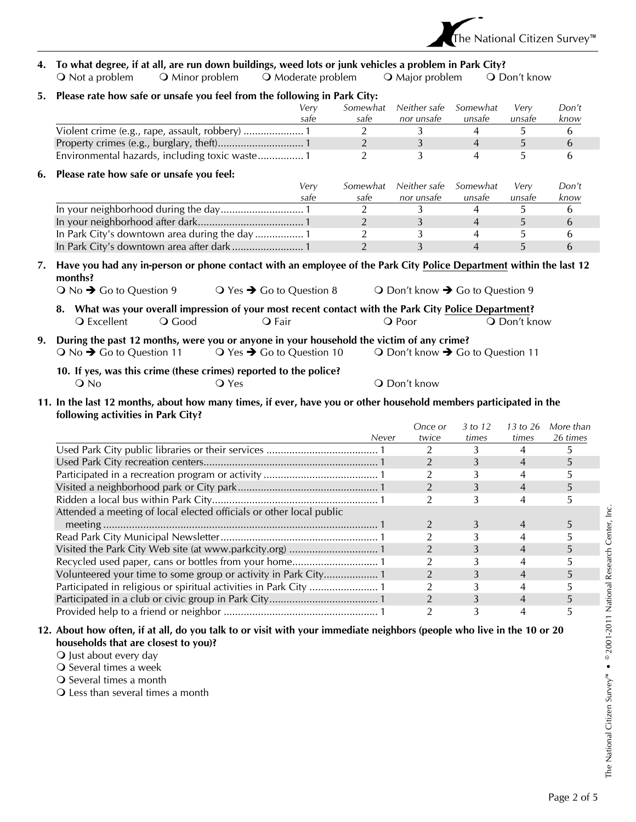

### **4. To what degree, if at all, are run down buildings, weed lots or junk vehicles a problem in Park City?**

Q Not a problem Q Minor problem Q Moderate problem Q Major problem Q Don't know

| 5. | Please rate how safe or unsafe you feel from the following in Park City:                                                                                                                                                 |      |                |                                  |                |                          |           |
|----|--------------------------------------------------------------------------------------------------------------------------------------------------------------------------------------------------------------------------|------|----------------|----------------------------------|----------------|--------------------------|-----------|
|    |                                                                                                                                                                                                                          | Very | Somewhat       | Neither safe                     | Somewhat       | Very                     | Don't     |
|    |                                                                                                                                                                                                                          | safe | safe           | nor unsafe                       | unsafe         | unsafe                   | know      |
|    | Violent crime (e.g., rape, assault, robbery)  1                                                                                                                                                                          |      | 2              | 3                                | 4              | 5                        | 6         |
|    |                                                                                                                                                                                                                          |      | $\overline{2}$ | 3                                | $\overline{4}$ | 5                        | 6         |
|    | Environmental hazards, including toxic waste 1                                                                                                                                                                           |      | $\overline{2}$ | 3                                | 4              | 5                        | 6         |
| 6. | Please rate how safe or unsafe you feel:                                                                                                                                                                                 |      |                |                                  |                |                          |           |
|    |                                                                                                                                                                                                                          | Very | Somewhat       | Neither safe                     | Somewhat       | Very                     | Don't     |
|    |                                                                                                                                                                                                                          | safe | safe           | nor unsafe                       | unsafe         | unsafe                   | know      |
|    |                                                                                                                                                                                                                          |      | 2              | 3                                | 4              | 5.                       | 6         |
|    |                                                                                                                                                                                                                          |      | 2              | 3                                | $\overline{4}$ | 5                        | 6         |
|    | In Park City's downtown area during the day  1                                                                                                                                                                           |      | 2              | 3                                | $\overline{4}$ | 5                        | 6         |
|    |                                                                                                                                                                                                                          |      | $\overline{2}$ | 3                                | $\overline{4}$ | 5                        | 6         |
| 7. | Have you had any in-person or phone contact with an employee of the Park City Police Department within the last 12<br>months?<br>$\bigcirc$ No $\bigstar$ Go to Question 9<br>$\bigcirc$ Yes $\bigstar$ Go to Question 8 |      |                | ○ Don't know → Go to Question 9  |                |                          |           |
|    | What was your overall impression of your most recent contact with the Park City Police Department?<br>8.<br><b>Q</b> Excellent<br>O Good<br><b>Q</b> Fair                                                                |      |                | O Poor                           |                | O Don't know             |           |
| 9. | During the past 12 months, were you or anyone in your household the victim of any crime?<br>$\bigcirc$ No $\bigstar$ Go to Question 11<br>$\bigcirc$ Yes $\bigstar$ Go to Question 10                                    |      |                | ○ Don't know → Go to Question 11 |                |                          |           |
|    | 10. If yes, was this crime (these crimes) reported to the police?<br>$Q$ No<br><b>O</b> Yes                                                                                                                              |      |                | O Don't know                     |                |                          |           |
|    |                                                                                                                                                                                                                          |      |                |                                  |                |                          |           |
|    | 11. In the last 12 months, about how many times, if ever, have you or other household members participated in the<br>following activities in Park City?                                                                  |      |                |                                  |                |                          |           |
|    |                                                                                                                                                                                                                          |      |                | Once or                          | 3 to 12        | 13 to 26                 | More than |
|    |                                                                                                                                                                                                                          |      | Never          | twice                            | times          | times                    | 26 times  |
|    |                                                                                                                                                                                                                          |      |                | $\overline{2}$                   | 3              | $\overline{4}$           | 5         |
|    |                                                                                                                                                                                                                          |      |                | $\overline{2}$                   | 3              | $\overline{4}$           | 5         |
|    |                                                                                                                                                                                                                          |      |                | 2                                | 3              | $\overline{4}$           | 5         |
|    |                                                                                                                                                                                                                          |      |                | $\overline{2}$                   | $\overline{3}$ | $\overline{4}$           | 5         |
|    |                                                                                                                                                                                                                          |      |                | $\overline{2}$                   | 3              | $\overline{\mathcal{A}}$ | 5         |

meeting ................................................................................................ 1 2 3 4 5 Read Park City Municipal Newsletter....................................................... 1 2 3 4 5

Recycled used paper, cans or bottles from your home.............................. 1 2 3 4 5 Volunteered your time to some group or activity in Park City................... 1 2 3 4 5 Participated in religious or spiritual activities in Park City ........................ 1 2 3 4 5

Provided help to a friend or neighbor ...................................................... 1 2 3 4 5

Visited the Park City Web site (at www.parkcity.org) ............................... 1 2 3 4 5

Participated in a club or civic group in Park City...................................... 1 2 3 4 5

**12. About how often, if at all, do you talk to or visit with your immediate neighbors (people who live in the 10 or 20** 

- Just about every day
- O Several times a week
- Several times a month
- Less than several times a month

**households that are closest to you)?** 

The National Citizen Survey™ • © 2001-2011 National Research Center, Inc. The National Citizen Survey<sup>™</sup> . © 2001-2011 National Research Center, Inc.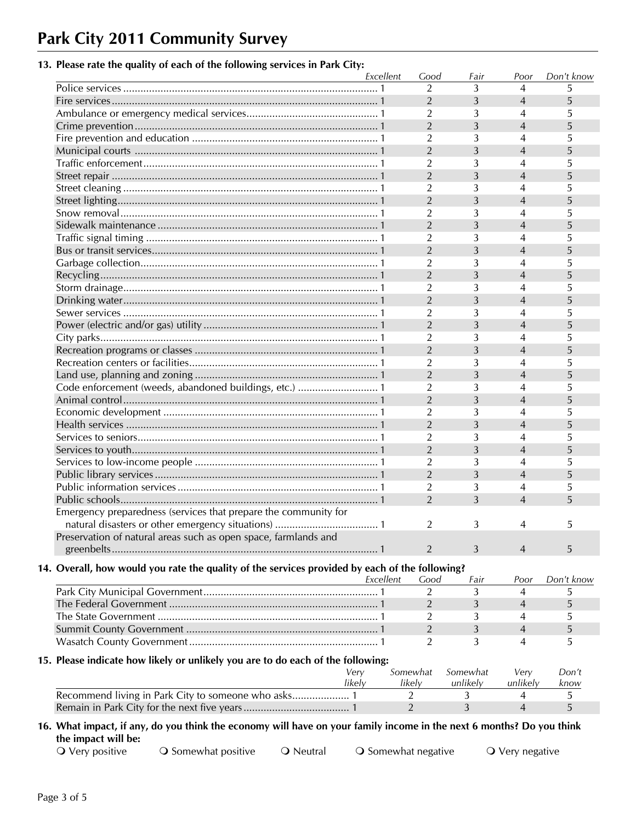# **Park City 2011 Community Survey**

### **13. Please rate the quality of each of the following services in Park City:**

|                                                                                                | Excellent | Good           | Fair     | Poor           | Don't know |
|------------------------------------------------------------------------------------------------|-----------|----------------|----------|----------------|------------|
|                                                                                                |           | $\overline{2}$ | 3        | 4              | 5          |
|                                                                                                |           | $\overline{2}$ | 3        | $\overline{4}$ | 5          |
|                                                                                                |           | $\overline{2}$ | 3        | 4              | 5          |
|                                                                                                |           | $\overline{2}$ | 3        | $\overline{4}$ | 5          |
|                                                                                                |           | 2              | 3        | 4              | 5          |
|                                                                                                |           | $\overline{2}$ | 3        | $\overline{4}$ | 5          |
|                                                                                                |           | 2              | 3        | 4              | 5          |
|                                                                                                |           | $\overline{2}$ | 3        | $\overline{4}$ | 5          |
|                                                                                                |           | 2              | 3        | 4              | 5          |
|                                                                                                |           | $\overline{2}$ | 3        | $\overline{4}$ | 5          |
|                                                                                                |           | $\overline{2}$ | 3        | 4              | 5          |
|                                                                                                |           | $\overline{2}$ | 3        | $\overline{4}$ | 5          |
|                                                                                                |           | $\overline{2}$ | 3        | 4              | 5          |
|                                                                                                |           | $\overline{2}$ | 3        | $\overline{4}$ | 5          |
|                                                                                                |           | $\overline{2}$ | 3        | 4              | 5          |
|                                                                                                |           | $\overline{2}$ | 3        | $\overline{4}$ | 5          |
|                                                                                                |           | $\overline{2}$ | 3        | 4              | 5          |
|                                                                                                |           | $\overline{2}$ | 3        | $\overline{4}$ | 5          |
|                                                                                                |           | $\overline{2}$ | 3        | 4              | 5          |
|                                                                                                |           | $\overline{2}$ | 3        | $\overline{4}$ | 5          |
|                                                                                                |           | 2              | 3        | 4              | 5          |
|                                                                                                |           | $\overline{2}$ | 3        | $\overline{4}$ | 5          |
|                                                                                                |           | $\overline{2}$ | 3        | 4              | 5          |
|                                                                                                |           | $\overline{2}$ | 3        | $\overline{4}$ | 5          |
| Code enforcement (weeds, abandoned buildings, etc.)  1                                         |           | $\overline{2}$ | 3        | 4              | 5          |
|                                                                                                |           | $\overline{2}$ | 3        | $\overline{4}$ | 5          |
|                                                                                                |           | $\overline{2}$ | 3        | 4              | 5          |
|                                                                                                |           | $\overline{2}$ | 3        | $\overline{4}$ | 5          |
|                                                                                                |           | 2              | 3        | 4              | 5          |
|                                                                                                |           | $\overline{2}$ | 3        | $\overline{4}$ | 5          |
|                                                                                                |           | $\overline{2}$ | 3        | 4              | 5          |
|                                                                                                |           | $\overline{2}$ | 3        | $\overline{4}$ | 5          |
|                                                                                                |           | 2              | 3        | 4              | 5          |
|                                                                                                |           | 2              | 3        | $\overline{4}$ | 5          |
| Emergency preparedness (services that prepare the community for                                |           |                |          |                |            |
|                                                                                                |           | 2              | 3        | 4              | 5          |
| Preservation of natural areas such as open space, farmlands and                                |           |                |          |                |            |
|                                                                                                |           | 2              | 3        | $\overline{4}$ | 5          |
|                                                                                                |           |                |          |                |            |
| 14. Overall, how would you rate the quality of the services provided by each of the following? |           |                |          |                |            |
|                                                                                                | Excellent | Good           | Fair     | Poor           | Don't know |
|                                                                                                |           | 2              | 3        | 4              | 5          |
|                                                                                                |           | 2              | 3        | 4              | 5          |
|                                                                                                |           | 2              | 3        | 4              | 5          |
|                                                                                                |           | $\overline{2}$ | 3        | 4              | 5          |
|                                                                                                |           | 2              | 3        | 4              | 5          |
| 15. Please indicate how likely or unlikely you are to do each of the following:                |           |                |          |                |            |
|                                                                                                | Very      | Somewhat       | Somewhat | Very           | Don't      |
|                                                                                                | likely    | likely         | unlikely | unlikely       | know       |
|                                                                                                |           |                |          |                |            |
|                                                                                                |           | $\overline{2}$ | 3        | 4              | 5          |
|                                                                                                |           | $\overline{2}$ | 3        | $\overline{4}$ | 5          |

#### **the impact will be:**

O Very positive  $\bigcirc$  Somewhat positive  $\bigcirc$  Neutral  $\bigcirc$  Somewhat negative  $\bigcirc$  Very negative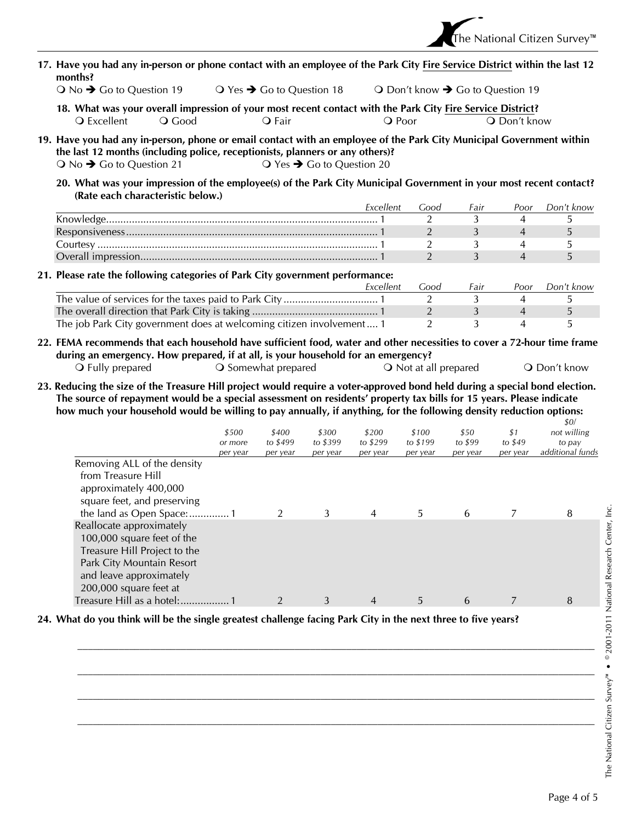- **17. Have you had any in-person or phone contact with an employee of the Park City Fire Service District within the last 12 months?** 
	- $\bigcirc$  No  $\bigstar$  Go to Question 19  $\bigcirc$  Yes  $\bigstar$  Go to Question 18  $\bigcirc$  Don't know  $\bigstar$  Go to Question 19
	- **18. What was your overall impression of your most recent contact with the Park City Fire Service District?**  Q Excellent Q Good Q Fair Q Poor Q Don't know
- **19. Have you had any in-person, phone or email contact with an employee of the Park City Municipal Government within the last 12 months (including police, receptionists, planners or any others)?**   $\overline{O}$  No  $\rightarrow$  Go to Question 21  $\overline{O}$  Yes  $\rightarrow$  Go to Question 20
	- **20. What was your impression of the employee(s) of the Park City Municipal Government in your most recent contact? (Rate each characteristic below.)**

| Fxcellent | ാററ | <b>Fair</b> | Poor | Don't know |
|-----------|-----|-------------|------|------------|
|           |     |             |      |            |
|           |     |             |      |            |
|           |     |             |      |            |
|           |     |             |      |            |

#### **21. Please rate the following categories of Park City government performance:**

|                                                                      | Excellent | Good | Fair | Poor | Don't know |
|----------------------------------------------------------------------|-----------|------|------|------|------------|
|                                                                      |           |      |      |      |            |
|                                                                      |           |      |      |      |            |
| The job Park City government does at welcoming citizen involvement 1 |           |      |      |      |            |

- **22. FEMA recommends that each household have sufficient food, water and other necessities to cover a 72-hour time frame during an emergency. How prepared, if at all, is your household for an emergency?** 
	- O Fully prepared **S** Somewhat prepared **S** Not at all prepared **O** Don't know
- **23. Reducing the size of the Treasure Hill project would require a voter-approved bond held during a special bond election. The source of repayment would be a special assessment on residents' property tax bills for 15 years. Please indicate how much your household would be willing to pay annually, if anything, for the following density reduction options:**

|                              | \$500<br>or more<br>per year | \$400<br>to \$499<br>per year | \$300<br>to \$399<br>per year | \$200<br>to \$299<br>per year | \$100<br>to \$199<br>per year | \$50<br>to \$99<br>per year | \$1<br>to $$49$<br>per year | \$0/<br>not willing<br>to pay<br>additional funds |
|------------------------------|------------------------------|-------------------------------|-------------------------------|-------------------------------|-------------------------------|-----------------------------|-----------------------------|---------------------------------------------------|
| Removing ALL of the density  |                              |                               |                               |                               |                               |                             |                             |                                                   |
| from Treasure Hill           |                              |                               |                               |                               |                               |                             |                             |                                                   |
| approximately 400,000        |                              |                               |                               |                               |                               |                             |                             |                                                   |
| square feet, and preserving  |                              |                               | 3                             | 4                             | 5                             | 6                           |                             | 8                                                 |
| Reallocate approximately     |                              |                               |                               |                               |                               |                             |                             |                                                   |
| 100,000 square feet of the   |                              |                               |                               |                               |                               |                             |                             |                                                   |
| Treasure Hill Project to the |                              |                               |                               |                               |                               |                             |                             |                                                   |
| Park City Mountain Resort    |                              |                               |                               |                               |                               |                             |                             |                                                   |
| and leave approximately      |                              |                               |                               |                               |                               |                             |                             |                                                   |
| 200,000 square feet at       |                              |                               |                               |                               |                               |                             |                             |                                                   |
| Treasure Hill as a hotel:    |                              |                               | 3                             | $\overline{4}$                | 5                             | 6                           |                             | 8                                                 |

 $\mathcal{L}_\text{max} = \mathcal{L}_\text{max} = \mathcal{L}_\text{max} = \mathcal{L}_\text{max} = \mathcal{L}_\text{max} = \mathcal{L}_\text{max} = \mathcal{L}_\text{max} = \mathcal{L}_\text{max} = \mathcal{L}_\text{max} = \mathcal{L}_\text{max} = \mathcal{L}_\text{max} = \mathcal{L}_\text{max} = \mathcal{L}_\text{max} = \mathcal{L}_\text{max} = \mathcal{L}_\text{max} = \mathcal{L}_\text{max} = \mathcal{L}_\text{max} = \mathcal{L}_\text{max} = \mathcal{$ 

 $\mathcal{L}_\text{max} = \mathcal{L}_\text{max} = \mathcal{L}_\text{max} = \mathcal{L}_\text{max} = \mathcal{L}_\text{max} = \mathcal{L}_\text{max} = \mathcal{L}_\text{max} = \mathcal{L}_\text{max} = \mathcal{L}_\text{max} = \mathcal{L}_\text{max} = \mathcal{L}_\text{max} = \mathcal{L}_\text{max} = \mathcal{L}_\text{max} = \mathcal{L}_\text{max} = \mathcal{L}_\text{max} = \mathcal{L}_\text{max} = \mathcal{L}_\text{max} = \mathcal{L}_\text{max} = \mathcal{$ 

 $\mathcal{L}_\text{max} = \mathcal{L}_\text{max} = \mathcal{L}_\text{max} = \mathcal{L}_\text{max} = \mathcal{L}_\text{max} = \mathcal{L}_\text{max} = \mathcal{L}_\text{max} = \mathcal{L}_\text{max} = \mathcal{L}_\text{max} = \mathcal{L}_\text{max} = \mathcal{L}_\text{max} = \mathcal{L}_\text{max} = \mathcal{L}_\text{max} = \mathcal{L}_\text{max} = \mathcal{L}_\text{max} = \mathcal{L}_\text{max} = \mathcal{L}_\text{max} = \mathcal{L}_\text{max} = \mathcal{$ 

 $\mathcal{L}_\text{max} = \mathcal{L}_\text{max} = \mathcal{L}_\text{max} = \mathcal{L}_\text{max} = \mathcal{L}_\text{max} = \mathcal{L}_\text{max} = \mathcal{L}_\text{max} = \mathcal{L}_\text{max} = \mathcal{L}_\text{max} = \mathcal{L}_\text{max} = \mathcal{L}_\text{max} = \mathcal{L}_\text{max} = \mathcal{L}_\text{max} = \mathcal{L}_\text{max} = \mathcal{L}_\text{max} = \mathcal{L}_\text{max} = \mathcal{L}_\text{max} = \mathcal{L}_\text{max} = \mathcal{$ 

#### **24. What do you think will be the single greatest challenge facing Park City in the next three to five years?**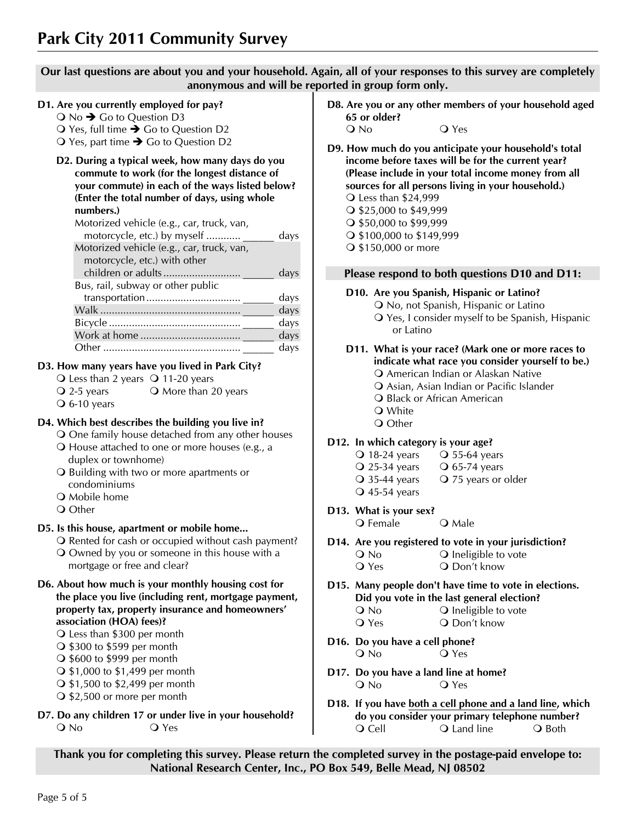**Our last questions are about you and your household. Again, all of your responses to this survey are completely anonymous and will be reported in group form only.** 

#### **D1. Are you currently employed for pay?**

 $\bigcirc$  No  $\bigcirc$  Go to Question D3

 $\bigcirc$  Yes, full time  $\bigcirc$  Go to Question D2

 $\bigcirc$  Yes, part time  $\bigcirc$  Go to Question D2

#### **D2. During a typical week, how many days do you commute to work (for the longest distance of your commute) in each of the ways listed below? (Enter the total number of days, using whole numbers.)**

| Motorized vehicle (e.g., car, truck, van,<br>motorcycle, etc.) by myself | days |
|--------------------------------------------------------------------------|------|
| Motorized vehicle (e.g., car, truck, van,                                |      |
| motorcycle, etc.) with other                                             |      |
|                                                                          | days |
| Bus, rail, subway or other public                                        |      |
|                                                                          | days |
|                                                                          | days |
|                                                                          | days |
|                                                                          | days |
| Other                                                                    | days |

#### **D3. How many years have you lived in Park City?**

- $\bigcirc$  Less than 2 years  $\bigcirc$  11-20 years
- $\overline{Q}$  2-5 years  $\overline{Q}$  More than 20 years
- $\overline{O}$  6-10 years

#### **D4. Which best describes the building you live in?**

One family house detached from any other houses

- House attached to one or more houses (e.g., a duplex or townhome)
- O Building with two or more apartments or condominiums
- **O** Mobile home
- Q Other

#### **D5. Is this house, apartment or mobile home...**

- O Rented for cash or occupied without cash payment? Owned by you or someone in this house with a
- mortgage or free and clear?
- **D6. About how much is your monthly housing cost for the place you live (including rent, mortgage payment, property tax, property insurance and homeowners' association (HOA) fees)?** 
	- Less than \$300 per month
	- $\bigcirc$  \$300 to \$599 per month
	- \$600 to \$999 per month
	- \$1,000 to \$1,499 per month
	- \$1,500 to \$2,499 per month
	- \$2,500 or more per month
- **D7. Do any children 17 or under live in your household?**  O No O Yes

**D8. Are you or any other members of your household aged 65 or older?**   $Q$  No

- **D9. How much do you anticipate your household's total income before taxes will be for the current year? (Please include in your total income money from all sources for all persons living in your household.)**  Less than \$24,999 \$25,000 to \$49,999 \$50,000 to \$99,999
	- \$100,000 to \$149,999
	- \$150,000 or more

#### **Please respond to both questions D10 and D11:**

#### **D10. Are you Spanish, Hispanic or Latino?**

- O No, not Spanish, Hispanic or Latino
- Yes, I consider myself to be Spanish, Hispanic or Latino

#### **D11. What is your race? (Mark one or more races to indicate what race you consider yourself to be.)**

- American Indian or Alaskan Native
	- Asian, Asian Indian or Pacific Islander
	- **Q** Black or African American
- White O Other

#### **D12. In which category is your age?**

| $\bigcirc$ 18-24 years     | $\overline{O}$ 55-64 years |
|----------------------------|----------------------------|
| $\overline{O}$ 25-34 years | $\overline{O}$ 65-74 years |

- Q 35-44 years Q 75 years or older
- $\overline{O}$  45-54 years
- **D13. What is your sex?**  O Female O Male
- **D14. Are you registered to vote in your jurisdiction?**  O No **O** Ineligible to vote
	- Q Yes Q Don't know
- **D15. Many people don't have time to vote in elections. Did you vote in the last general election?**  O No **O** Ineligible to vote O Yes O Don't know
- **D16. Do you have a cell phone?**  O No O Yes
- **D17. Do you have a land line at home?**  O No O Yes
- **D18. If you have both a cell phone and a land line, which do you consider your primary telephone number?**  O Cell **O** Land line **O** Both

**Thank you for completing this survey. Please return the completed survey in the postage-paid envelope to: National Research Center, Inc., PO Box 549, Belle Mead, NJ 08502**